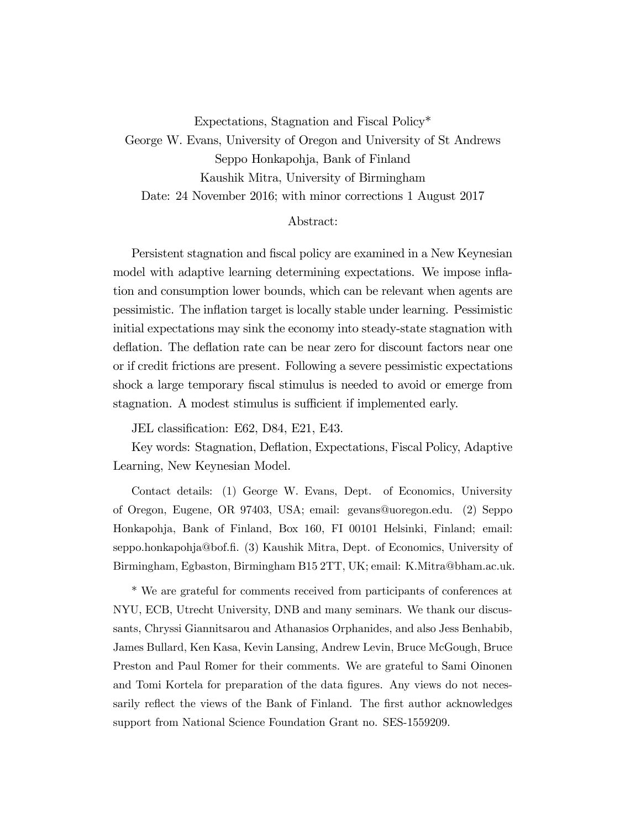Expectations, Stagnation and Fiscal Policy\*

George W. Evans, University of Oregon and University of St Andrews Seppo Honkapohja, Bank of Finland Kaushik Mitra, University of Birmingham Date: 24 November 2016; with minor corrections 1 August 2017

#### Abstract:

Persistent stagnation and fiscal policy are examined in a New Keynesian model with adaptive learning determining expectations. We impose inflation and consumption lower bounds, which can be relevant when agents are pessimistic. The inflation target is locally stable under learning. Pessimistic initial expectations may sink the economy into steady-state stagnation with deflation. The deflation rate can be near zero for discount factors near one or if credit frictions are present. Following a severe pessimistic expectations shock a large temporary fiscal stimulus is needed to avoid or emerge from stagnation. A modest stimulus is sufficient if implemented early.

JEL classification: E62, D84, E21, E43.

Key words: Stagnation, Deflation, Expectations, Fiscal Policy, Adaptive Learning, New Keynesian Model.

Contact details: (1) George W. Evans, Dept. of Economics, University of Oregon, Eugene, OR 97403, USA; email: gevans@uoregon.edu. (2) Seppo Honkapohja, Bank of Finland, Box 160, FI 00101 Helsinki, Finland; email: seppo.honkapohja@bof.fi. (3) Kaushik Mitra, Dept. of Economics, University of Birmingham, Egbaston, Birmingham B15 2TT, UK; email: K.Mitra@bham.ac.uk.

\* We are grateful for comments received from participants of conferences at NYU, ECB, Utrecht University, DNB and many seminars. We thank our discussants, Chryssi Giannitsarou and Athanasios Orphanides, and also Jess Benhabib, James Bullard, Ken Kasa, Kevin Lansing, Andrew Levin, Bruce McGough, Bruce Preston and Paul Romer for their comments. We are grateful to Sami Oinonen and Tomi Kortela for preparation of the data figures. Any views do not necessarily reflect the views of the Bank of Finland. The first author acknowledges support from National Science Foundation Grant no. SES-1559209.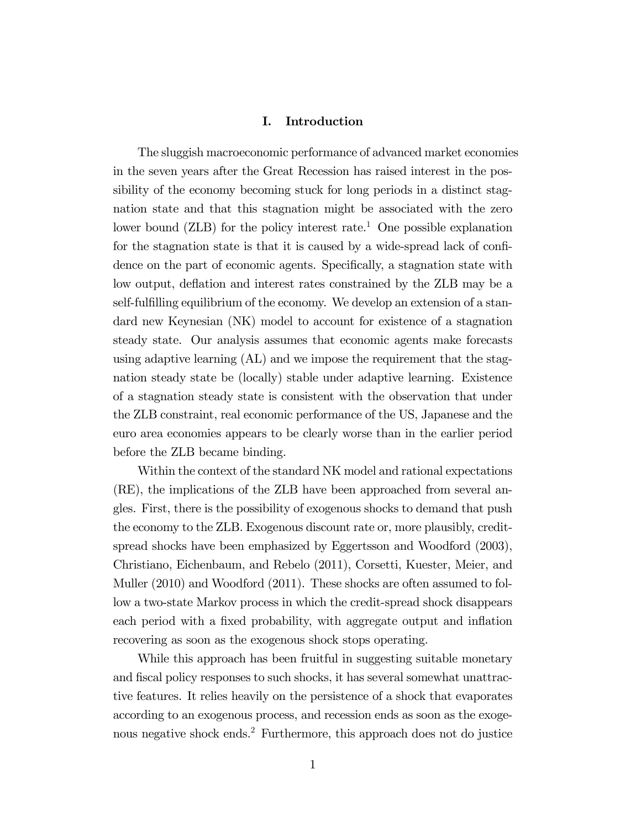## I. Introduction

The sluggish macroeconomic performance of advanced market economies in the seven years after the Great Recession has raised interest in the possibility of the economy becoming stuck for long periods in a distinct stagnation state and that this stagnation might be associated with the zero lower bound  $(ZLB)$  for the policy interest rate.<sup>1</sup> One possible explanation for the stagnation state is that it is caused by a wide-spread lack of confidence on the part of economic agents. Specifically, a stagnation state with low output, deflation and interest rates constrained by the ZLB may be a self-fulfilling equilibrium of the economy. We develop an extension of a standard new Keynesian (NK) model to account for existence of a stagnation steady state. Our analysis assumes that economic agents make forecasts using adaptive learning (AL) and we impose the requirement that the stagnation steady state be (locally) stable under adaptive learning. Existence of a stagnation steady state is consistent with the observation that under the ZLB constraint, real economic performance of the US, Japanese and the euro area economies appears to be clearly worse than in the earlier period before the ZLB became binding.

Within the context of the standard NK model and rational expectations (RE), the implications of the ZLB have been approached from several angles. First, there is the possibility of exogenous shocks to demand that push the economy to the ZLB. Exogenous discount rate or, more plausibly, creditspread shocks have been emphasized by Eggertsson and Woodford (2003), Christiano, Eichenbaum, and Rebelo (2011), Corsetti, Kuester, Meier, and Muller (2010) and Woodford (2011). These shocks are often assumed to follow a two-state Markov process in which the credit-spread shock disappears each period with a fixed probability, with aggregate output and inflation recovering as soon as the exogenous shock stops operating.

While this approach has been fruitful in suggesting suitable monetary and fiscal policy responses to such shocks, it has several somewhat unattractive features. It relies heavily on the persistence of a shock that evaporates according to an exogenous process, and recession ends as soon as the exogenous negative shock ends.2 Furthermore, this approach does not do justice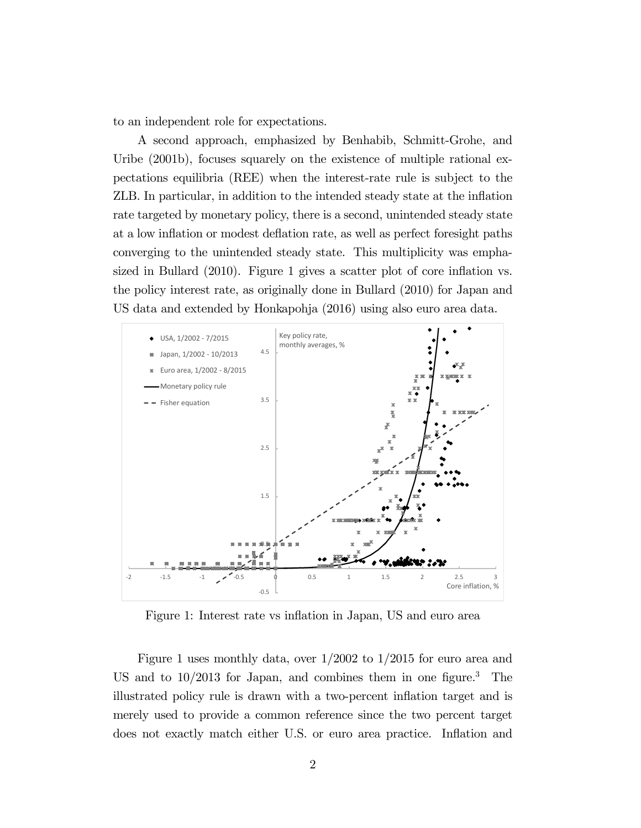to an independent role for expectations.

A second approach, emphasized by Benhabib, Schmitt-Grohe, and Uribe (2001b), focuses squarely on the existence of multiple rational expectations equilibria (REE) when the interest-rate rule is subject to the ZLB. In particular, in addition to the intended steady state at the inflation rate targeted by monetary policy, there is a second, unintended steady state at a low inflation or modest deflation rate, as well as perfect foresight paths converging to the unintended steady state. This multiplicity was emphasized in Bullard (2010). Figure 1 gives a scatter plot of core inflation vs. the policy interest rate, as originally done in Bullard (2010) for Japan and US data and extended by Honkapohja (2016) using also euro area data.



Figure 1: Interest rate vs inflation in Japan, US and euro area

Figure 1 uses monthly data, over 1/2002 to 1/2015 for euro area and US and to  $10/2013$  for Japan, and combines them in one figure.<sup>3</sup> The illustrated policy rule is drawn with a two-percent inflation target and is merely used to provide a common reference since the two percent target does not exactly match either U.S. or euro area practice. Inflation and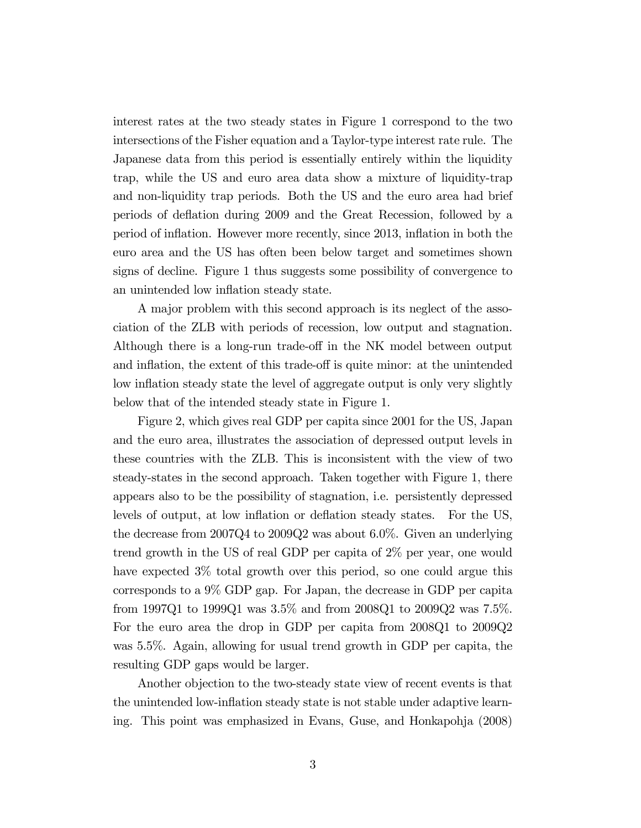interest rates at the two steady states in Figure 1 correspond to the two intersections of the Fisher equation and a Taylor-type interest rate rule. The Japanese data from this period is essentially entirely within the liquidity trap, while the US and euro area data show a mixture of liquidity-trap and non-liquidity trap periods. Both the US and the euro area had brief periods of deflation during 2009 and the Great Recession, followed by a period of inflation. However more recently, since 2013, inflation in both the euro area and the US has often been below target and sometimes shown signs of decline. Figure 1 thus suggests some possibility of convergence to an unintended low inflation steady state.

A major problem with this second approach is its neglect of the association of the ZLB with periods of recession, low output and stagnation. Although there is a long-run trade-off in the NK model between output and inflation, the extent of this trade-off is quite minor: at the unintended low inflation steady state the level of aggregate output is only very slightly below that of the intended steady state in Figure 1.

Figure 2, which gives real GDP per capita since 2001 for the US, Japan and the euro area, illustrates the association of depressed output levels in these countries with the ZLB. This is inconsistent with the view of two steady-states in the second approach. Taken together with Figure 1, there appears also to be the possibility of stagnation, i.e. persistently depressed levels of output, at low inflation or deflation steady states. For the US, the decrease from 2007Q4 to 2009Q2 was about 6.0%. Given an underlying trend growth in the US of real GDP per capita of 2% per year, one would have expected 3% total growth over this period, so one could argue this corresponds to a 9% GDP gap. For Japan, the decrease in GDP per capita from 1997Q1 to 1999Q1 was 3.5% and from 2008Q1 to 2009Q2 was 7.5%. For the euro area the drop in GDP per capita from 2008Q1 to 2009Q2 was 5.5%. Again, allowing for usual trend growth in GDP per capita, the resulting GDP gaps would be larger.

Another objection to the two-steady state view of recent events is that the unintended low-inflation steady state is not stable under adaptive learning. This point was emphasized in Evans, Guse, and Honkapohja (2008)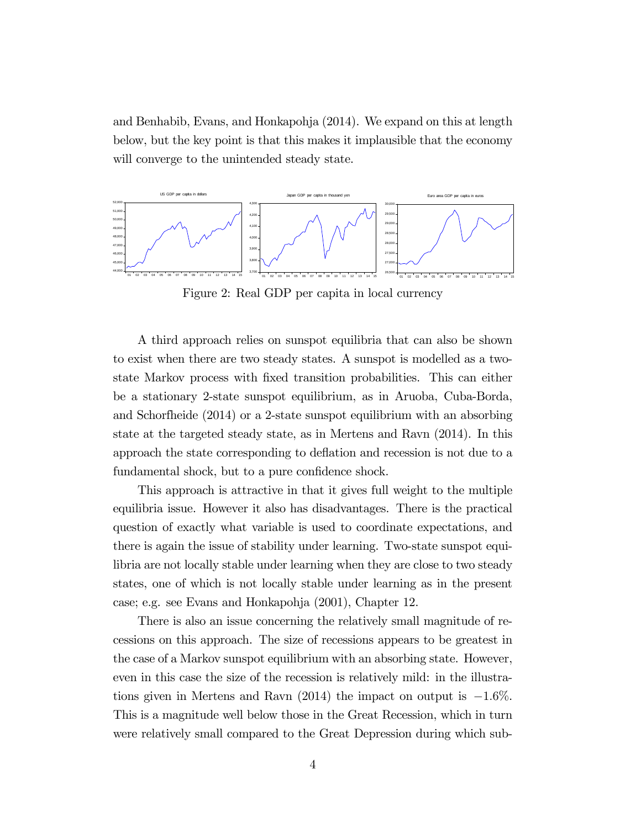and Benhabib, Evans, and Honkapohja (2014). We expand on this at length below, but the key point is that this makes it implausible that the economy will converge to the unintended steady state.



Figure 2: Real GDP per capita in local currency

A third approach relies on sunspot equilibria that can also be shown to exist when there are two steady states. A sunspot is modelled as a twostate Markov process with fixed transition probabilities. This can either be a stationary 2-state sunspot equilibrium, as in Aruoba, Cuba-Borda, and Schorfheide (2014) or a 2-state sunspot equilibrium with an absorbing state at the targeted steady state, as in Mertens and Ravn (2014). In this approach the state corresponding to deflation and recession is not due to a fundamental shock, but to a pure confidence shock.

This approach is attractive in that it gives full weight to the multiple equilibria issue. However it also has disadvantages. There is the practical question of exactly what variable is used to coordinate expectations, and there is again the issue of stability under learning. Two-state sunspot equilibria are not locally stable under learning when they are close to two steady states, one of which is not locally stable under learning as in the present case; e.g. see Evans and Honkapohja (2001), Chapter 12.

There is also an issue concerning the relatively small magnitude of recessions on this approach. The size of recessions appears to be greatest in the case of a Markov sunspot equilibrium with an absorbing state. However, even in this case the size of the recession is relatively mild: in the illustrations given in Mertens and Ravn (2014) the impact on output is  $-1.6\%$ . This is a magnitude well below those in the Great Recession, which in turn were relatively small compared to the Great Depression during which sub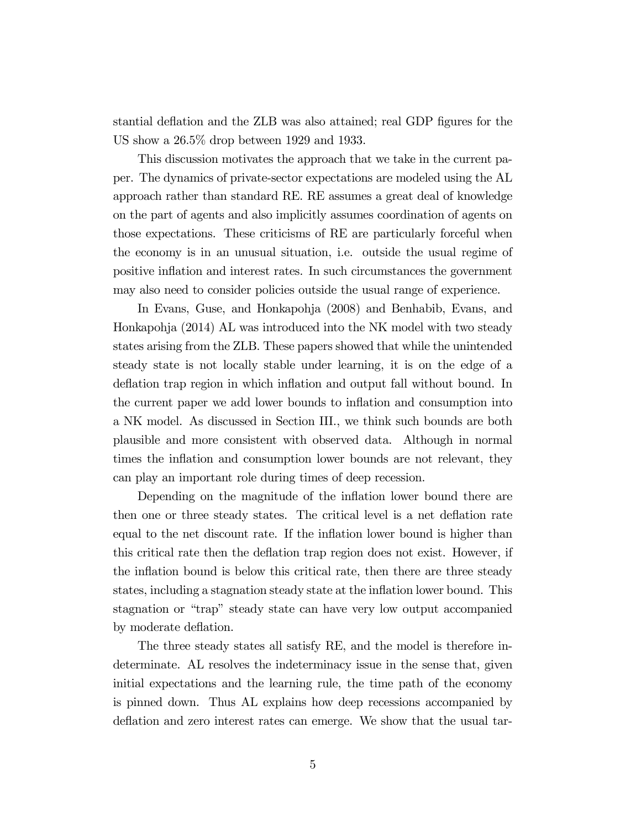stantial deflation and the ZLB was also attained; real GDP figures for the US show a 26.5% drop between 1929 and 1933.

This discussion motivates the approach that we take in the current paper. The dynamics of private-sector expectations are modeled using the AL approach rather than standard RE. RE assumes a great deal of knowledge on the part of agents and also implicitly assumes coordination of agents on those expectations. These criticisms of RE are particularly forceful when the economy is in an unusual situation, i.e. outside the usual regime of positive inflation and interest rates. In such circumstances the government may also need to consider policies outside the usual range of experience.

In Evans, Guse, and Honkapohja (2008) and Benhabib, Evans, and Honkapohja (2014) AL was introduced into the NK model with two steady states arising from the ZLB. These papers showed that while the unintended steady state is not locally stable under learning, it is on the edge of a deflation trap region in which inflation and output fall without bound. In the current paper we add lower bounds to inflation and consumption into a NK model. As discussed in Section III., we think such bounds are both plausible and more consistent with observed data. Although in normal times the inflation and consumption lower bounds are not relevant, they can play an important role during times of deep recession.

Depending on the magnitude of the inflation lower bound there are then one or three steady states. The critical level is a net deflation rate equal to the net discount rate. If the inflation lower bound is higher than this critical rate then the deflation trap region does not exist. However, if the inflation bound is below this critical rate, then there are three steady states, including a stagnation steady state at the inflation lower bound. This stagnation or "trap" steady state can have very low output accompanied by moderate deflation.

The three steady states all satisfy RE, and the model is therefore indeterminate. AL resolves the indeterminacy issue in the sense that, given initial expectations and the learning rule, the time path of the economy is pinned down. Thus AL explains how deep recessions accompanied by deflation and zero interest rates can emerge. We show that the usual tar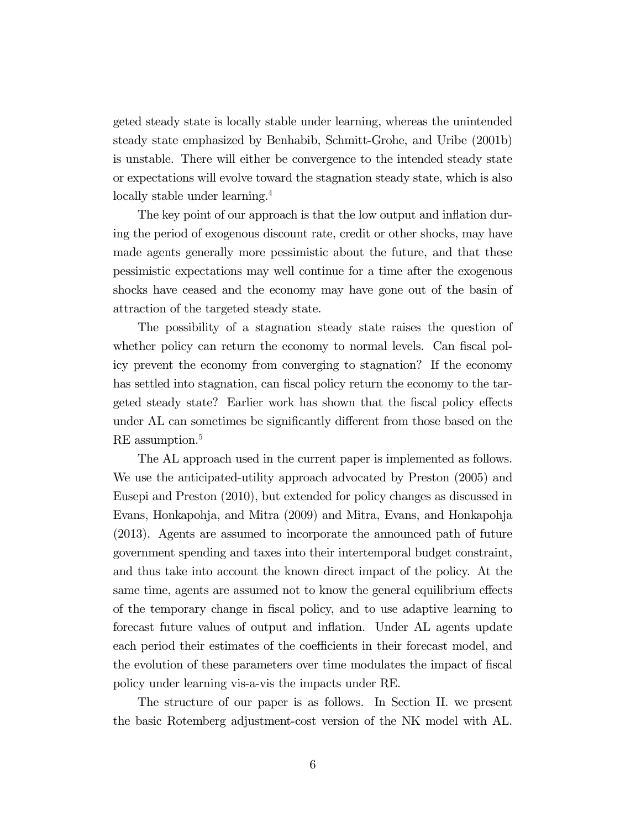geted steady state is locally stable under learning, whereas the unintended steady state emphasized by Benhabib, Schmitt-Grohe, and Uribe (2001b) is unstable. There will either be convergence to the intended steady state or expectations will evolve toward the stagnation steady state, which is also locally stable under learning.<sup>4</sup>

The key point of our approach is that the low output and inflation during the period of exogenous discount rate, credit or other shocks, may have made agents generally more pessimistic about the future, and that these pessimistic expectations may well continue for a time after the exogenous shocks have ceased and the economy may have gone out of the basin of attraction of the targeted steady state.

The possibility of a stagnation steady state raises the question of whether policy can return the economy to normal levels. Can fiscal policy prevent the economy from converging to stagnation? If the economy has settled into stagnation, can fiscal policy return the economy to the targeted steady state? Earlier work has shown that the fiscal policy effects under AL can sometimes be significantly different from those based on the RE assumption.<sup>5</sup>

The AL approach used in the current paper is implemented as follows. We use the anticipated-utility approach advocated by Preston (2005) and Eusepi and Preston (2010), but extended for policy changes as discussed in Evans, Honkapohja, and Mitra (2009) and Mitra, Evans, and Honkapohja (2013). Agents are assumed to incorporate the announced path of future government spending and taxes into their intertemporal budget constraint, and thus take into account the known direct impact of the policy. At the same time, agents are assumed not to know the general equilibrium effects of the temporary change in fiscal policy, and to use adaptive learning to forecast future values of output and inflation. Under AL agents update each period their estimates of the coefficients in their forecast model, and the evolution of these parameters over time modulates the impact of fiscal policy under learning vis-a-vis the impacts under RE.

The structure of our paper is as follows. In Section II. we present the basic Rotemberg adjustment-cost version of the NK model with AL.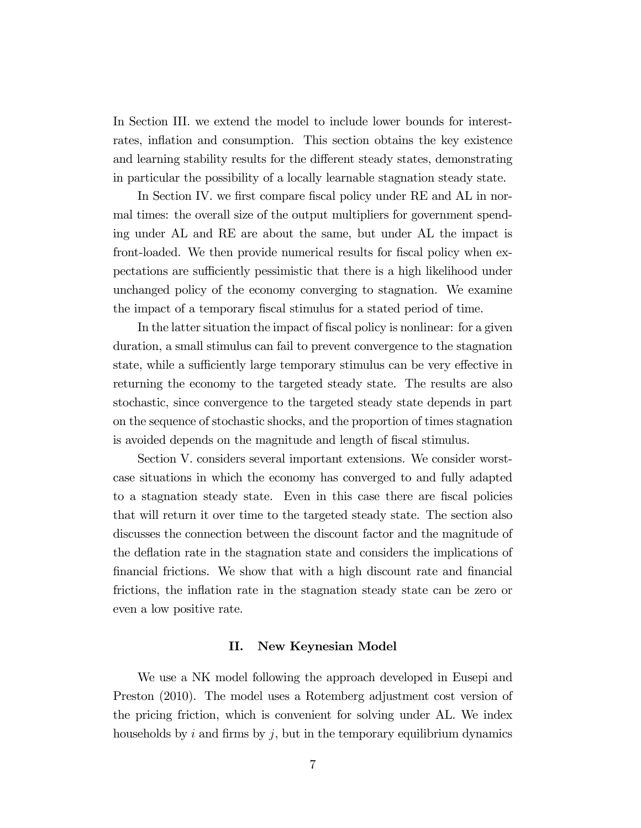In Section III. we extend the model to include lower bounds for interestrates, inflation and consumption. This section obtains the key existence and learning stability results for the different steady states, demonstrating in particular the possibility of a locally learnable stagnation steady state.

In Section IV. we first compare fiscal policy under RE and AL in normal times: the overall size of the output multipliers for government spending under AL and RE are about the same, but under AL the impact is front-loaded. We then provide numerical results for fiscal policy when expectations are sufficiently pessimistic that there is a high likelihood under unchanged policy of the economy converging to stagnation. We examine the impact of a temporary fiscal stimulus for a stated period of time.

In the latter situation the impact of fiscal policy is nonlinear: for a given duration, a small stimulus can fail to prevent convergence to the stagnation state, while a sufficiently large temporary stimulus can be very effective in returning the economy to the targeted steady state. The results are also stochastic, since convergence to the targeted steady state depends in part on the sequence of stochastic shocks, and the proportion of times stagnation is avoided depends on the magnitude and length of fiscal stimulus.

Section V. considers several important extensions. We consider worstcase situations in which the economy has converged to and fully adapted to a stagnation steady state. Even in this case there are fiscal policies that will return it over time to the targeted steady state. The section also discusses the connection between the discount factor and the magnitude of the deflation rate in the stagnation state and considers the implications of financial frictions. We show that with a high discount rate and financial frictions, the inflation rate in the stagnation steady state can be zero or even a low positive rate.

## II. New Keynesian Model

We use a NK model following the approach developed in Eusepi and Preston (2010). The model uses a Rotemberg adjustment cost version of the pricing friction, which is convenient for solving under AL. We index households by  $i$  and firms by  $j$ , but in the temporary equilibrium dynamics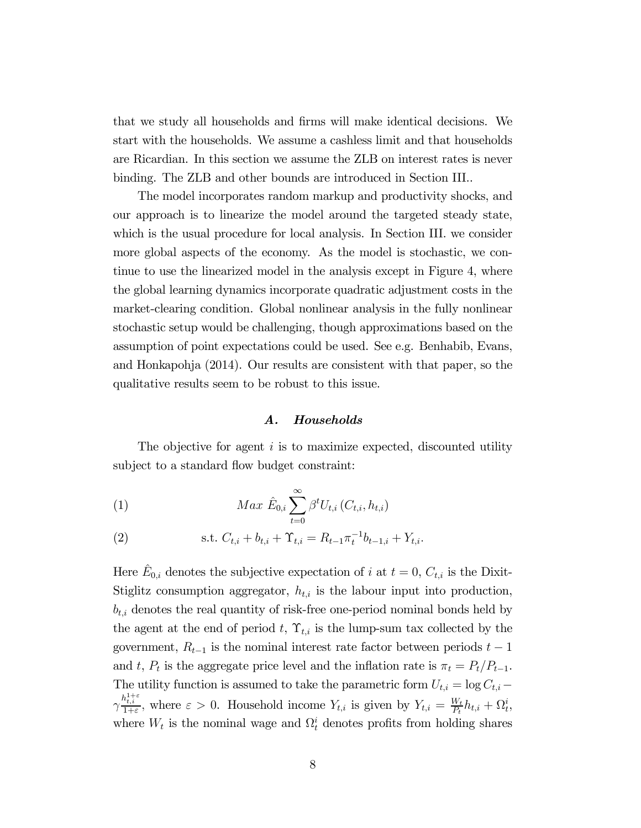that we study all households and firms will make identical decisions. We start with the households. We assume a cashless limit and that households are Ricardian. In this section we assume the ZLB on interest rates is never binding. The ZLB and other bounds are introduced in Section III..

The model incorporates random markup and productivity shocks, and our approach is to linearize the model around the targeted steady state, which is the usual procedure for local analysis. In Section III. we consider more global aspects of the economy. As the model is stochastic, we continue to use the linearized model in the analysis except in Figure 4, where the global learning dynamics incorporate quadratic adjustment costs in the market-clearing condition. Global nonlinear analysis in the fully nonlinear stochastic setup would be challenging, though approximations based on the assumption of point expectations could be used. See e.g. Benhabib, Evans, and Honkapohja (2014). Our results are consistent with that paper, so the qualitative results seem to be robust to this issue.

## A. Households

The objective for agent  $i$  is to maximize expected, discounted utility subject to a standard flow budget constraint:

(1) 
$$
Max \hat{E}_{0,i} \sum_{t=0}^{\infty} \beta^{t} U_{t,i} (C_{t,i}, h_{t,i})
$$

(2) s.t. 
$$
C_{t,i} + b_{t,i} + \Upsilon_{t,i} = R_{t-1} \pi_t^{-1} b_{t-1,i} + Y_{t,i}.
$$

Here  $\hat{E}_{0,i}$  denotes the subjective expectation of *i* at  $t = 0$ ,  $C_{t,i}$  is the Dixit-Stiglitz consumption aggregator,  $h_{t,i}$  is the labour input into production,  $b_{t,i}$  denotes the real quantity of risk-free one-period nominal bonds held by the agent at the end of period t,  $\Upsilon_{t,i}$  is the lump-sum tax collected by the government,  $R_{t-1}$  is the nominal interest rate factor between periods  $t-1$ and t,  $P_t$  is the aggregate price level and the inflation rate is  $\pi_t = P_t/P_{t-1}$ . The utility function is assumed to take the parametric form  $U_{t,i} = \log C_{t,i}$  $\gamma_{1+\varepsilon}^{h^{1+\varepsilon}_{t,i}}$ , where  $\varepsilon > 0$ . Household income  $Y_{t,i}$  is given by  $Y_{t,i} = \frac{W_t}{P_t} h_{t,i} + \Omega_t^i$ , where  $W_t$  is the nominal wage and  $\Omega_t^i$  denotes profits from holding shares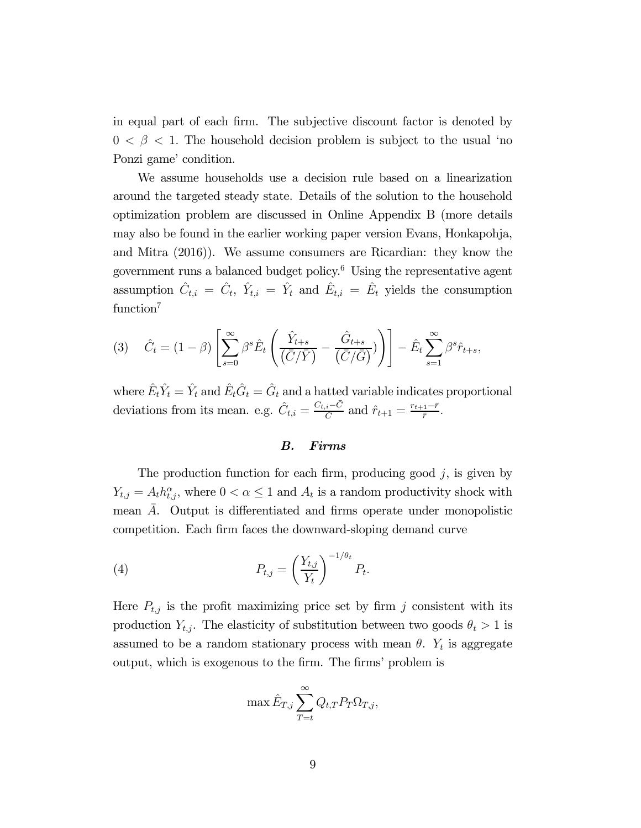in equal part of each firm. The subjective discount factor is denoted by  $0 < \beta < 1$ . The household decision problem is subject to the usual 'no Ponzi game' condition.

We assume households use a decision rule based on a linearization around the targeted steady state. Details of the solution to the household optimization problem are discussed in Online Appendix B (more details may also be found in the earlier working paper version Evans, Honkapohja, and Mitra (2016)). We assume consumers are Ricardian: they know the government runs a balanced budget policy. $6$  Using the representative agent assumption  $\hat{C}_{t,i} = \hat{C}_t$ ,  $\hat{Y}_{t,i} = \hat{Y}_t$  and  $\hat{E}_{t,i} = \hat{E}_t$  yields the consumption function<sup>7</sup>

$$
(3) \quad \hat{C}_t = (1 - \beta) \left[ \sum_{s=0}^{\infty} \beta^s \hat{E}_t \left( \frac{\hat{Y}_{t+s}}{\left( \overline{C}/\overline{Y} \right)} - \frac{\hat{G}_{t+s}}{\left( \overline{C}/\overline{G} \right)} \right) \right] - \hat{E}_t \sum_{s=1}^{\infty} \beta^s \hat{r}_{t+s},
$$

where  $\hat{E}_t \hat{Y}_t = \hat{Y}_t$  and  $\hat{E}_t \hat{G}_t = \hat{G}_t$  and a hatted variable indicates proportional deviations from its mean. e.g.  $\hat{C}_{t,i} = \frac{C_{t,i} - \bar{C}}{\bar{C}}$  and  $\hat{r}_{t+1} = \frac{r_{t+1} - \bar{r}}{\bar{r}}$ .

## B. Firms

The production function for each firm, producing good  $j$ , is given by  $Y_{t,j} = A_t h_{t,j}^{\alpha}$ , where  $0 < \alpha \leq 1$  and  $A_t$  is a random productivity shock with mean A. Output is differentiated and firms operate under monopolistic competition. Each firm faces the downward-sloping demand curve

(4) 
$$
P_{t,j} = \left(\frac{Y_{t,j}}{Y_t}\right)^{-1/\theta_t} P_t.
$$

Here  $P_{t,j}$  is the profit maximizing price set by firm j consistent with its production  $Y_{t,j}$ . The elasticity of substitution between two goods  $\theta_t > 1$  is assumed to be a random stationary process with mean  $\theta$ .  $Y_t$  is aggregate output, which is exogenous to the firm. The firms' problem is

$$
\max \hat{E}_{T,j} \sum_{T=t}^{\infty} Q_{t,T} P_T \Omega_{T,j},
$$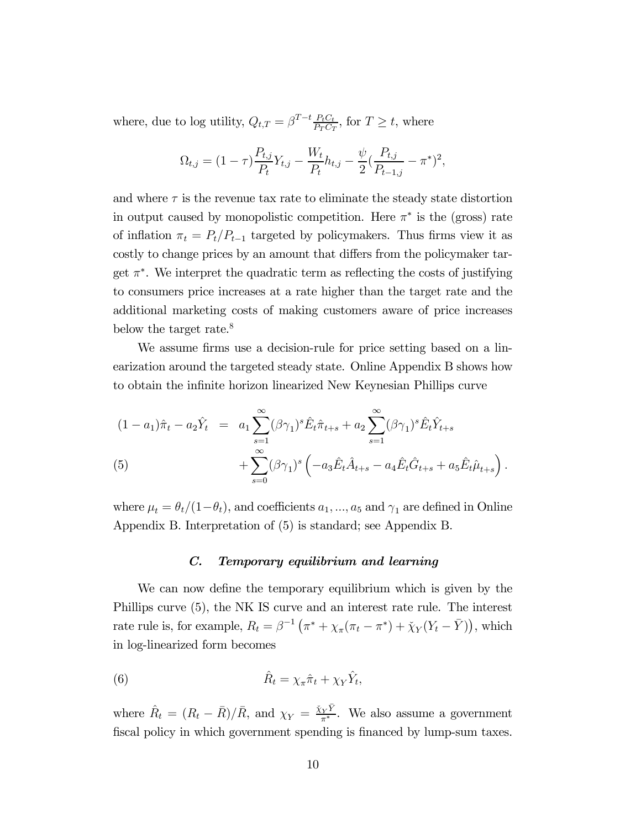where, due to log utility,  $Q_{t,T} = \beta^{T-t} \frac{P_t C_t}{P_T C_T}$ , for  $T \geq t$ , where

$$
\Omega_{t,j} = (1 - \tau) \frac{P_{t,j}}{P_t} Y_{t,j} - \frac{W_t}{P_t} h_{t,j} - \frac{\psi}{2} (\frac{P_{t,j}}{P_{t-1,j}} - \pi^*)^2,
$$

and where  $\tau$  is the revenue tax rate to eliminate the steady state distortion in output caused by monopolistic competition. Here  $\pi^*$  is the (gross) rate of inflation  $\pi_t = P_t/P_{t-1}$  targeted by policymakers. Thus firms view it as costly to change prices by an amount that differs from the policymaker target  $\pi^*$ . We interpret the quadratic term as reflecting the costs of justifying to consumers price increases at a rate higher than the target rate and the additional marketing costs of making customers aware of price increases below the target rate.<sup>8</sup>

We assume firms use a decision-rule for price setting based on a linearization around the targeted steady state. Online Appendix B shows how to obtain the infinite horizon linearized New Keynesian Phillips curve

(1 - a<sub>1</sub>)
$$
\hat{\pi}_t
$$
 - a<sub>2</sub> $\hat{Y}_t$  = a<sub>1</sub> $\sum_{s=1}^{\infty} (\beta \gamma_1)^s \hat{E}_t \hat{\pi}_{t+s} + a_2 \sum_{s=1}^{\infty} (\beta \gamma_1)^s \hat{E}_t \hat{Y}_{t+s}$   
\n(5) 
$$
+ \sum_{s=0}^{\infty} (\beta \gamma_1)^s \left( -a_3 \hat{E}_t \hat{A}_{t+s} - a_4 \hat{E}_t \hat{G}_{t+s} + a_5 \hat{E}_t \hat{\mu}_{t+s} \right).
$$

where  $\mu_t = \theta_t/(1-\theta_t)$ , and coefficients  $a_1, ..., a_5$  and  $\gamma_1$  are defined in Online Appendix B. Interpretation of (5) is standard; see Appendix B.

## C. Temporary equilibrium and learning

We can now define the temporary equilibrium which is given by the Phillips curve (5), the NK IS curve and an interest rate rule. The interest rate rule is, for example,  $R_t = \beta^{-1} \left( \pi^* + \chi_{\pi} (\pi_t - \pi^*) + \check{\chi}_Y (Y_t - \bar{Y}) \right)$ , which in log-linearized form becomes

(6) 
$$
\hat{R}_t = \chi_{\pi} \hat{\pi}_t + \chi_Y \hat{Y}_t,
$$

where  $\hat{R}_t = (R_t - \bar{R})/\bar{R}$ , and  $\chi_Y = \frac{\tilde{\chi}_Y \tilde{Y}}{\pi^*}$ . We also assume a government fiscal policy in which government spending is financed by lump-sum taxes.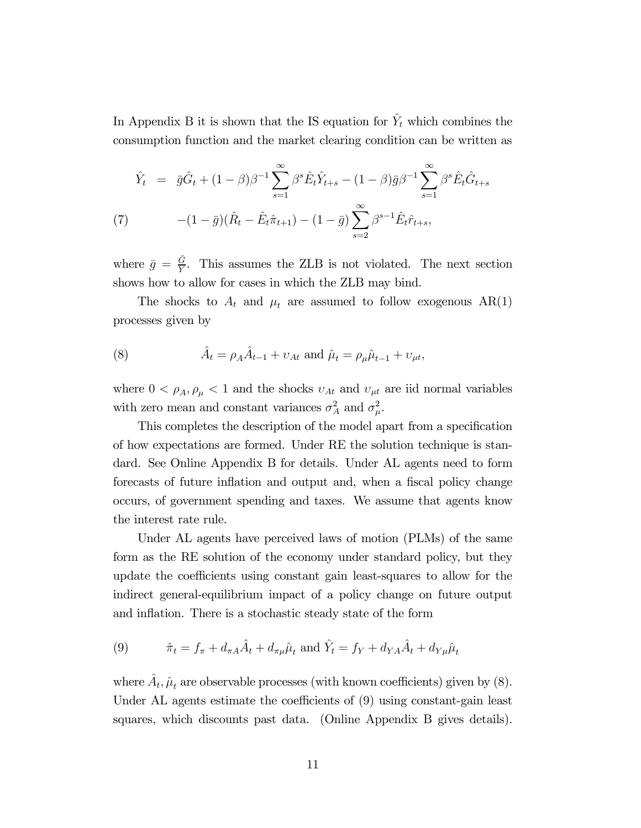In Appendix B it is shown that the IS equation for  $\hat{Y}_t$  which combines the consumption function and the market clearing condition can be written as

$$
\hat{Y}_t = \bar{g}\hat{G}_t + (1-\beta)\beta^{-1} \sum_{s=1}^{\infty} \beta^s \hat{E}_t \hat{Y}_{t+s} - (1-\beta)\bar{g}\beta^{-1} \sum_{s=1}^{\infty} \beta^s \hat{E}_t \hat{G}_{t+s}
$$
\n
$$
(7) \qquad -(1-\bar{g})(\hat{R}_t - \hat{E}_t \hat{\pi}_{t+1}) - (1-\bar{g}) \sum_{s=2}^{\infty} \beta^{s-1} \hat{E}_t \hat{r}_{t+s},
$$

where  $\bar{g} = \frac{\bar{G}}{Y}$ . This assumes the ZLB is not violated. The next section shows how to allow for cases in which the ZLB may bind.

The shocks to  $A_t$  and  $\mu_t$  are assumed to follow exogenous AR(1) processes given by

(8) 
$$
\hat{A}_t = \rho_A \hat{A}_{t-1} + v_{At} \text{ and } \hat{\mu}_t = \rho_\mu \hat{\mu}_{t-1} + v_{\mu t},
$$

where  $0 < \rho_A, \rho_\mu < 1$  and the shocks  $v_{At}$  and  $v_{\mu t}$  are iid normal variables with zero mean and constant variances  $\sigma_A^2$  and  $\sigma_\mu^2$ .

This completes the description of the model apart from a specification of how expectations are formed. Under RE the solution technique is standard. See Online Appendix B for details. Under AL agents need to form forecasts of future inflation and output and, when a fiscal policy change occurs, of government spending and taxes. We assume that agents know the interest rate rule.

Under AL agents have perceived laws of motion (PLMs) of the same form as the RE solution of the economy under standard policy, but they update the coefficients using constant gain least-squares to allow for the indirect general-equilibrium impact of a policy change on future output and inflation. There is a stochastic steady state of the form

(9) 
$$
\hat{\pi}_t = f_{\pi} + d_{\pi A} \hat{A}_t + d_{\pi \mu} \hat{\mu}_t
$$
 and  $\hat{Y}_t = f_Y + d_{YA} \hat{A}_t + d_{Y\mu} \hat{\mu}_t$ 

where  $\hat{A}_t$ ,  $\hat{\mu}_t$  are observable processes (with known coefficients) given by (8). Under AL agents estimate the coefficients of (9) using constant-gain least squares, which discounts past data. (Online Appendix B gives details).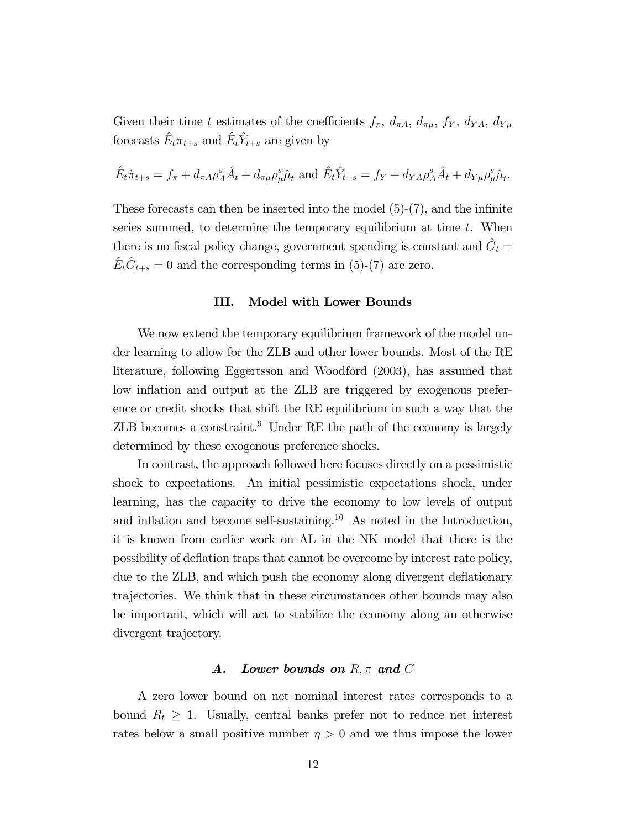Given their time t estimates of the coefficients  $f_{\pi}$ ,  $d_{\pi A}$ ,  $d_{\pi \mu}$ ,  $f_Y$ ,  $d_{YA}$ ,  $d_{Yu}$ forecasts  $\hat{E}_t \pi_{t+s}$  and  $\hat{E}_t \hat{Y}_{t+s}$  are given by

$$
\hat{E}_t \hat{\pi}_{t+s} = f_{\pi} + d_{\pi A} \rho_A^s \hat{A}_t + d_{\pi \mu} \rho_{\mu}^s \hat{\mu}_t \text{ and } \hat{E}_t \hat{Y}_{t+s} = f_Y + d_{YA} \rho_A^s \hat{A}_t + d_{Y\mu} \rho_{\mu}^s \hat{\mu}_t.
$$

These forecasts can then be inserted into the model  $(5)-(7)$ , and the infinite series summed, to determine the temporary equilibrium at time  $t$ . When there is no fiscal policy change, government spending is constant and  $\hat{G}_t$  =  $\hat{E}_t \hat{G}_{t+s} = 0$  and the corresponding terms in (5)-(7) are zero.

#### III. Model with Lower Bounds

We now extend the temporary equilibrium framework of the model under learning to allow for the ZLB and other lower bounds. Most of the RE literature, following Eggertsson and Woodford (2003), has assumed that low inflation and output at the ZLB are triggered by exogenous preference or credit shocks that shift the RE equilibrium in such a way that the  $ZLB$  becomes a constraint.<sup>9</sup> Under RE the path of the economy is largely determined by these exogenous preference shocks.

In contrast, the approach followed here focuses directly on a pessimistic shock to expectations. An initial pessimistic expectations shock, under learning, has the capacity to drive the economy to low levels of output and inflation and become self-sustaining.<sup>10</sup> As noted in the Introduction, it is known from earlier work on AL in the NK model that there is the possibility of deflation traps that cannot be overcome by interest rate policy, due to the ZLB, and which push the economy along divergent deflationary trajectories. We think that in these circumstances other bounds may also be important, which will act to stabilize the economy along an otherwise divergent trajectory.

# A. Lower bounds on  $R, \pi$  and  $C$

A zero lower bound on net nominal interest rates corresponds to a bound  $R_t \geq 1$ . Usually, central banks prefer not to reduce net interest rates below a small positive number  $\eta > 0$  and we thus impose the lower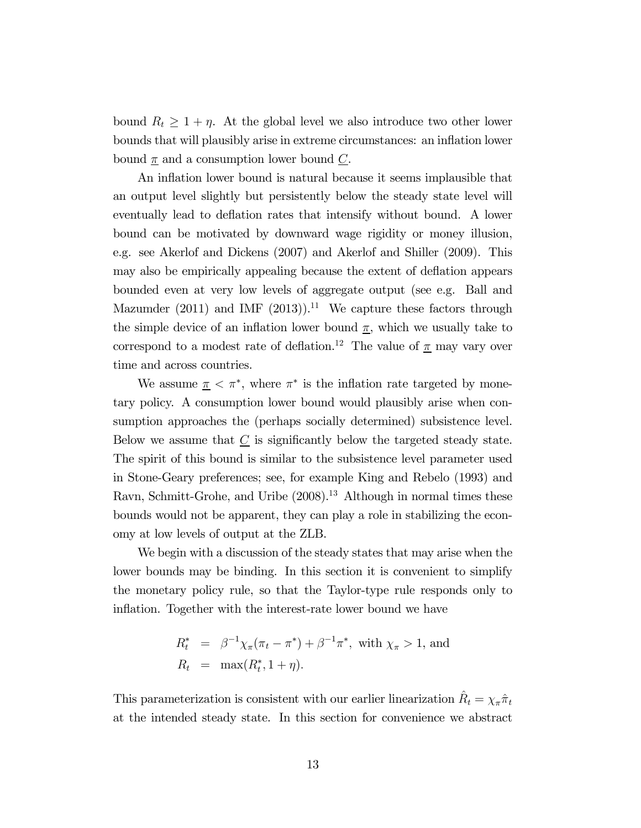bound  $R_t \geq 1 + \eta$ . At the global level we also introduce two other lower bounds that will plausibly arise in extreme circumstances: an inflation lower bound  $\underline{\pi}$  and a consumption lower bound  $\underline{C}$ .

An inflation lower bound is natural because it seems implausible that an output level slightly but persistently below the steady state level will eventually lead to deflation rates that intensify without bound. A lower bound can be motivated by downward wage rigidity or money illusion, e.g. see Akerlof and Dickens (2007) and Akerlof and Shiller (2009). This may also be empirically appealing because the extent of deflation appears bounded even at very low levels of aggregate output (see e.g. Ball and Mazumder (2011) and IMF (2013)).<sup>11</sup> We capture these factors through the simple device of an inflation lower bound  $\underline{\pi}$ , which we usually take to correspond to a modest rate of deflation.<sup>12</sup> The value of  $\underline{\pi}$  may vary over time and across countries.

We assume  $\pi < \pi^*$ , where  $\pi^*$  is the inflation rate targeted by monetary policy. A consumption lower bound would plausibly arise when consumption approaches the (perhaps socially determined) subsistence level. Below we assume that  $\underline{C}$  is significantly below the targeted steady state. The spirit of this bound is similar to the subsistence level parameter used in Stone-Geary preferences; see, for example King and Rebelo (1993) and Ravn, Schmitt-Grohe, and Uribe  $(2008)^{13}$  Although in normal times these bounds would not be apparent, they can play a role in stabilizing the economy at low levels of output at the ZLB.

We begin with a discussion of the steady states that may arise when the lower bounds may be binding. In this section it is convenient to simplify the monetary policy rule, so that the Taylor-type rule responds only to inflation. Together with the interest-rate lower bound we have

$$
R_t^* = \beta^{-1} \chi_\pi(\pi_t - \pi^*) + \beta^{-1} \pi^*, \text{ with } \chi_\pi > 1, \text{ and}
$$
  

$$
R_t = \max(R_t^*, 1 + \eta).
$$

This parameterization is consistent with our earlier linearization  $\hat{R}_t = \chi_\pi \hat{\pi}_t$ at the intended steady state. In this section for convenience we abstract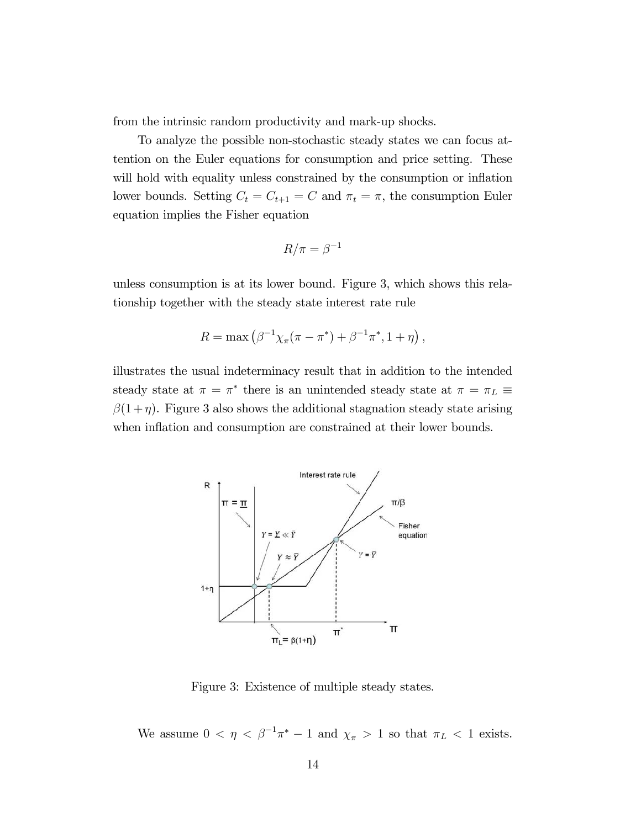from the intrinsic random productivity and mark-up shocks.

To analyze the possible non-stochastic steady states we can focus attention on the Euler equations for consumption and price setting. These will hold with equality unless constrained by the consumption or inflation lower bounds. Setting  $C_t = C_{t+1} = C$  and  $\pi_t = \pi$ , the consumption Euler equation implies the Fisher equation

$$
R/\pi = \beta^{-1}
$$

unless consumption is at its lower bound. Figure 3, which shows this relationship together with the steady state interest rate rule

$$
R = \max (\beta^{-1} \chi_{\pi}(\pi - \pi^*) + \beta^{-1} \pi^*, 1 + \eta),
$$

illustrates the usual indeterminacy result that in addition to the intended steady state at  $\pi = \pi^*$  there is an unintended steady state at  $\pi = \pi_L \equiv$  $\beta(1 + \eta)$ . Figure 3 also shows the additional stagnation steady state arising when inflation and consumption are constrained at their lower bounds.



Figure 3: Existence of multiple steady states.

We assume  $0 < \eta < \beta^{-1}\pi^* - 1$  and  $\chi_{\pi} > 1$  so that  $\pi_L < 1$  exists.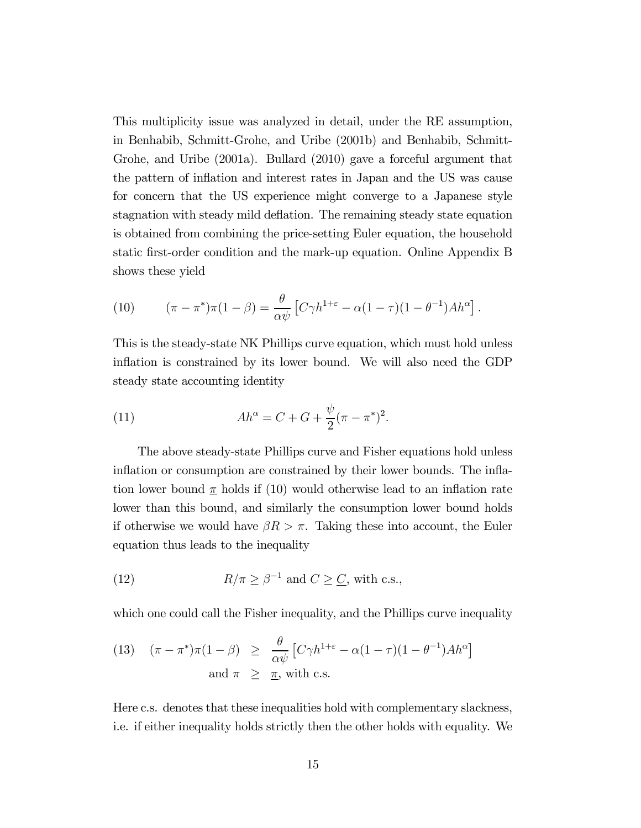This multiplicity issue was analyzed in detail, under the RE assumption, in Benhabib, Schmitt-Grohe, and Uribe (2001b) and Benhabib, Schmitt-Grohe, and Uribe (2001a). Bullard (2010) gave a forceful argument that the pattern of inflation and interest rates in Japan and the US was cause for concern that the US experience might converge to a Japanese style stagnation with steady mild deflation. The remaining steady state equation is obtained from combining the price-setting Euler equation, the household static first-order condition and the mark-up equation. Online Appendix B shows these yield

(10) 
$$
(\pi - \pi^*)\pi(1 - \beta) = \frac{\theta}{\alpha \psi} \left[ C\gamma h^{1+\epsilon} - \alpha(1-\tau)(1-\theta^{-1})Ah^{\alpha} \right].
$$

This is the steady-state NK Phillips curve equation, which must hold unless inflation is constrained by its lower bound. We will also need the GDP steady state accounting identity

(11) 
$$
Ah^{\alpha} = C + G + \frac{\psi}{2}(\pi - \pi^*)^2.
$$

The above steady-state Phillips curve and Fisher equations hold unless inflation or consumption are constrained by their lower bounds. The inflation lower bound  $\pi$  holds if (10) would otherwise lead to an inflation rate lower than this bound, and similarly the consumption lower bound holds if otherwise we would have  $\beta R > \pi$ . Taking these into account, the Euler equation thus leads to the inequality

(12) 
$$
R/\pi \geq \beta^{-1} \text{ and } C \geq \underline{C}, \text{ with c.s.},
$$

which one could call the Fisher inequality, and the Phillips curve inequality

(13) 
$$
(\pi - \pi^*)\pi(1 - \beta) \ge \frac{\theta}{\alpha \psi} [C\gamma h^{1+\epsilon} - \alpha(1-\tau)(1-\theta^{-1})Ah^{\alpha}]
$$
  
and  $\pi \ge \underline{\pi}$ , with c.s.

Here c.s. denotes that these inequalities hold with complementary slackness, i.e. if either inequality holds strictly then the other holds with equality. We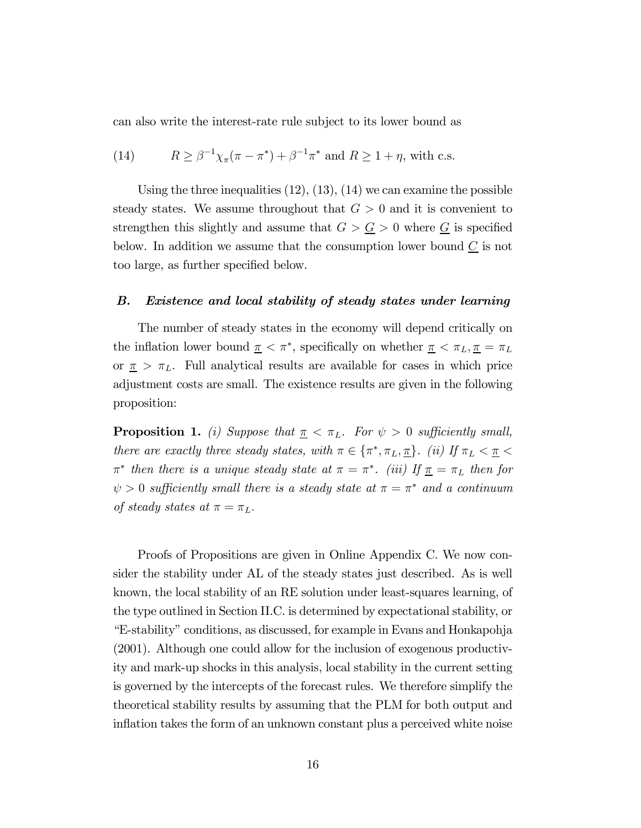can also write the interest-rate rule subject to its lower bound as

(14) 
$$
R \ge \beta^{-1} \chi_{\pi}(\pi - \pi^*) + \beta^{-1} \pi^*
$$
 and  $R \ge 1 + \eta$ , with c.s.

Using the three inequalities  $(12)$ ,  $(13)$ ,  $(14)$  we can examine the possible steady states. We assume throughout that  $G > 0$  and it is convenient to strengthen this slightly and assume that  $G > \underline{G} > 0$  where  $\underline{G}$  is specified below. In addition we assume that the consumption lower bound  $\underline{C}$  is not too large, as further specified below.

#### B. Existence and local stability of steady states under learning

The number of steady states in the economy will depend critically on the inflation lower bound  $\pi < \pi^*$ , specifically on whether  $\pi < \pi_L, \pi = \pi_L$ or  $\pi > \pi_L$ . Full analytical results are available for cases in which price adjustment costs are small. The existence results are given in the following proposition:

**Proposition 1.** (i) Suppose that  $\pi < \pi_L$ . For  $\psi > 0$  sufficiently small, there are exactly three steady states, with  $\pi \in {\pi^*, \pi_L, \pi}$ . (ii) If  $\pi_L < \pi <$  $\pi^*$  then there is a unique steady state at  $\pi = \pi^*$ . (iii) If  $\underline{\pi} = \pi_L$  then for  $\psi > 0$  sufficiently small there is a steady state at  $\pi = \pi^*$  and a continuum of steady states at  $\pi = \pi_L$ .

Proofs of Propositions are given in Online Appendix C. We now consider the stability under AL of the steady states just described. As is well known, the local stability of an RE solution under least-squares learning, of the type outlined in Section II.C. is determined by expectational stability, or "E-stability" conditions, as discussed, for example in Evans and Honkapohja (2001). Although one could allow for the inclusion of exogenous productivity and mark-up shocks in this analysis, local stability in the current setting is governed by the intercepts of the forecast rules. We therefore simplify the theoretical stability results by assuming that the PLM for both output and inflation takes the form of an unknown constant plus a perceived white noise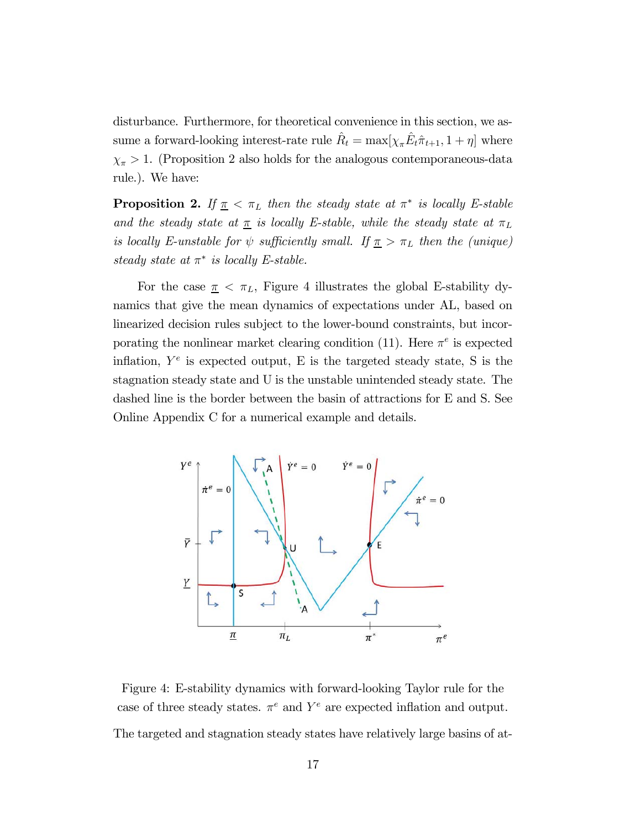disturbance. Furthermore, for theoretical convenience in this section, we assume a forward-looking interest-rate rule  $\hat{R}_t = \max[\chi_{\pi} \hat{E}_t \hat{\pi}_{t+1}, 1 + \eta]$  where  $\chi_{\pi}$  > 1. (Proposition 2 also holds for the analogous contemporaneous-data rule.). We have:

**Proposition 2.** If  $\pi < \pi_L$  then the steady state at  $\pi^*$  is locally E-stable and the steady state at  $\underline{\pi}$  is locally E-stable, while the steady state at  $\pi_L$ is locally E-unstable for  $\psi$  sufficiently small. If  $\pi > \pi_L$  then the (unique) steady state at  $\pi^*$  is locally E-stable.

For the case  $\pi < \pi_L$ , Figure 4 illustrates the global E-stability dynamics that give the mean dynamics of expectations under AL, based on linearized decision rules subject to the lower-bound constraints, but incorporating the nonlinear market clearing condition (11). Here  $\pi^e$  is expected inflation,  $Y^e$  is expected output, E is the targeted steady state, S is the stagnation steady state and U is the unstable unintended steady state. The dashed line is the border between the basin of attractions for E and S. See Online Appendix C for a numerical example and details.



Figure 4: E-stability dynamics with forward-looking Taylor rule for the case of three steady states.  $\pi^e$  and  $Y^e$  are expected inflation and output. The targeted and stagnation steady states have relatively large basins of at-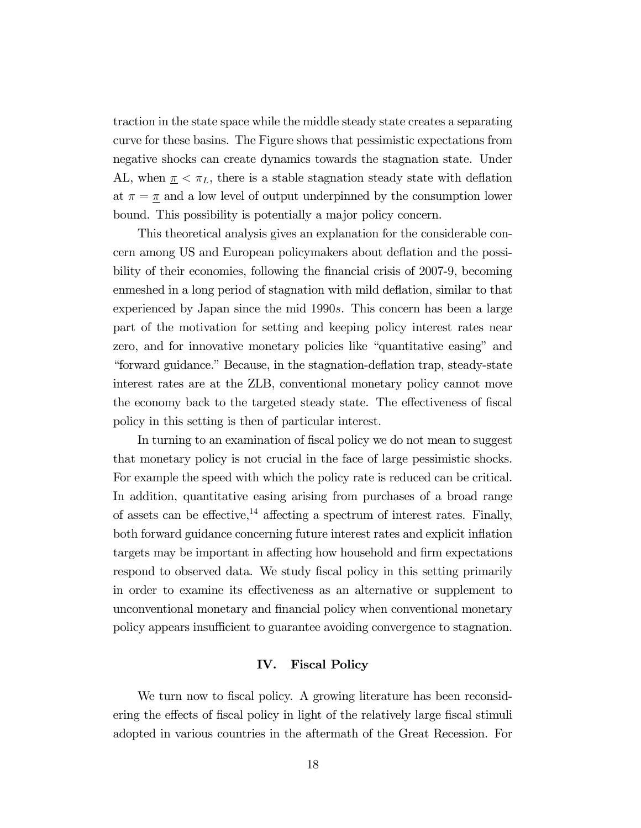traction in the state space while the middle steady state creates a separating curve for these basins. The Figure shows that pessimistic expectations from negative shocks can create dynamics towards the stagnation state. Under AL, when  $\underline{\pi} < \pi_L$ , there is a stable stagnation steady state with deflation at  $\pi = \pi$  and a low level of output underpinned by the consumption lower bound. This possibility is potentially a major policy concern.

This theoretical analysis gives an explanation for the considerable concern among US and European policymakers about deflation and the possibility of their economies, following the financial crisis of 2007-9, becoming enmeshed in a long period of stagnation with mild deflation, similar to that experienced by Japan since the mid 1990s. This concern has been a large part of the motivation for setting and keeping policy interest rates near zero, and for innovative monetary policies like "quantitative easing" and "forward guidance." Because, in the stagnation-deflation trap, steady-state interest rates are at the ZLB, conventional monetary policy cannot move the economy back to the targeted steady state. The effectiveness of fiscal policy in this setting is then of particular interest.

In turning to an examination of fiscal policy we do not mean to suggest that monetary policy is not crucial in the face of large pessimistic shocks. For example the speed with which the policy rate is reduced can be critical. In addition, quantitative easing arising from purchases of a broad range of assets can be effective,<sup>14</sup> affecting a spectrum of interest rates. Finally, both forward guidance concerning future interest rates and explicit inflation targets may be important in affecting how household and firm expectations respond to observed data. We study fiscal policy in this setting primarily in order to examine its effectiveness as an alternative or supplement to unconventional monetary and financial policy when conventional monetary policy appears insufficient to guarantee avoiding convergence to stagnation.

## IV. Fiscal Policy

We turn now to fiscal policy. A growing literature has been reconsidering the effects of fiscal policy in light of the relatively large fiscal stimuli adopted in various countries in the aftermath of the Great Recession. For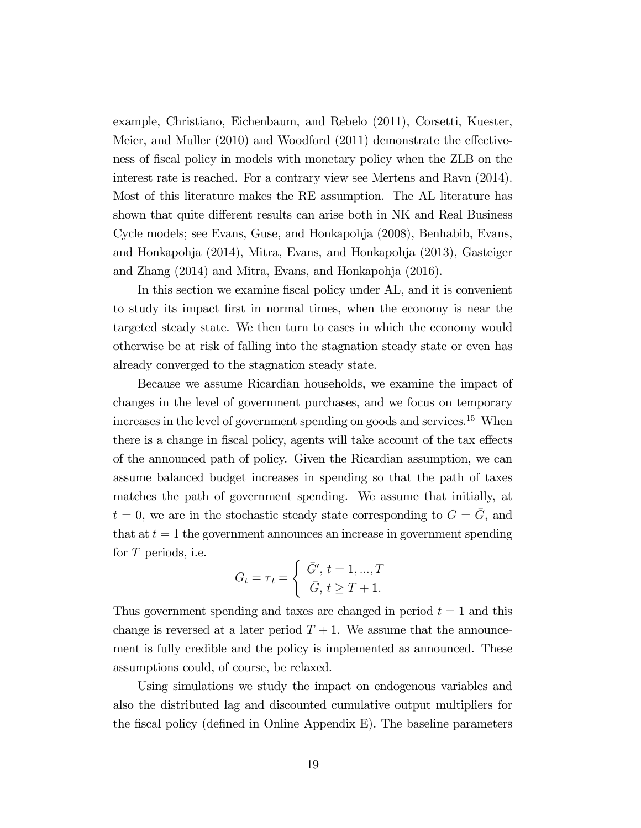example, Christiano, Eichenbaum, and Rebelo (2011), Corsetti, Kuester, Meier, and Muller (2010) and Woodford (2011) demonstrate the effectiveness of fiscal policy in models with monetary policy when the ZLB on the interest rate is reached. For a contrary view see Mertens and Ravn (2014). Most of this literature makes the RE assumption. The AL literature has shown that quite different results can arise both in NK and Real Business Cycle models; see Evans, Guse, and Honkapohja (2008), Benhabib, Evans, and Honkapohja (2014), Mitra, Evans, and Honkapohja (2013), Gasteiger and Zhang (2014) and Mitra, Evans, and Honkapohja (2016).

In this section we examine fiscal policy under AL, and it is convenient to study its impact first in normal times, when the economy is near the targeted steady state. We then turn to cases in which the economy would otherwise be at risk of falling into the stagnation steady state or even has already converged to the stagnation steady state.

Because we assume Ricardian households, we examine the impact of changes in the level of government purchases, and we focus on temporary increases in the level of government spending on goods and services.<sup>15</sup> When there is a change in fiscal policy, agents will take account of the tax effects of the announced path of policy. Given the Ricardian assumption, we can assume balanced budget increases in spending so that the path of taxes matches the path of government spending. We assume that initially, at  $t = 0$ , we are in the stochastic steady state corresponding to  $G = \overline{G}$ , and that at  $t = 1$  the government announces an increase in government spending for  $T$  periods, i.e.

$$
G_t = \tau_t = \begin{cases} \bar{G}', t = 1, ..., T \\ \bar{G}, t \ge T + 1. \end{cases}
$$

Thus government spending and taxes are changed in period  $t = 1$  and this change is reversed at a later period  $T + 1$ . We assume that the announcement is fully credible and the policy is implemented as announced. These assumptions could, of course, be relaxed.

Using simulations we study the impact on endogenous variables and also the distributed lag and discounted cumulative output multipliers for the fiscal policy (defined in Online Appendix E). The baseline parameters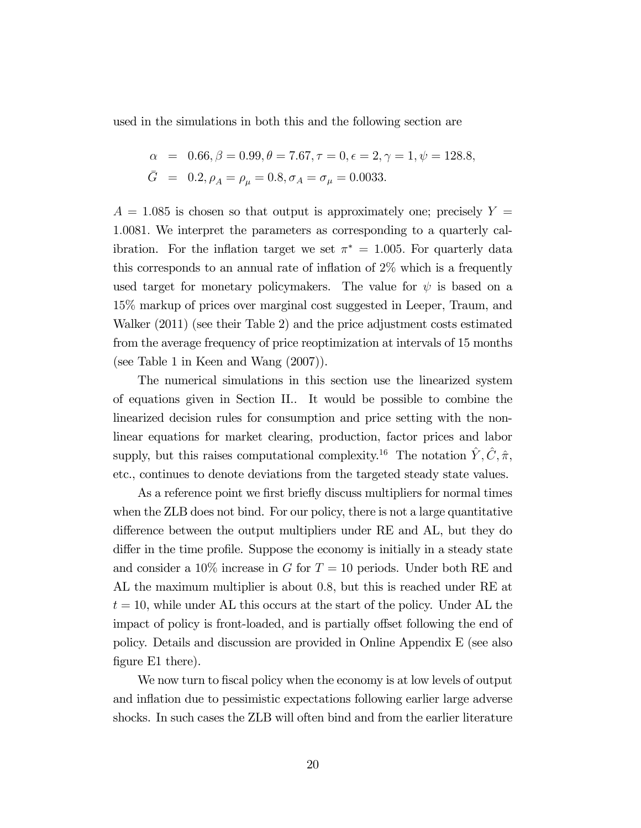used in the simulations in both this and the following section are

$$
\alpha = 0.66, \beta = 0.99, \theta = 7.67, \tau = 0, \epsilon = 2, \gamma = 1, \psi = 128.8,
$$
  

$$
\bar{G} = 0.2, \rho_A = \rho_\mu = 0.8, \sigma_A = \sigma_\mu = 0.0033.
$$

 $A = 1.085$  is chosen so that output is approximately one; precisely  $Y =$ 10081 We interpret the parameters as corresponding to a quarterly calibration. For the inflation target we set  $\pi^* = 1.005$ . For quarterly data this corresponds to an annual rate of inflation of 2% which is a frequently used target for monetary policymakers. The value for  $\psi$  is based on a 15% markup of prices over marginal cost suggested in Leeper, Traum, and Walker (2011) (see their Table 2) and the price adjustment costs estimated from the average frequency of price reoptimization at intervals of 15 months (see Table 1 in Keen and Wang (2007)).

The numerical simulations in this section use the linearized system of equations given in Section II.. It would be possible to combine the linearized decision rules for consumption and price setting with the nonlinear equations for market clearing, production, factor prices and labor supply, but this raises computational complexity.<sup>16</sup> The notation  $\hat{Y}, \hat{C}, \hat{\pi}$ , etc., continues to denote deviations from the targeted steady state values.

As a reference point we first briefly discuss multipliers for normal times when the ZLB does not bind. For our policy, there is not a large quantitative difference between the output multipliers under RE and AL, but they do differ in the time profile. Suppose the economy is initially in a steady state and consider a 10% increase in  $G$  for  $T = 10$  periods. Under both RE and AL the maximum multiplier is about 08, but this is reached under RE at  $t = 10$ , while under AL this occurs at the start of the policy. Under AL the impact of policy is front-loaded, and is partially offset following the end of policy. Details and discussion are provided in Online Appendix E (see also figure E1 there).

We now turn to fiscal policy when the economy is at low levels of output and inflation due to pessimistic expectations following earlier large adverse shocks. In such cases the ZLB will often bind and from the earlier literature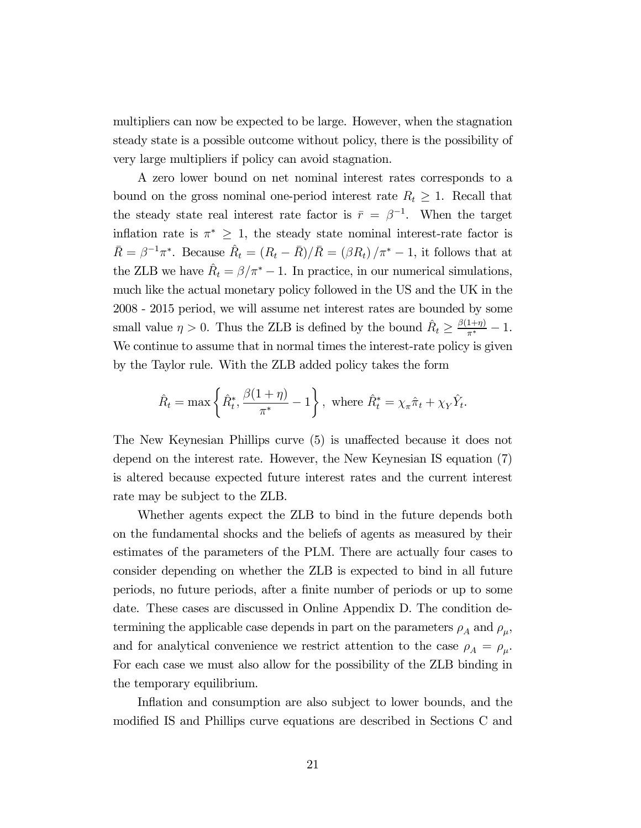multipliers can now be expected to be large. However, when the stagnation steady state is a possible outcome without policy, there is the possibility of very large multipliers if policy can avoid stagnation.

A zero lower bound on net nominal interest rates corresponds to a bound on the gross nominal one-period interest rate  $R_t \geq 1$ . Recall that the steady state real interest rate factor is  $\bar{r} = \beta^{-1}$ . When the target inflation rate is  $\pi^* \geq 1$ , the steady state nominal interest-rate factor is  $\bar{R} = \beta^{-1}\pi^*$ . Because  $\hat{R}_t = (R_t - \bar{R})/\bar{R} = (\beta R_t)/\pi^* - 1$ , it follows that at the ZLB we have  $\hat{R}_t = \beta/\pi^* - 1$ . In practice, in our numerical simulations, much like the actual monetary policy followed in the US and the UK in the 2008 - 2015 period, we will assume net interest rates are bounded by some small value  $\eta > 0$ . Thus the ZLB is defined by the bound  $\hat{R}_t \geq \frac{\beta(1+\eta)}{\pi^*} - 1$ . We continue to assume that in normal times the interest-rate policy is given by the Taylor rule. With the ZLB added policy takes the form

$$
\hat{R}_t = \max\left\{\hat{R}_t^*, \frac{\beta(1+\eta)}{\pi^*} - 1\right\}, \text{ where } \hat{R}_t^* = \chi_\pi \hat{\pi}_t + \chi_Y \hat{Y}_t.
$$

The New Keynesian Phillips curve (5) is unaffected because it does not depend on the interest rate. However, the New Keynesian IS equation (7) is altered because expected future interest rates and the current interest rate may be subject to the ZLB.

Whether agents expect the ZLB to bind in the future depends both on the fundamental shocks and the beliefs of agents as measured by their estimates of the parameters of the PLM. There are actually four cases to consider depending on whether the ZLB is expected to bind in all future periods, no future periods, after a finite number of periods or up to some date. These cases are discussed in Online Appendix D. The condition determining the applicable case depends in part on the parameters  $\rho_A$  and  $\rho_\mu$ , and for analytical convenience we restrict attention to the case  $\rho_A = \rho_\mu$ . For each case we must also allow for the possibility of the ZLB binding in the temporary equilibrium.

Inflation and consumption are also subject to lower bounds, and the modified IS and Phillips curve equations are described in Sections C and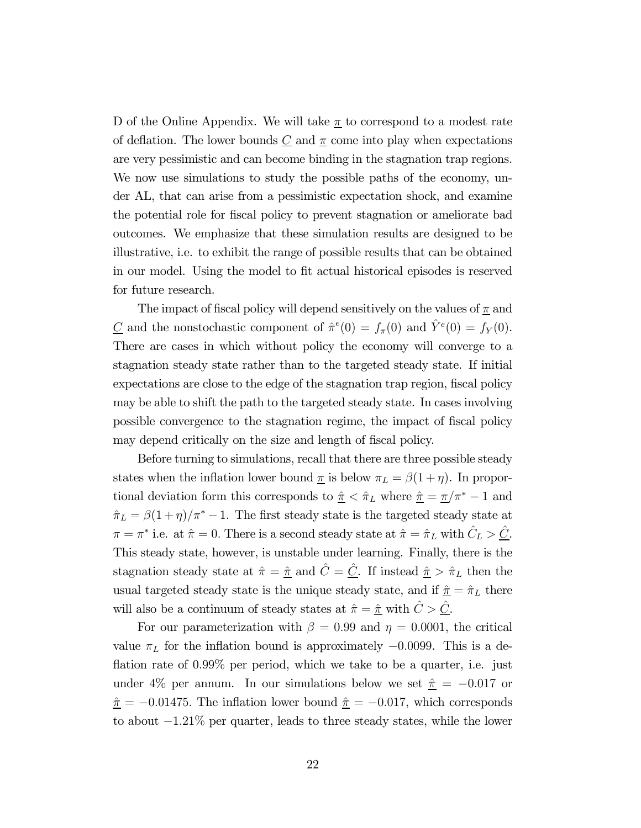D of the Online Appendix. We will take  $\pi$  to correspond to a modest rate of deflation. The lower bounds  $C$  and  $\pi$  come into play when expectations are very pessimistic and can become binding in the stagnation trap regions. We now use simulations to study the possible paths of the economy, under AL, that can arise from a pessimistic expectation shock, and examine the potential role for fiscal policy to prevent stagnation or ameliorate bad outcomes. We emphasize that these simulation results are designed to be illustrative, i.e. to exhibit the range of possible results that can be obtained in our model. Using the model to fit actual historical episodes is reserved for future research.

The impact of fiscal policy will depend sensitively on the values of  $\pi$  and  $\underline{C}$  and the nonstochastic component of  $\hat{\pi}^e(0) = f_{\pi}(0)$  and  $\hat{Y}^e(0) = f_{Y}(0)$ . There are cases in which without policy the economy will converge to a stagnation steady state rather than to the targeted steady state. If initial expectations are close to the edge of the stagnation trap region, fiscal policy may be able to shift the path to the targeted steady state. In cases involving possible convergence to the stagnation regime, the impact of fiscal policy may depend critically on the size and length of fiscal policy.

Before turning to simulations, recall that there are three possible steady states when the inflation lower bound  $\pi$  is below  $\pi_L = \beta(1 + \eta)$ . In proportional deviation form this corresponds to  $\hat{\pi} < \hat{\pi}_L$  where  $\hat{\pi} = \pi/\pi^* - 1$  and  $\hat{\pi}_L = \beta(1 + \eta)/\pi^* - 1$ . The first steady state is the targeted steady state at  $\pi = \pi^*$  i.e. at  $\hat{\pi} = 0$ . There is a second steady state at  $\hat{\pi} = \hat{\pi}_L$  with  $\hat{C}_L > \hat{C}$ . This steady state, however, is unstable under learning. Finally, there is the stagnation steady state at  $\hat{\pi} = \hat{\pi}$  and  $\hat{C} = \hat{C}$ . If instead  $\hat{\pi} > \hat{\pi}_L$  then the usual targeted steady state is the unique steady state, and if  $\hat{\pi} = \hat{\pi}_L$  there will also be a continuum of steady states at  $\hat{\pi} = \hat{\pi}$  with  $\hat{C} > \hat{C}$ .

For our parameterization with  $\beta = 0.99$  and  $\eta = 0.0001$ , the critical value  $\pi_L$  for the inflation bound is approximately  $-0.0099$ . This is a deflation rate of 0.99% per period, which we take to be a quarter, i.e. just under 4% per annum. In our simulations below we set  $\hat{\pi} = -0.017$  or  $\hat{\pi} = -0.01475$ . The inflation lower bound  $\hat{\pi} = -0.017$ , which corresponds to about −121% per quarter, leads to three steady states, while the lower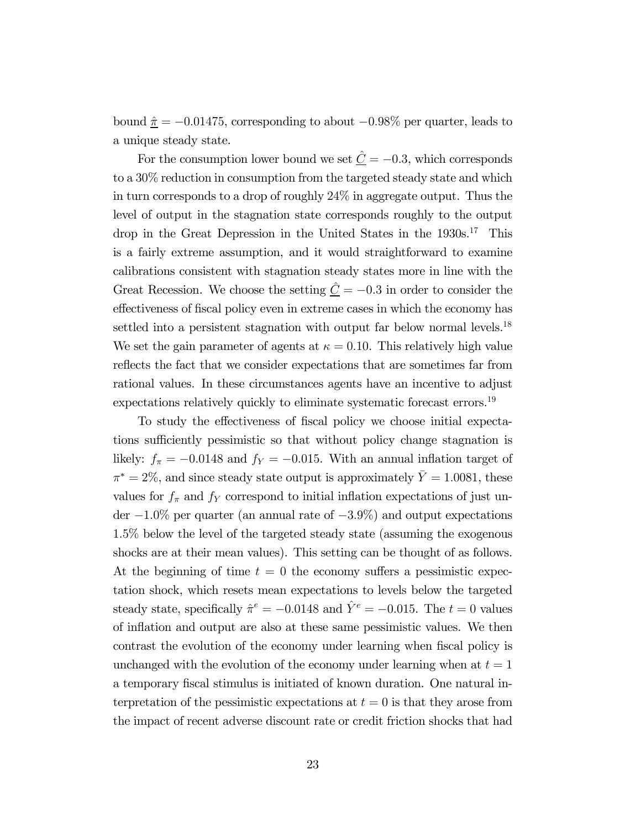bound  $\hat{\pi} = -0.01475$ , corresponding to about  $-0.98\%$  per quarter, leads to a unique steady state.

For the consumption lower bound we set  $\hat{\underline{C}} = -0.3$ , which corresponds to a 30% reduction in consumption from the targeted steady state and which in turn corresponds to a drop of roughly 24% in aggregate output. Thus the level of output in the stagnation state corresponds roughly to the output drop in the Great Depression in the United States in the 1930s.<sup>17</sup> This is a fairly extreme assumption, and it would straightforward to examine calibrations consistent with stagnation steady states more in line with the Great Recession. We choose the setting  $\hat{\underline{C}} = -0.3$  in order to consider the effectiveness of fiscal policy even in extreme cases in which the economy has settled into a persistent stagnation with output far below normal levels.<sup>18</sup> We set the gain parameter of agents at  $\kappa = 0.10$ . This relatively high value reflects the fact that we consider expectations that are sometimes far from rational values. In these circumstances agents have an incentive to adjust expectations relatively quickly to eliminate systematic forecast errors.<sup>19</sup>

To study the effectiveness of fiscal policy we choose initial expectations sufficiently pessimistic so that without policy change stagnation is likely:  $f_{\pi} = -0.0148$  and  $f_{Y} = -0.015$ . With an annual inflation target of  $\pi^* = 2\%$ , and since steady state output is approximately  $\overline{Y} = 1.0081$ , these values for  $f_{\pi}$  and  $f_{Y}$  correspond to initial inflation expectations of just under  $-1.0\%$  per quarter (an annual rate of  $-3.9\%$ ) and output expectations 15% below the level of the targeted steady state (assuming the exogenous shocks are at their mean values). This setting can be thought of as follows. At the beginning of time  $t = 0$  the economy suffers a pessimistic expectation shock, which resets mean expectations to levels below the targeted steady state, specifically  $\hat{\pi}^e = -0.0148$  and  $\hat{Y}^e = -0.015$ . The  $t = 0$  values of inflation and output are also at these same pessimistic values. We then contrast the evolution of the economy under learning when fiscal policy is unchanged with the evolution of the economy under learning when at  $t = 1$ a temporary fiscal stimulus is initiated of known duration. One natural interpretation of the pessimistic expectations at  $t = 0$  is that they arose from the impact of recent adverse discount rate or credit friction shocks that had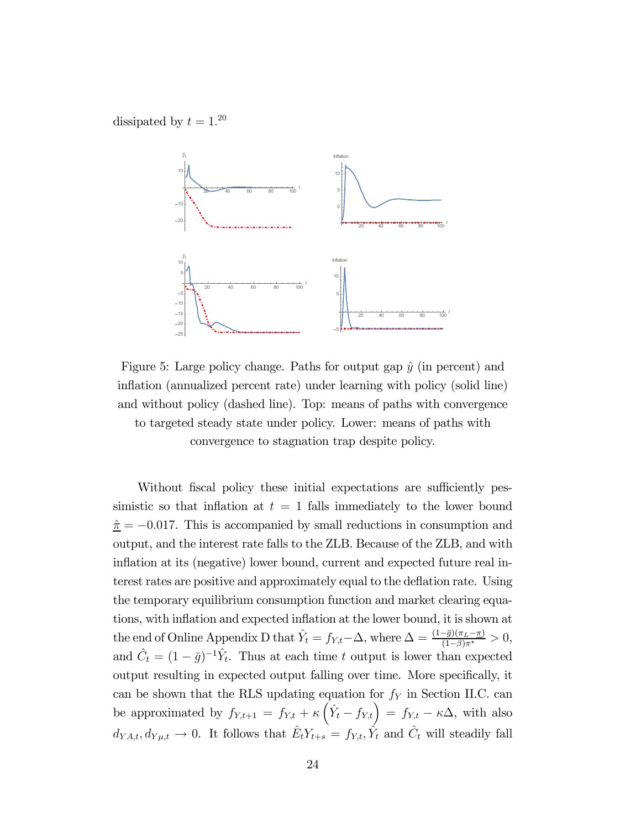dissipated by  $t = 1.^{20}$ 



Figure 5: Large policy change. Paths for output gap  $\hat{y}$  (in percent) and inflation (annualized percent rate) under learning with policy (solid line) and without policy (dashed line). Top: means of paths with convergence to targeted steady state under policy. Lower: means of paths with convergence to stagnation trap despite policy.

Without fiscal policy these initial expectations are sufficiently pessimistic so that inflation at  $t = 1$  falls immediately to the lower bound  $\hat{\pi} = -0.017$ . This is accompanied by small reductions in consumption and output, and the interest rate falls to the ZLB. Because of the ZLB, and with inflation at its (negative) lower bound, current and expected future real interest rates are positive and approximately equal to the deflation rate. Using the temporary equilibrium consumption function and market clearing equations, with inflation and expected inflation at the lower bound, it is shown at the end of Online Appendix D that  $\hat{Y}_t = f_{Y,t} - \Delta$ , where  $\Delta = \frac{(1-\bar{g})(\pi_L - \pi)}{(1-\beta)\pi^*} > 0$ , and  $\hat{C}_t = (1 - \bar{g})^{-1} \hat{Y}_t$ . Thus at each time t output is lower than expected output resulting in expected output falling over time. More specifically, it can be shown that the RLS updating equation for  $f<sub>Y</sub>$  in Section II.C. can be approximated by  $f_{Y,t+1} = f_{Y,t} + \kappa \left(\hat{Y}_t - f_{Y,t}\right) = f_{Y,t} - \kappa \Delta$ , with also  $d_{YA,t}, d_{Y\mu,t} \to 0$ . It follows that  $\hat{E}_t Y_{t+s} = f_{Y,t}, \hat{Y}_t$  and  $\hat{C}_t$  will steadily fall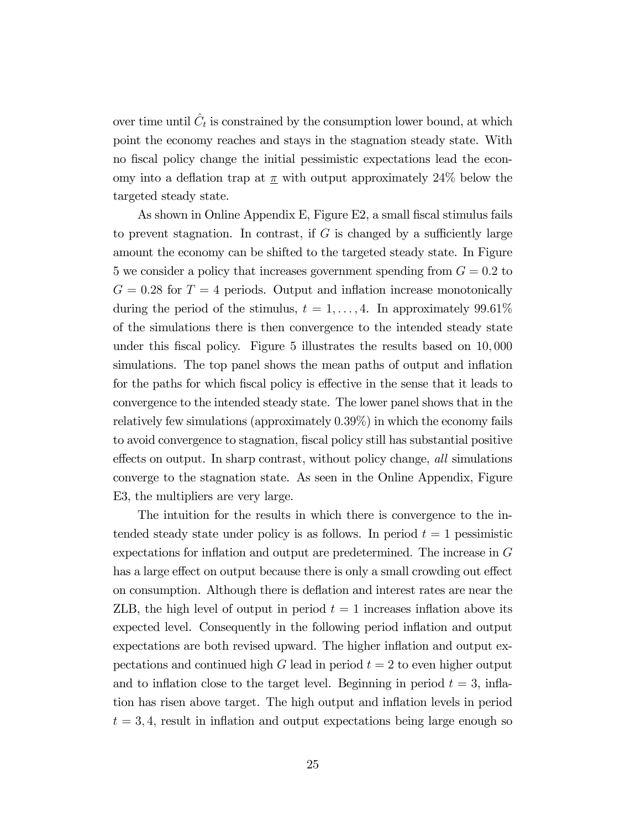over time until  $\hat{C}_t$  is constrained by the consumption lower bound, at which point the economy reaches and stays in the stagnation steady state. With no fiscal policy change the initial pessimistic expectations lead the economy into a deflation trap at  $\pi$  with output approximately 24% below the targeted steady state.

As shown in Online Appendix E, Figure E2, a small fiscal stimulus fails to prevent stagnation. In contrast, if  $G$  is changed by a sufficiently large amount the economy can be shifted to the targeted steady state. In Figure 5 we consider a policy that increases government spending from  $G = 0.2$  to  $G = 0.28$  for  $T = 4$  periods. Output and inflation increase monotonically during the period of the stimulus,  $t = 1, \ldots, 4$ . In approximately 99.61% of the simulations there is then convergence to the intended steady state under this fiscal policy. Figure 5 illustrates the results based on 10 000 simulations. The top panel shows the mean paths of output and inflation for the paths for which fiscal policy is effective in the sense that it leads to convergence to the intended steady state. The lower panel shows that in the relatively few simulations (approximately 039%) in which the economy fails to avoid convergence to stagnation, fiscal policy still has substantial positive effects on output. In sharp contrast, without policy change, all simulations converge to the stagnation state. As seen in the Online Appendix, Figure E3, the multipliers are very large.

The intuition for the results in which there is convergence to the intended steady state under policy is as follows. In period  $t = 1$  pessimistic expectations for inflation and output are predetermined. The increase in  $G$ has a large effect on output because there is only a small crowding out effect on consumption. Although there is deflation and interest rates are near the ZLB, the high level of output in period  $t = 1$  increases inflation above its expected level. Consequently in the following period inflation and output expectations are both revised upward. The higher inflation and output expectations and continued high  $G$  lead in period  $t = 2$  to even higher output and to inflation close to the target level. Beginning in period  $t = 3$ , inflation has risen above target. The high output and inflation levels in period  $t = 3, 4$ , result in inflation and output expectations being large enough so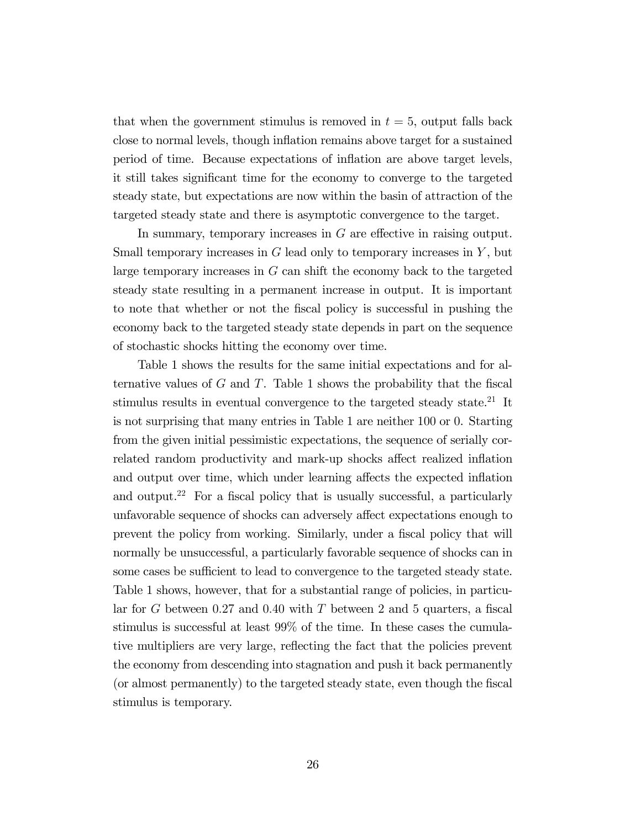that when the government stimulus is removed in  $t = 5$ , output falls back close to normal levels, though inflation remains above target for a sustained period of time. Because expectations of inflation are above target levels, it still takes significant time for the economy to converge to the targeted steady state, but expectations are now within the basin of attraction of the targeted steady state and there is asymptotic convergence to the target.

In summary, temporary increases in  $G$  are effective in raising output. Small temporary increases in  $G$  lead only to temporary increases in  $Y$ , but large temporary increases in  $G$  can shift the economy back to the targeted steady state resulting in a permanent increase in output. It is important to note that whether or not the fiscal policy is successful in pushing the economy back to the targeted steady state depends in part on the sequence of stochastic shocks hitting the economy over time.

Table 1 shows the results for the same initial expectations and for alternative values of  $G$  and  $T$ . Table 1 shows the probability that the fiscal stimulus results in eventual convergence to the targeted steady state.<sup>21</sup> It is not surprising that many entries in Table 1 are neither 100 or 0. Starting from the given initial pessimistic expectations, the sequence of serially correlated random productivity and mark-up shocks affect realized inflation and output over time, which under learning affects the expected inflation and output.<sup>22</sup> For a fiscal policy that is usually successful, a particularly unfavorable sequence of shocks can adversely affect expectations enough to prevent the policy from working. Similarly, under a fiscal policy that will normally be unsuccessful, a particularly favorable sequence of shocks can in some cases be sufficient to lead to convergence to the targeted steady state. Table 1 shows, however, that for a substantial range of policies, in particular for  $G$  between 0.27 and 0.40 with  $T$  between 2 and 5 quarters, a fiscal stimulus is successful at least 99% of the time. In these cases the cumulative multipliers are very large, reflecting the fact that the policies prevent the economy from descending into stagnation and push it back permanently (or almost permanently) to the targeted steady state, even though the fiscal stimulus is temporary.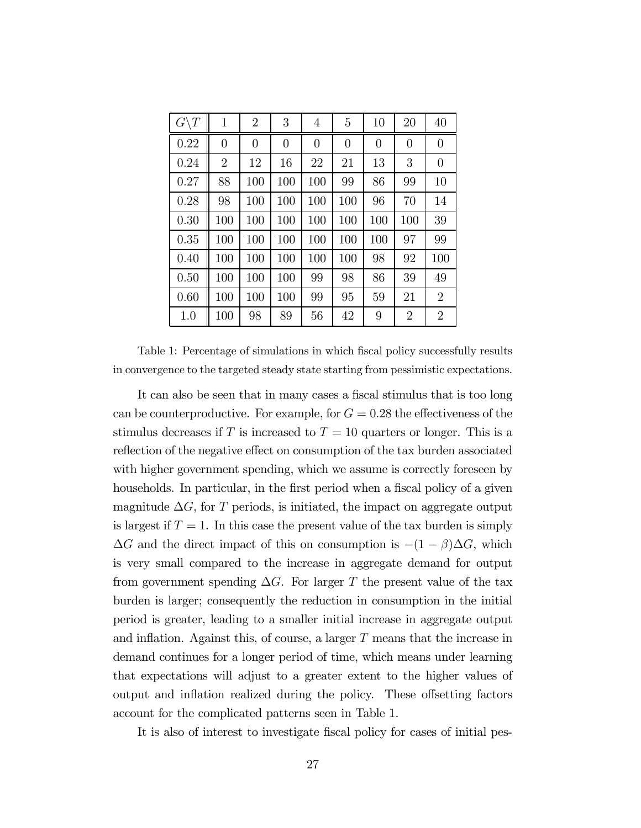| $G\backslash T$ | $\mathbf{1}$   | $\overline{2}$ | 3              | 4              | 5              | $10\,$         | 20             | 40             |
|-----------------|----------------|----------------|----------------|----------------|----------------|----------------|----------------|----------------|
| 0.22            | $\overline{0}$ | $\overline{0}$ | $\overline{0}$ | $\overline{0}$ | $\overline{0}$ | $\overline{0}$ | $\overline{0}$ | $\overline{0}$ |
| 0.24            | $\overline{2}$ | 12             | 16             | 22             | 21             | 13             | 3              | $\overline{0}$ |
| 0.27            | 88             | 100            | 100            | 100            | 99             | 86             | 99             | 10             |
| 0.28            | 98             | 100            | 100            | 100            | 100            | 96             | 70             | 14             |
| 0.30            | 100            | 100            | 100            | 100            | 100            | 100            | 100            | 39             |
| 0.35            | 100            | 100            | 100            | 100            | 100            | 100            | 97             | 99             |
| 0.40            | 100            | 100            | 100            | 100            | 100            | 98             | 92             | 100            |
| 0.50            | 100            | 100            | 100            | 99             | 98             | 86             | 39             | 49             |
| 0.60            | 100            | 100            | 100            | 99             | 95             | 59             | 21             | $\overline{2}$ |
| 1.0             | 100            | 98             | 89             | 56             | 42             | 9              | $\overline{2}$ | $\overline{2}$ |

Table 1: Percentage of simulations in which fiscal policy successfully results in convergence to the targeted steady state starting from pessimistic expectations.

It can also be seen that in many cases a fiscal stimulus that is too long can be counterproductive. For example, for  $G = 0.28$  the effectiveness of the stimulus decreases if T is increased to  $T = 10$  quarters or longer. This is a reflection of the negative effect on consumption of the tax burden associated with higher government spending, which we assume is correctly foreseen by households. In particular, in the first period when a fiscal policy of a given magnitude  $\Delta G$ , for T periods, is initiated, the impact on aggregate output is largest if  $T = 1$ . In this case the present value of the tax burden is simply  $\Delta G$  and the direct impact of this on consumption is  $-(1 - \beta)\Delta G$ , which is very small compared to the increase in aggregate demand for output from government spending  $\Delta G$ . For larger T the present value of the tax burden is larger; consequently the reduction in consumption in the initial period is greater, leading to a smaller initial increase in aggregate output and inflation. Against this, of course, a larger  $T$  means that the increase in demand continues for a longer period of time, which means under learning that expectations will adjust to a greater extent to the higher values of output and inflation realized during the policy. These offsetting factors account for the complicated patterns seen in Table 1.

It is also of interest to investigate fiscal policy for cases of initial pes-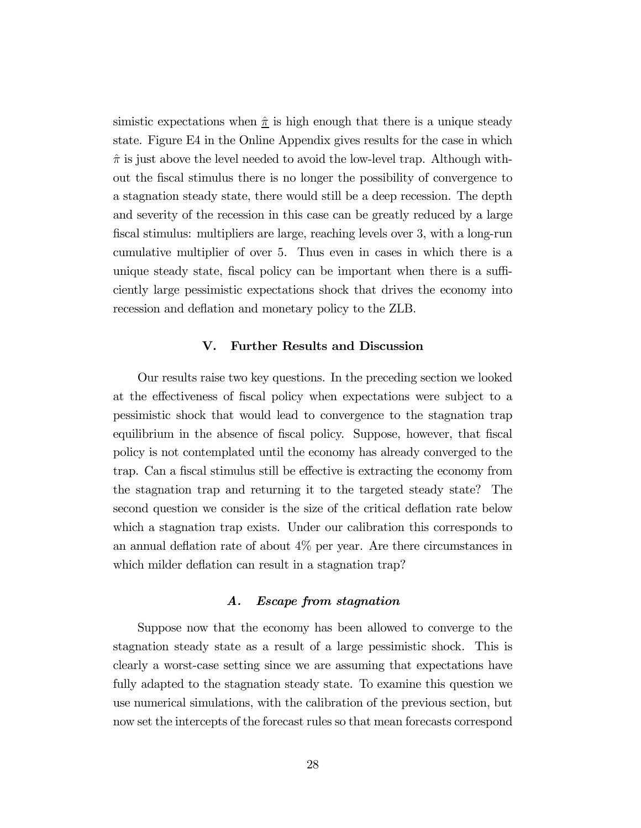simistic expectations when  $\hat{\pi}$  is high enough that there is a unique steady state. Figure E4 in the Online Appendix gives results for the case in which  $\hat{\pi}$  is just above the level needed to avoid the low-level trap. Although without the fiscal stimulus there is no longer the possibility of convergence to a stagnation steady state, there would still be a deep recession. The depth and severity of the recession in this case can be greatly reduced by a large fiscal stimulus: multipliers are large, reaching levels over 3, with a long-run cumulative multiplier of over 5. Thus even in cases in which there is a unique steady state, fiscal policy can be important when there is a sufficiently large pessimistic expectations shock that drives the economy into recession and deflation and monetary policy to the ZLB.

# V. Further Results and Discussion

Our results raise two key questions. In the preceding section we looked at the effectiveness of fiscal policy when expectations were subject to a pessimistic shock that would lead to convergence to the stagnation trap equilibrium in the absence of fiscal policy. Suppose, however, that fiscal policy is not contemplated until the economy has already converged to the trap. Can a fiscal stimulus still be effective is extracting the economy from the stagnation trap and returning it to the targeted steady state? The second question we consider is the size of the critical deflation rate below which a stagnation trap exists. Under our calibration this corresponds to an annual deflation rate of about 4% per year. Are there circumstances in which milder deflation can result in a stagnation trap?

#### A. Escape from stagnation

Suppose now that the economy has been allowed to converge to the stagnation steady state as a result of a large pessimistic shock. This is clearly a worst-case setting since we are assuming that expectations have fully adapted to the stagnation steady state. To examine this question we use numerical simulations, with the calibration of the previous section, but now set the intercepts of the forecast rules so that mean forecasts correspond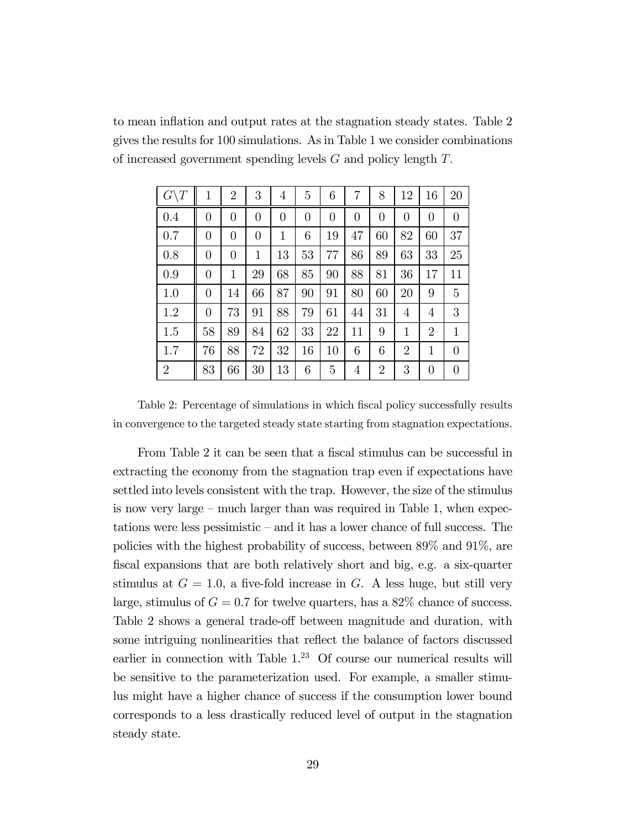to mean inflation and output rates at the stagnation steady states. Table 2 gives the results for 100 simulations. As in Table 1 we consider combinations of increased government spending levels  $G$  and policy length  $T$ .

| $G\backslash T$ | 1              | $\overline{2}$ | 3        | 4  | 5        | 6  | 7              | 8              | 12             | 16             | 20               |
|-----------------|----------------|----------------|----------|----|----------|----|----------------|----------------|----------------|----------------|------------------|
| 0.4             | 0              | $\theta$       | $\theta$ | 0  | $\theta$ | 0  | $\overline{0}$ | $\overline{0}$ | $\overline{0}$ | $\overline{0}$ | $\boldsymbol{0}$ |
| 0.7             | $\overline{0}$ | $\theta$       | $\theta$ | 1  | 6        | 19 | 47             | 60             | 82             | 60             | 37               |
| 0.8             | 0              | $\overline{0}$ | 1        | 13 | 53       | 77 | 86             | 89             | 63             | 33             | 25               |
| 0.9             | 0              | 1              | 29       | 68 | 85       | 90 | 88             | 81             | 36             | 17             | 11               |
| 1.0             | $\theta$       | 14             | 66       | 87 | 90       | 91 | 80             | 60             | 20             | 9              | 5                |
| 1.2             | 0              | 73             | 91       | 88 | 79       | 61 | 44             | 31             | 4              | 4              | 3                |
| 1.5             | 58             | 89             | 84       | 62 | 33       | 22 | 11             | 9              | 1              | $\overline{2}$ | $\mathbf{1}$     |
| 1.7             | 76             | 88             | 72       | 32 | 16       | 10 | 6              | 6              | $\overline{2}$ | $\mathbf{1}$   | $\overline{0}$   |
| $\overline{2}$  | 83             | 66             | 30       | 13 | 6        | 5  | 4              | $\overline{2}$ | 3              | $\theta$       | $\overline{0}$   |

Table 2: Percentage of simulations in which fiscal policy successfully results in convergence to the targeted steady state starting from stagnation expectations.

From Table 2 it can be seen that a fiscal stimulus can be successful in extracting the economy from the stagnation trap even if expectations have settled into levels consistent with the trap. However, the size of the stimulus is now very large — much larger than was required in Table 1, when expectations were less pessimistic — and it has a lower chance of full success. The policies with the highest probability of success, between 89% and 91%, are fiscal expansions that are both relatively short and big, e.g. a six-quarter stimulus at  $G = 1.0$ , a five-fold increase in G. A less huge, but still very large, stimulus of  $G = 0.7$  for twelve quarters, has a  $82\%$  chance of success. Table 2 shows a general trade-off between magnitude and duration, with some intriguing nonlinearities that reflect the balance of factors discussed earlier in connection with Table  $1<sup>23</sup>$  Of course our numerical results will be sensitive to the parameterization used. For example, a smaller stimulus might have a higher chance of success if the consumption lower bound corresponds to a less drastically reduced level of output in the stagnation steady state.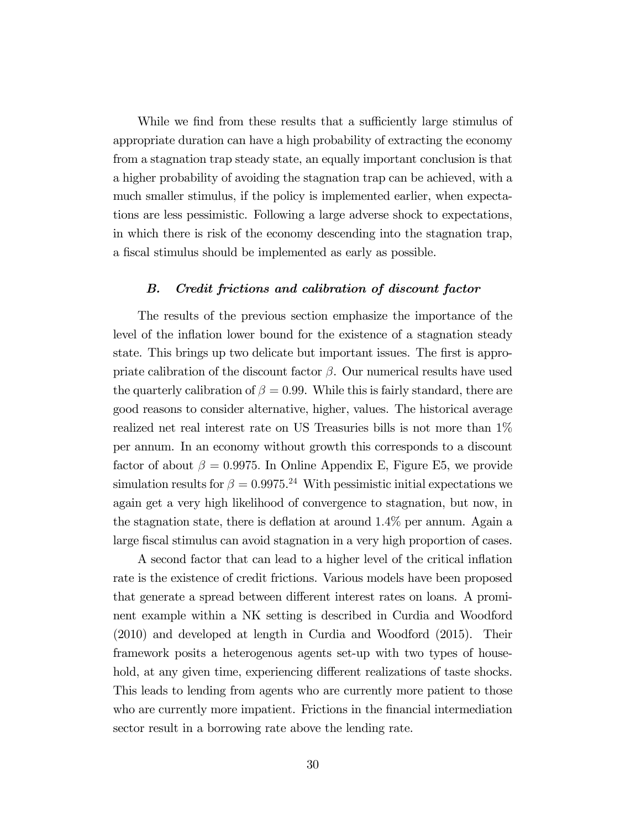While we find from these results that a sufficiently large stimulus of appropriate duration can have a high probability of extracting the economy from a stagnation trap steady state, an equally important conclusion is that a higher probability of avoiding the stagnation trap can be achieved, with a much smaller stimulus, if the policy is implemented earlier, when expectations are less pessimistic. Following a large adverse shock to expectations, in which there is risk of the economy descending into the stagnation trap, a fiscal stimulus should be implemented as early as possible.

#### B. Credit frictions and calibration of discount factor

The results of the previous section emphasize the importance of the level of the inflation lower bound for the existence of a stagnation steady state. This brings up two delicate but important issues. The first is appropriate calibration of the discount factor  $\beta$ . Our numerical results have used the quarterly calibration of  $\beta = 0.99$ . While this is fairly standard, there are good reasons to consider alternative, higher, values. The historical average realized net real interest rate on US Treasuries bills is not more than 1% per annum. In an economy without growth this corresponds to a discount factor of about  $\beta = 0.9975$ . In Online Appendix E, Figure E5, we provide simulation results for  $\beta = 0.9975$ .<sup>24</sup> With pessimistic initial expectations we again get a very high likelihood of convergence to stagnation, but now, in the stagnation state, there is deflation at around 14% per annum. Again a large fiscal stimulus can avoid stagnation in a very high proportion of cases.

A second factor that can lead to a higher level of the critical inflation rate is the existence of credit frictions. Various models have been proposed that generate a spread between different interest rates on loans. A prominent example within a NK setting is described in Curdia and Woodford (2010) and developed at length in Curdia and Woodford (2015). Their framework posits a heterogenous agents set-up with two types of household, at any given time, experiencing different realizations of taste shocks. This leads to lending from agents who are currently more patient to those who are currently more impatient. Frictions in the financial intermediation sector result in a borrowing rate above the lending rate.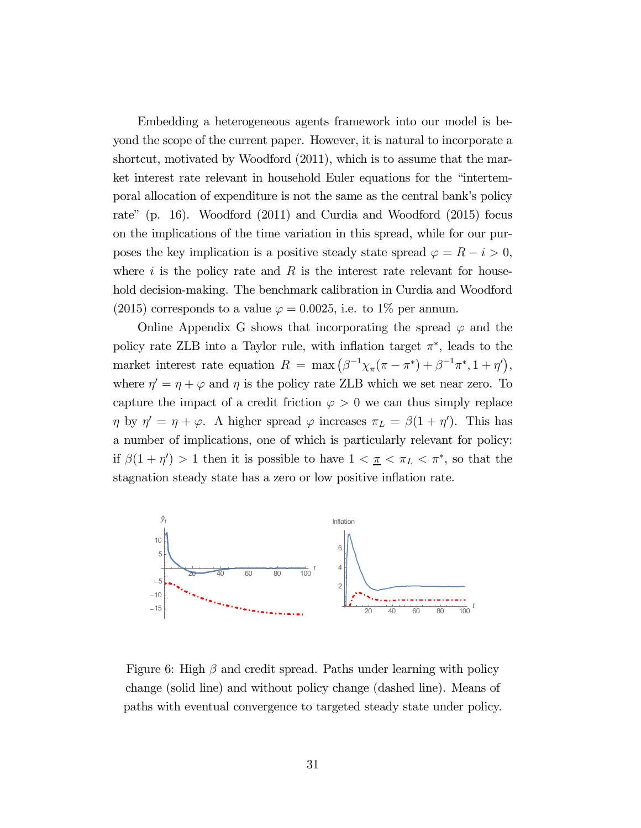Embedding a heterogeneous agents framework into our model is beyond the scope of the current paper. However, it is natural to incorporate a shortcut, motivated by Woodford (2011), which is to assume that the market interest rate relevant in household Euler equations for the "intertemporal allocation of expenditure is not the same as the central bank's policy rate" (p. 16). Woodford (2011) and Curdia and Woodford (2015) focus on the implications of the time variation in this spread, while for our purposes the key implication is a positive steady state spread  $\varphi = R - i > 0$ , where  $i$  is the policy rate and  $R$  is the interest rate relevant for household decision-making. The benchmark calibration in Curdia and Woodford (2015) corresponds to a value  $\varphi = 0.0025$ , i.e. to 1\% per annum.

Online Appendix G shows that incorporating the spread  $\varphi$  and the policy rate ZLB into a Taylor rule, with inflation target  $\pi^*$ , leads to the market interest rate equation  $R = \max(\beta^{-1}\chi_{\pi}(\pi - \pi^*) + \beta^{-1}\pi^*, 1 + \eta')$ , where  $\eta' = \eta + \varphi$  and  $\eta$  is the policy rate ZLB which we set near zero. To capture the impact of a credit friction  $\varphi > 0$  we can thus simply replace  $\eta$  by  $\eta' = \eta + \varphi$ . A higher spread  $\varphi$  increases  $\pi_L = \beta(1 + \eta')$ . This has a number of implications, one of which is particularly relevant for policy: if  $\beta(1 + \eta') > 1$  then it is possible to have  $1 < \underline{\pi} < \pi_L < \pi^*$ , so that the stagnation steady state has a zero or low positive inflation rate.



Figure 6: High  $\beta$  and credit spread. Paths under learning with policy change (solid line) and without policy change (dashed line). Means of paths with eventual convergence to targeted steady state under policy.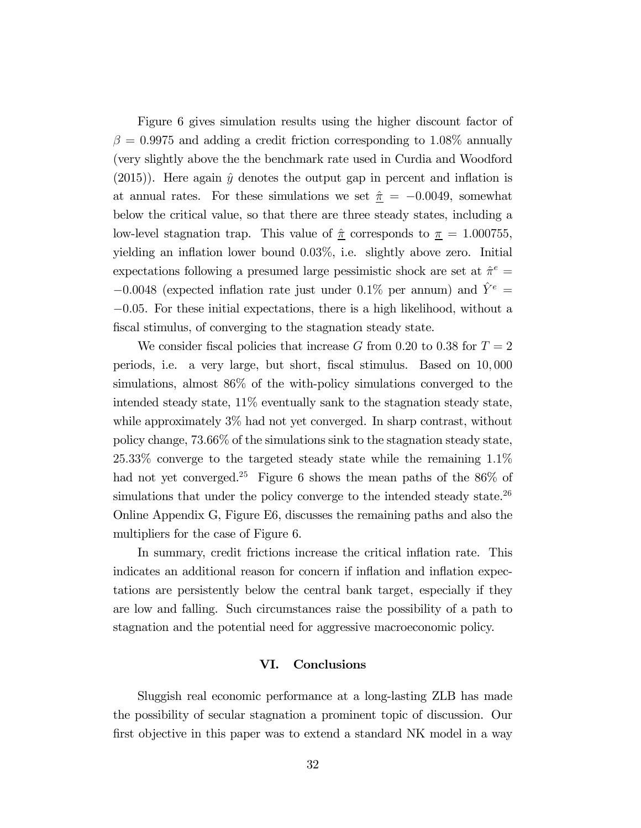Figure 6 gives simulation results using the higher discount factor of  $\beta = 0.9975$  and adding a credit friction corresponding to 1.08% annually (very slightly above the the benchmark rate used in Curdia and Woodford  $(2015)$ ). Here again  $\hat{y}$  denotes the output gap in percent and inflation is at annual rates. For these simulations we set  $\hat{\pi} = -0.0049$ , somewhat below the critical value, so that there are three steady states, including a low-level stagnation trap. This value of  $\hat{\pi}$  corresponds to  $\pi = 1.000755$ , yielding an inflation lower bound  $0.03\%$ , i.e. slightly above zero. Initial expectations following a presumed large pessimistic shock are set at  $\hat{\pi}^e$  = −0.0048 (expected inflation rate just under 0.1% per annum) and  $\hat{Y}^e$  = −005. For these initial expectations, there is a high likelihood, without a fiscal stimulus, of converging to the stagnation steady state.

We consider fiscal policies that increase G from 0.20 to 0.38 for  $T = 2$ periods, i.e. a very large, but short, fiscal stimulus. Based on  $10,000$ simulations, almost 86% of the with-policy simulations converged to the intended steady state, 11% eventually sank to the stagnation steady state, while approximately 3% had not yet converged. In sharp contrast, without policy change, 7366% of the simulations sink to the stagnation steady state, 2533% converge to the targeted steady state while the remaining 11% had not yet converged.<sup>25</sup> Figure 6 shows the mean paths of the 86% of simulations that under the policy converge to the intended steady state.<sup>26</sup> Online Appendix G, Figure E6, discusses the remaining paths and also the multipliers for the case of Figure 6.

In summary, credit frictions increase the critical inflation rate. This indicates an additional reason for concern if inflation and inflation expectations are persistently below the central bank target, especially if they are low and falling. Such circumstances raise the possibility of a path to stagnation and the potential need for aggressive macroeconomic policy.

## VI. Conclusions

Sluggish real economic performance at a long-lasting ZLB has made the possibility of secular stagnation a prominent topic of discussion. Our first objective in this paper was to extend a standard NK model in a way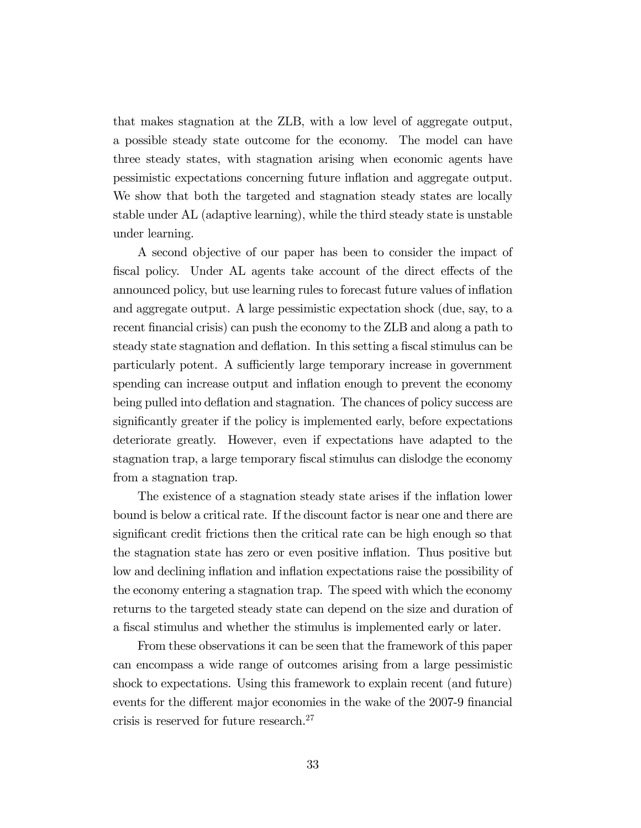that makes stagnation at the ZLB, with a low level of aggregate output, a possible steady state outcome for the economy. The model can have three steady states, with stagnation arising when economic agents have pessimistic expectations concerning future inflation and aggregate output. We show that both the targeted and stagnation steady states are locally stable under AL (adaptive learning), while the third steady state is unstable under learning.

A second objective of our paper has been to consider the impact of fiscal policy. Under AL agents take account of the direct effects of the announced policy, but use learning rules to forecast future values of inflation and aggregate output. A large pessimistic expectation shock (due, say, to a recent financial crisis) can push the economy to the ZLB and along a path to steady state stagnation and deflation. In this setting a fiscal stimulus can be particularly potent. A sufficiently large temporary increase in government spending can increase output and inflation enough to prevent the economy being pulled into deflation and stagnation. The chances of policy success are significantly greater if the policy is implemented early, before expectations deteriorate greatly. However, even if expectations have adapted to the stagnation trap, a large temporary fiscal stimulus can dislodge the economy from a stagnation trap.

The existence of a stagnation steady state arises if the inflation lower bound is below a critical rate. If the discount factor is near one and there are significant credit frictions then the critical rate can be high enough so that the stagnation state has zero or even positive inflation. Thus positive but low and declining inflation and inflation expectations raise the possibility of the economy entering a stagnation trap. The speed with which the economy returns to the targeted steady state can depend on the size and duration of a fiscal stimulus and whether the stimulus is implemented early or later.

From these observations it can be seen that the framework of this paper can encompass a wide range of outcomes arising from a large pessimistic shock to expectations. Using this framework to explain recent (and future) events for the different major economies in the wake of the 2007-9 financial crisis is reserved for future research.27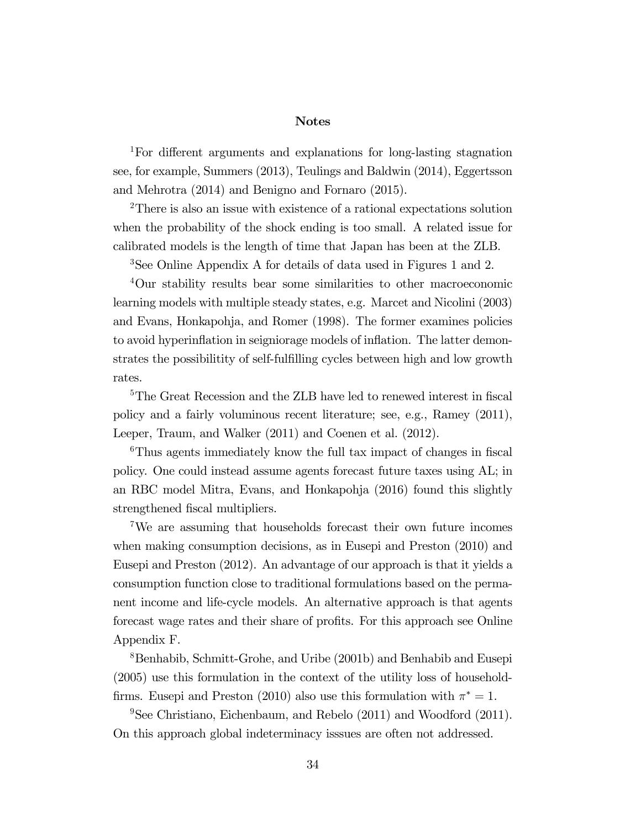#### Notes

1For different arguments and explanations for long-lasting stagnation see, for example, Summers (2013), Teulings and Baldwin (2014), Eggertsson and Mehrotra (2014) and Benigno and Fornaro (2015).

<sup>2</sup>There is also an issue with existence of a rational expectations solution when the probability of the shock ending is too small. A related issue for calibrated models is the length of time that Japan has been at the ZLB.

3See Online Appendix A for details of data used in Figures 1 and 2.

<sup>4</sup>Our stability results bear some similarities to other macroeconomic learning models with multiple steady states, e.g. Marcet and Nicolini (2003) and Evans, Honkapohja, and Romer (1998). The former examines policies to avoid hyperinflation in seigniorage models of inflation. The latter demonstrates the possibilitity of self-fulfilling cycles between high and low growth rates.

<sup>5</sup>The Great Recession and the ZLB have led to renewed interest in fiscal policy and a fairly voluminous recent literature; see, e.g., Ramey (2011), Leeper, Traum, and Walker (2011) and Coenen et al. (2012).

<sup>6</sup>Thus agents immediately know the full tax impact of changes in fiscal policy. One could instead assume agents forecast future taxes using AL; in an RBC model Mitra, Evans, and Honkapohja (2016) found this slightly strengthened fiscal multipliers.

7We are assuming that households forecast their own future incomes when making consumption decisions, as in Eusepi and Preston (2010) and Eusepi and Preston (2012). An advantage of our approach is that it yields a consumption function close to traditional formulations based on the permanent income and life-cycle models. An alternative approach is that agents forecast wage rates and their share of profits. For this approach see Online Appendix F.

8Benhabib, Schmitt-Grohe, and Uribe (2001b) and Benhabib and Eusepi (2005) use this formulation in the context of the utility loss of householdfirms. Eusepi and Preston (2010) also use this formulation with  $\pi^* = 1$ .

 $9$ See Christiano, Eichenbaum, and Rebelo (2011) and Woodford (2011). On this approach global indeterminacy isssues are often not addressed.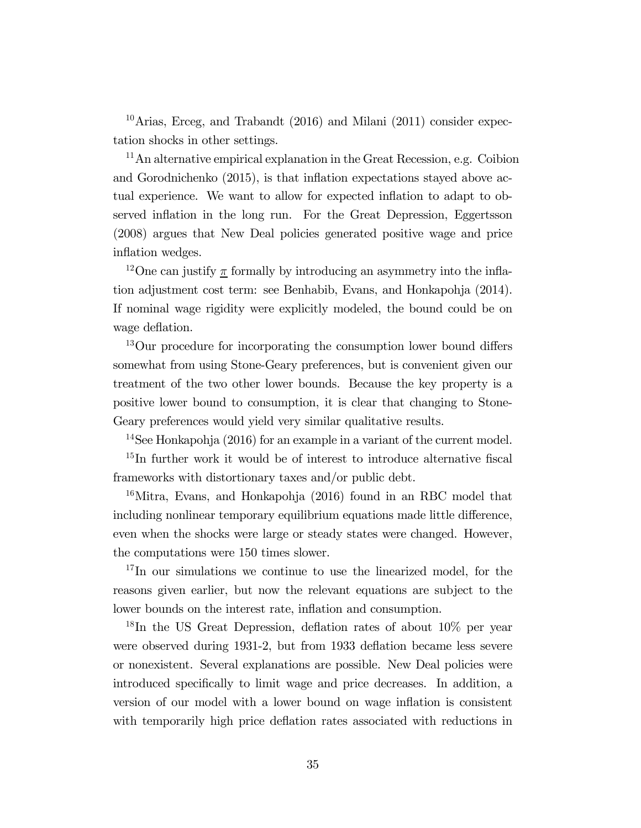<sup>10</sup>Arias, Erceg, and Trabandt  $(2016)$  and Milani  $(2011)$  consider expectation shocks in other settings.

 $11$ An alternative empirical explanation in the Great Recession, e.g. Coibion and Gorodnichenko (2015), is that inflation expectations stayed above actual experience. We want to allow for expected inflation to adapt to observed inflation in the long run. For the Great Depression, Eggertsson (2008) argues that New Deal policies generated positive wage and price inflation wedges.

<sup>12</sup>One can justify  $\underline{\pi}$  formally by introducing an asymmetry into the inflation adjustment cost term: see Benhabib, Evans, and Honkapohja (2014). If nominal wage rigidity were explicitly modeled, the bound could be on wage deflation.

<sup>13</sup>Our procedure for incorporating the consumption lower bound differs somewhat from using Stone-Geary preferences, but is convenient given our treatment of the two other lower bounds. Because the key property is a positive lower bound to consumption, it is clear that changing to Stone-Geary preferences would yield very similar qualitative results.

<sup>14</sup>See Honkapohja (2016) for an example in a variant of the current model. <sup>15</sup>In further work it would be of interest to introduce alternative fiscal frameworks with distortionary taxes and/or public debt.

 $16$ Mitra, Evans, and Honkapohja (2016) found in an RBC model that including nonlinear temporary equilibrium equations made little difference, even when the shocks were large or steady states were changed. However, the computations were 150 times slower.

<sup>17</sup>In our simulations we continue to use the linearized model, for the reasons given earlier, but now the relevant equations are subject to the lower bounds on the interest rate, inflation and consumption.

<sup>18</sup>In the US Great Depression, deflation rates of about  $10\%$  per year were observed during 1931-2, but from 1933 deflation became less severe or nonexistent. Several explanations are possible. New Deal policies were introduced specifically to limit wage and price decreases. In addition, a version of our model with a lower bound on wage inflation is consistent with temporarily high price deflation rates associated with reductions in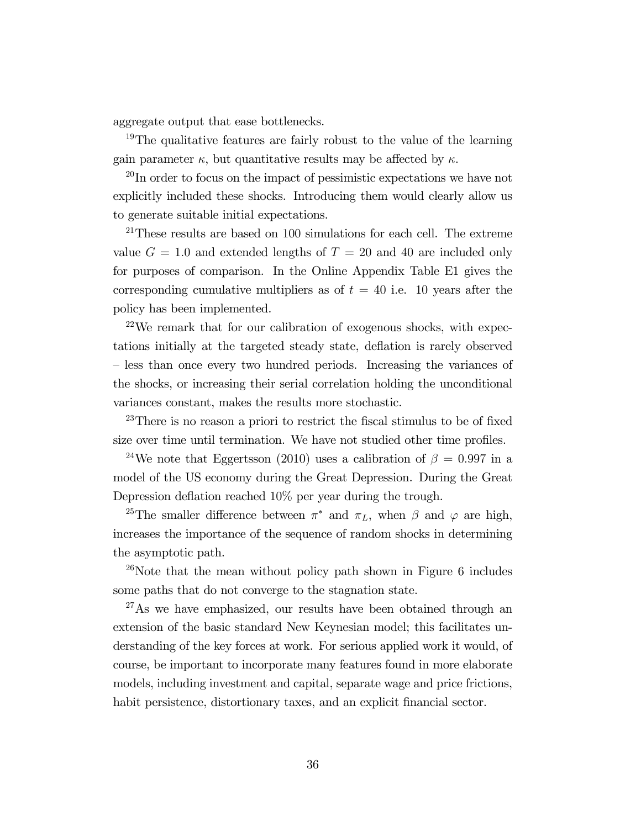aggregate output that ease bottlenecks.

<sup>19</sup>The qualitative features are fairly robust to the value of the learning gain parameter  $\kappa$ , but quantitative results may be affected by  $\kappa$ .

<sup>20</sup>In order to focus on the impact of pessimistic expectations we have not explicitly included these shocks. Introducing them would clearly allow us to generate suitable initial expectations.

 $21$ These results are based on 100 simulations for each cell. The extreme value  $G = 1.0$  and extended lengths of  $T = 20$  and 40 are included only for purposes of comparison. In the Online Appendix Table E1 gives the corresponding cumulative multipliers as of  $t = 40$  i.e. 10 years after the policy has been implemented.

 $22$ We remark that for our calibration of exogenous shocks, with expectations initially at the targeted steady state, deflation is rarely observed — less than once every two hundred periods. Increasing the variances of the shocks, or increasing their serial correlation holding the unconditional variances constant, makes the results more stochastic.

 $23$ There is no reason a priori to restrict the fiscal stimulus to be of fixed size over time until termination. We have not studied other time profiles.

<sup>24</sup>We note that Eggertsson (2010) uses a calibration of  $\beta = 0.997$  in a model of the US economy during the Great Depression. During the Great Depression deflation reached 10% per year during the trough.

<sup>25</sup>The smaller difference between  $\pi^*$  and  $\pi_L$ , when  $\beta$  and  $\varphi$  are high, increases the importance of the sequence of random shocks in determining the asymptotic path.

<sup>26</sup>Note that the mean without policy path shown in Figure 6 includes some paths that do not converge to the stagnation state.

<sup>27</sup>As we have emphasized, our results have been obtained through an extension of the basic standard New Keynesian model; this facilitates understanding of the key forces at work. For serious applied work it would, of course, be important to incorporate many features found in more elaborate models, including investment and capital, separate wage and price frictions, habit persistence, distortionary taxes, and an explicit financial sector.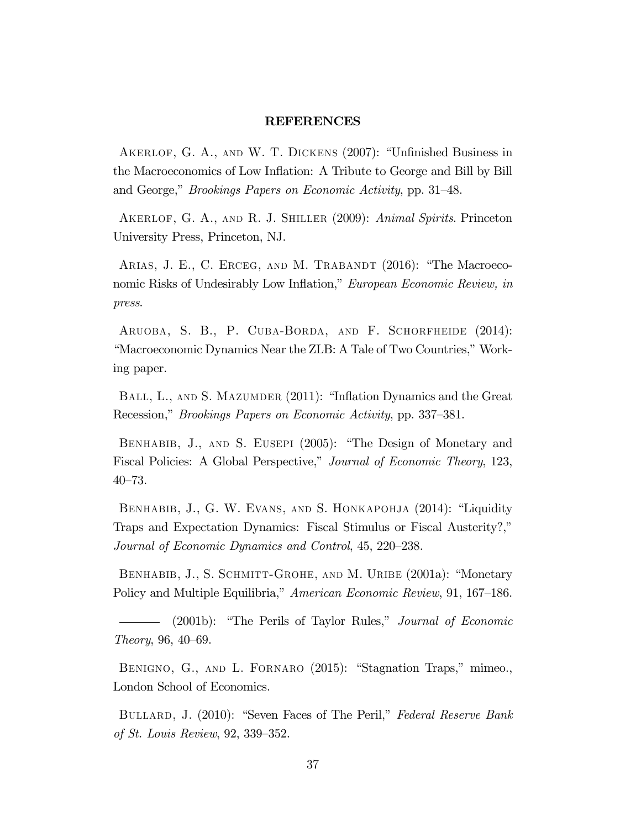#### REFERENCES

Akerlof, G. A., and W. T. Dickens (2007): "Unfinished Business in the Macroeconomics of Low Inflation: A Tribute to George and Bill by Bill and George," Brookings Papers on Economic Activity, pp. 31—48.

AKERLOF, G. A., AND R. J. SHILLER (2009): Animal Spirits. Princeton University Press, Princeton, NJ.

ARIAS, J. E., C. ERCEG, AND M. TRABANDT (2016): "The Macroeconomic Risks of Undesirably Low Inflation," European Economic Review, in press.

ARUOBA, S. B., P. CUBA-BORDA, AND F. SCHORFHEIDE (2014): "Macroeconomic Dynamics Near the ZLB: A Tale of Two Countries," Working paper.

BALL, L., AND S. MAZUMDER (2011): "Inflation Dynamics and the Great Recession," Brookings Papers on Economic Activity, pp. 337—381.

BENHABIB, J., AND S. EUSEPI (2005): "The Design of Monetary and Fiscal Policies: A Global Perspective," Journal of Economic Theory, 123, 40—73.

BENHABIB, J., G. W. EVANS, AND S. HONKAPOHJA (2014): "Liquidity Traps and Expectation Dynamics: Fiscal Stimulus or Fiscal Austerity?," Journal of Economic Dynamics and Control, 45, 220—238.

BENHABIB, J., S. SCHMITT-GROHE, AND M. URIBE (2001a): "Monetary Policy and Multiple Equilibria," American Economic Review, 91, 167—186.

(2001b): "The Perils of Taylor Rules," Journal of Economic Theory, 96, 40—69.

BENIGNO, G., AND L. FORNARO (2015): "Stagnation Traps," mimeo., London School of Economics.

BULLARD, J. (2010): "Seven Faces of The Peril," Federal Reserve Bank of St. Louis Review, 92, 339—352.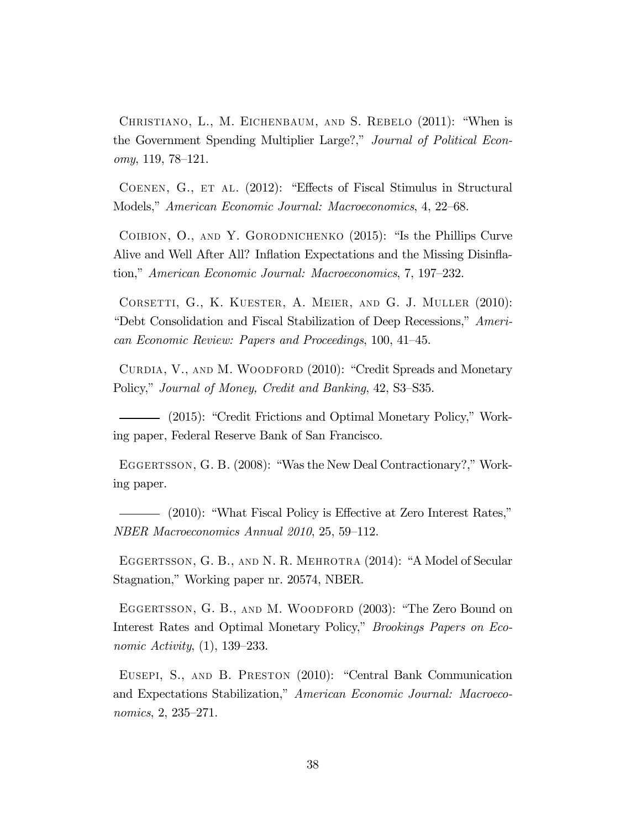Christiano, L., M. Eichenbaum, and S. Rebelo (2011): "When is the Government Spending Multiplier Large?," Journal of Political Econ $omy$ , 119, 78–121.

COENEN, G., ET AL. (2012): "Effects of Fiscal Stimulus in Structural Models," American Economic Journal: Macroeconomics, 4, 22—68.

Coibion, O., and Y. Gorodnichenko (2015): "Is the Phillips Curve Alive and Well After All? Inflation Expectations and the Missing Disinflation," American Economic Journal: Macroeconomics, 7, 197—232.

Corsetti, G., K. Kuester, A. Meier, and G. J. Muller (2010): "Debt Consolidation and Fiscal Stabilization of Deep Recessions," American Economic Review: Papers and Proceedings, 100, 41—45.

CURDIA, V., AND M. WOODFORD (2010): "Credit Spreads and Monetary Policy," Journal of Money, Credit and Banking, 42, S3—S35.

(2015): "Credit Frictions and Optimal Monetary Policy," Working paper, Federal Reserve Bank of San Francisco.

EGGERTSSON, G. B. (2008): "Was the New Deal Contractionary?," Working paper.

(2010): "What Fiscal Policy is Effective at Zero Interest Rates," NBER Macroeconomics Annual 2010, 25, 59—112.

EGGERTSSON, G. B., AND N. R. MEHROTRA (2014): "A Model of Secular Stagnation," Working paper nr. 20574, NBER.

EGGERTSSON, G. B., AND M. WOODFORD (2003): "The Zero Bound on Interest Rates and Optimal Monetary Policy," Brookings Papers on Economic Activity, (1), 139—233.

Eusepi, S., and B. Preston (2010): "Central Bank Communication and Expectations Stabilization," American Economic Journal: Macroeconomics, 2, 235—271.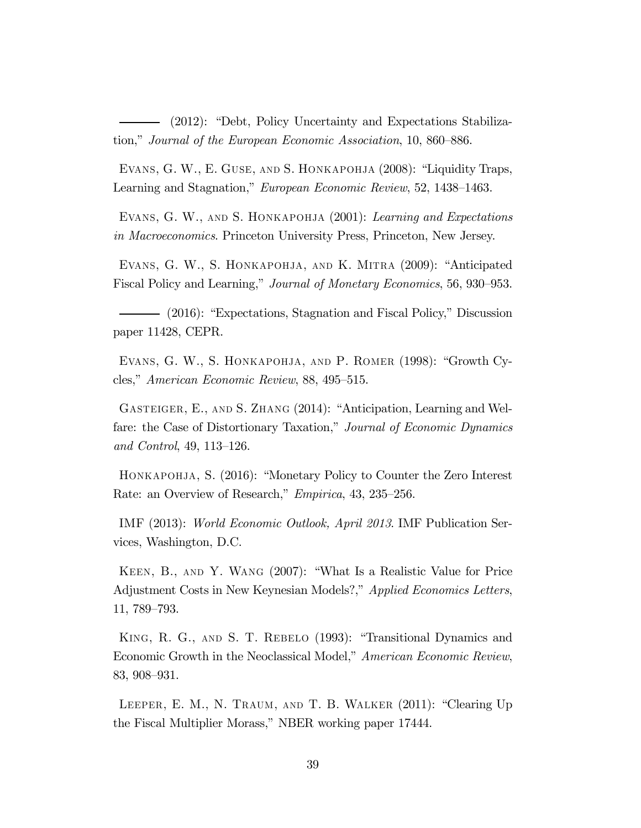(2012): "Debt, Policy Uncertainty and Expectations Stabilization," Journal of the European Economic Association, 10, 860—886.

Evans, G. W., E. Guse, and S. Honkapohja (2008): "Liquidity Traps, Learning and Stagnation," European Economic Review, 52, 1438—1463.

EVANS, G. W., AND S. HONKAPOHJA (2001): Learning and Expectations in Macroeconomics. Princeton University Press, Princeton, New Jersey.

Evans, G. W., S. Honkapohja, and K. Mitra (2009): "Anticipated Fiscal Policy and Learning," Journal of Monetary Economics, 56, 930—953.

(2016): "Expectations, Stagnation and Fiscal Policy," Discussion paper 11428, CEPR.

Evans, G. W., S. Honkapohja, and P. Romer (1998): "Growth Cycles," American Economic Review, 88, 495—515.

Gasteiger, E., and S. Zhang (2014): "Anticipation, Learning and Welfare: the Case of Distortionary Taxation," Journal of Economic Dynamics and Control, 49, 113—126.

HONKAPOHJA, S. (2016): "Monetary Policy to Counter the Zero Interest Rate: an Overview of Research," Empirica, 43, 235—256.

IMF (2013): World Economic Outlook, April 2013. IMF Publication Services, Washington, D.C.

Keen, B., and Y. Wang (2007): "What Is a Realistic Value for Price Adjustment Costs in New Keynesian Models?," Applied Economics Letters, 11, 789—793.

King, R. G., and S. T. Rebelo (1993): "Transitional Dynamics and Economic Growth in the Neoclassical Model," American Economic Review, 83, 908—931.

Leeper, E. M., N. Traum, and T. B. Walker (2011): "Clearing Up the Fiscal Multiplier Morass," NBER working paper 17444.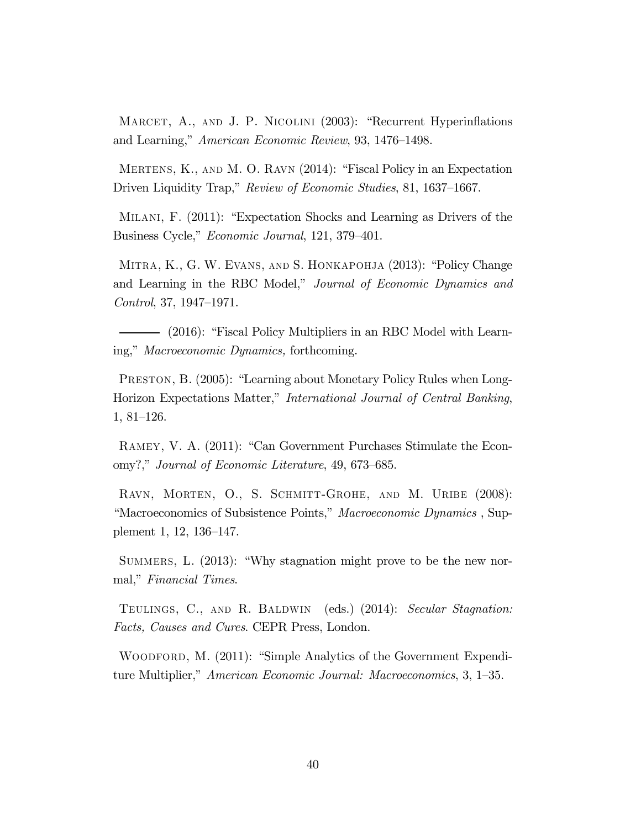MARCET, A., AND J. P. NICOLINI (2003): "Recurrent Hyperinflations and Learning," American Economic Review, 93, 1476—1498.

Mertens, K., and M. O. Ravn (2014): "Fiscal Policy in an Expectation Driven Liquidity Trap," Review of Economic Studies, 81, 1637–1667.

Milani, F. (2011): "Expectation Shocks and Learning as Drivers of the Business Cycle," Economic Journal, 121, 379—401.

Mitra, K., G. W. Evans, and S. Honkapohja (2013): "Policy Change and Learning in the RBC Model," Journal of Economic Dynamics and Control, 37, 1947—1971.

(2016): "Fiscal Policy Multipliers in an RBC Model with Learning," Macroeconomic Dynamics, forthcoming.

Preston, B. (2005): "Learning about Monetary Policy Rules when Long-Horizon Expectations Matter," International Journal of Central Banking, 1, 81—126.

Ramey, V. A. (2011): "Can Government Purchases Stimulate the Economy?," Journal of Economic Literature, 49, 673—685.

RAVN, MORTEN, O., S. SCHMITT-GROHE, AND M. URIBE (2008): "Macroeconomics of Subsistence Points," Macroeconomic Dynamics , Supplement 1, 12, 136—147.

SUMMERS, L.  $(2013)$ : "Why stagnation might prove to be the new normal," Financial Times.

TEULINGS, C., AND R. BALDWIN (eds.) (2014): Secular Stagnation: Facts, Causes and Cures. CEPR Press, London.

WOODFORD, M. (2011): "Simple Analytics of the Government Expenditure Multiplier," American Economic Journal: Macroeconomics, 3, 1—35.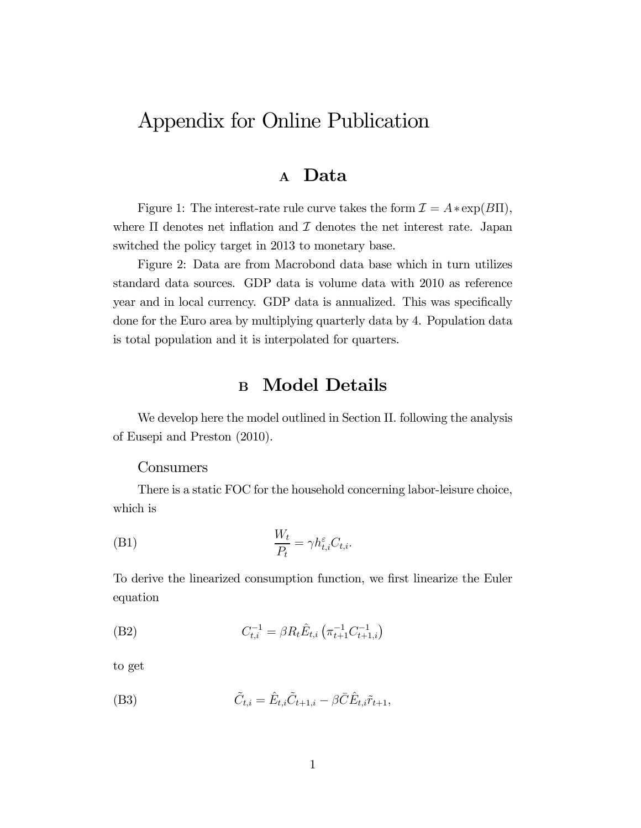# Appendix for Online Publication

### <sup>A</sup> Data

Figure 1: The interest-rate rule curve takes the form  $\mathcal{I} = A * \exp(B\Pi)$ , where  $\Pi$  denotes net inflation and  $\mathcal I$  denotes the net interest rate. Japan switched the policy target in 2013 to monetary base.

Figure 2: Data are from Macrobond data base which in turn utilizes standard data sources. GDP data is volume data with 2010 as reference year and in local currency. GDP data is annualized. This was specifically done for the Euro area by multiplying quarterly data by 4. Population data is total population and it is interpolated for quarters.

## B Model Details

We develop here the model outlined in Section II. following the analysis of Eusepi and Preston (2010).

#### Consumers

There is a static FOC for the household concerning labor-leisure choice, which is

$$
\frac{W_t}{P_t} = \gamma h_{t,i}^{\varepsilon} C_{t,i}.
$$

To derive the linearized consumption function, we first linearize the Euler equation

(B2) 
$$
C_{t,i}^{-1} = \beta R_t \hat{E}_{t,i} \left( \pi_{t+1}^{-1} C_{t+1,i}^{-1} \right)
$$

to get

(B3) 
$$
\tilde{C}_{t,i} = \hat{E}_{t,i}\tilde{C}_{t+1,i} - \beta \bar{C}\hat{E}_{t,i}\tilde{r}_{t+1},
$$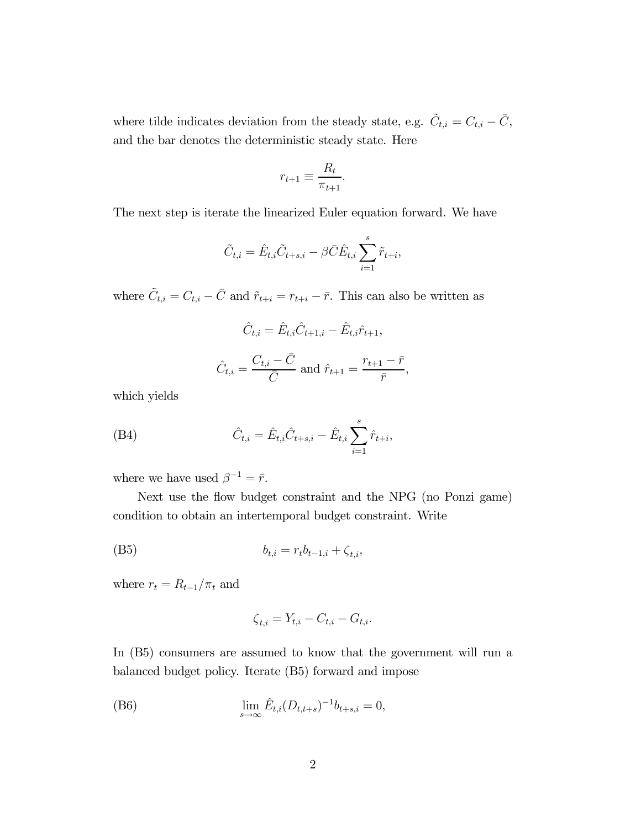where tilde indicates deviation from the steady state, e.g.  $\tilde{C}_{t,i} = C_{t,i} - \bar{C}$ , and the bar denotes the deterministic steady state. Here

$$
r_{t+1} \equiv \frac{R_t}{\pi_{t+1}}.
$$

The next step is iterate the linearized Euler equation forward. We have

$$
\tilde{C}_{t,i} = \hat{E}_{t,i}\tilde{C}_{t+s,i} - \beta \bar{C}\hat{E}_{t,i} \sum_{i=1}^{s} \tilde{r}_{t+i},
$$

where  $\tilde{C}_{t,i} = C_{t,i} - \bar{C}$  and  $\tilde{r}_{t+i} = r_{t+i} - \bar{r}$ . This can also be written as

$$
\hat{C}_{t,i} = \hat{E}_{t,i}\hat{C}_{t+1,i} - \hat{E}_{t,i}\hat{r}_{t+1},
$$

$$
\hat{C}_{t,i} = \frac{C_{t,i} - \bar{C}}{\bar{C}}
$$
 and  $\hat{r}_{t+1} = \frac{r_{t+1} - \bar{r}}{\bar{r}},$ 

which yields

(B4) 
$$
\hat{C}_{t,i} = \hat{E}_{t,i}\hat{C}_{t+s,i} - \hat{E}_{t,i}\sum_{i=1}^{s}\hat{r}_{t+i},
$$

where we have used  $\beta^{-1} = \bar{r}$ .

Next use the flow budget constraint and the NPG (no Ponzi game) condition to obtain an intertemporal budget constraint. Write

(B5) 
$$
b_{t,i} = r_t b_{t-1,i} + \zeta_{t,i},
$$

where  $r_t = R_{t-1}/\pi_t$  and

$$
\zeta_{t,i} = Y_{t,i} - C_{t,i} - G_{t,i}.
$$

In (B5) consumers are assumed to know that the government will run a balanced budget policy. Iterate (B5) forward and impose

(B6) 
$$
\lim_{s \to \infty} \hat{E}_{t,i}(D_{t,t+s})^{-1} b_{t+s,i} = 0,
$$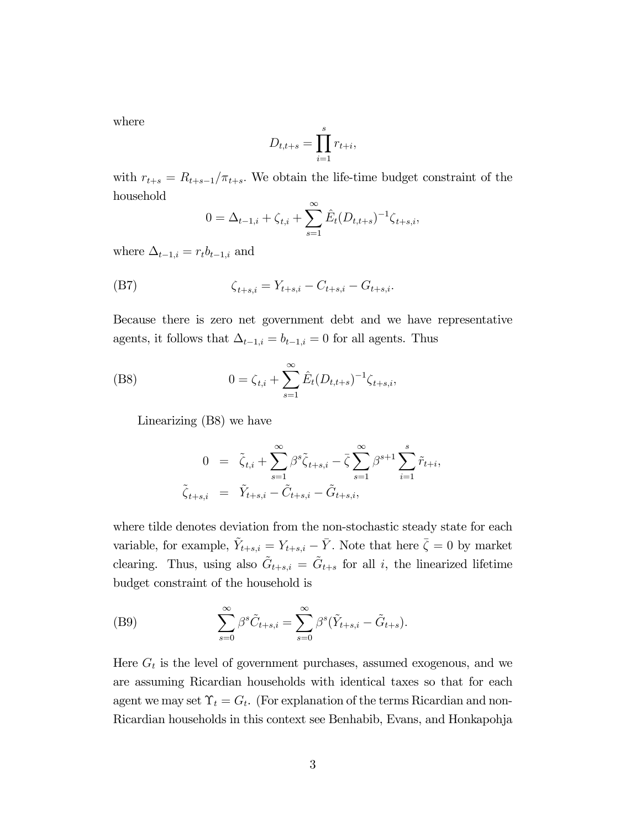where

$$
D_{t,t+s} = \prod_{i=1}^{s} r_{t+i},
$$

with  $r_{t+s} = R_{t+s-1}/\pi_{t+s}$ . We obtain the life-time budget constraint of the household

$$
0 = \Delta_{t-1,i} + \zeta_{t,i} + \sum_{s=1}^{\infty} \hat{E}_t(D_{t,t+s})^{-1} \zeta_{t+s,i},
$$

where  $\Delta_{t-1,i} = r_t b_{t-1,i}$  and

(B7) 
$$
\zeta_{t+s,i} = Y_{t+s,i} - C_{t+s,i} - G_{t+s,i}.
$$

Because there is zero net government debt and we have representative agents, it follows that  $\Delta_{t-1,i} = b_{t-1,i} = 0$  for all agents. Thus

(B8) 
$$
0 = \zeta_{t,i} + \sum_{s=1}^{\infty} \hat{E}_t (D_{t,t+s})^{-1} \zeta_{t+s,i},
$$

Linearizing (B8) we have

$$
0 = \tilde{\zeta}_{t,i} + \sum_{s=1}^{\infty} \beta^s \tilde{\zeta}_{t+s,i} - \bar{\zeta} \sum_{s=1}^{\infty} \beta^{s+1} \sum_{i=1}^s \tilde{r}_{t+i},
$$
  

$$
\tilde{\zeta}_{t+s,i} = \tilde{Y}_{t+s,i} - \tilde{C}_{t+s,i} - \tilde{G}_{t+s,i},
$$

where tilde denotes deviation from the non-stochastic steady state for each variable, for example,  $\tilde{Y}_{t+s,i} = Y_{t+s,i} - \bar{Y}$ . Note that here  $\bar{\zeta} = 0$  by market clearing. Thus, using also  $\tilde{G}_{t+s,i} = \tilde{G}_{t+s}$  for all i, the linearized lifetime budget constraint of the household is

(B9) 
$$
\sum_{s=0}^{\infty} \beta^s \tilde{C}_{t+s,i} = \sum_{s=0}^{\infty} \beta^s (\tilde{Y}_{t+s,i} - \tilde{G}_{t+s}).
$$

Here  $G_t$  is the level of government purchases, assumed exogenous, and we are assuming Ricardian households with identical taxes so that for each agent we may set  $\Upsilon_t = G_t$ . (For explanation of the terms Ricardian and non-Ricardian households in this context see Benhabib, Evans, and Honkapohja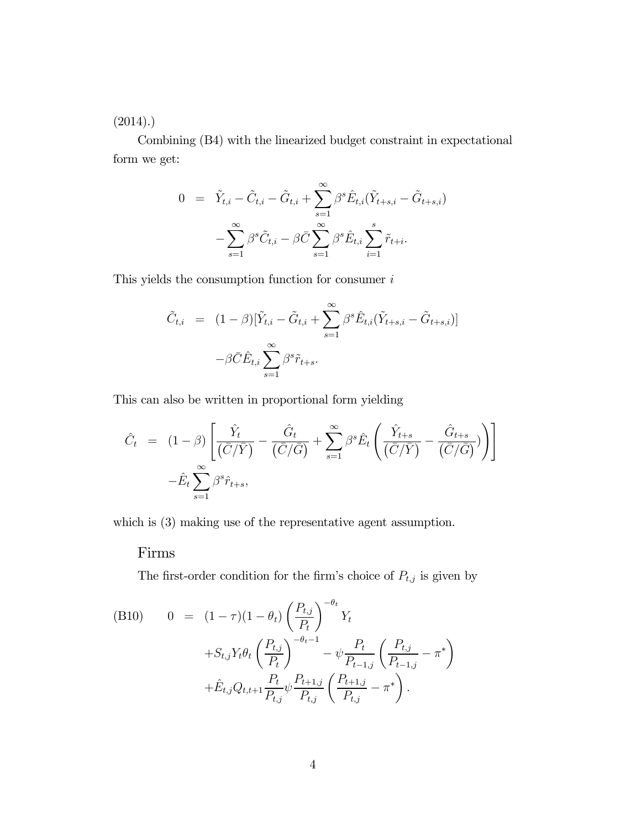$(2014).$ 

Combining (B4) with the linearized budget constraint in expectational form we get:

$$
0 = \tilde{Y}_{t,i} - \tilde{C}_{t,i} - \tilde{G}_{t,i} + \sum_{s=1}^{\infty} \beta^s \hat{E}_{t,i} (\tilde{Y}_{t+s,i} - \tilde{G}_{t+s,i}) - \sum_{s=1}^{\infty} \beta^s \tilde{C}_{t,i} - \beta \bar{C} \sum_{s=1}^{\infty} \beta^s \hat{E}_{t,i} \sum_{i=1}^s \tilde{r}_{t+i}.
$$

This yields the consumption function for consumer  $i$ 

$$
\tilde{C}_{t,i} = (1 - \beta) [\tilde{Y}_{t,i} - \tilde{G}_{t,i} + \sum_{s=1}^{\infty} \beta^s \hat{E}_{t,i} (\tilde{Y}_{t+s,i} - \tilde{G}_{t+s,i})]
$$

$$
-\beta \bar{C} \hat{E}_{t,i} \sum_{s=1}^{\infty} \beta^s \tilde{r}_{t+s}.
$$

This can also be written in proportional form yielding

$$
\hat{C}_t = (1 - \beta) \left[ \frac{\hat{Y}_t}{(\bar{C}/\bar{Y})} - \frac{\hat{G}_t}{(\bar{C}/\bar{G})} + \sum_{s=1}^{\infty} \beta^s \hat{E}_t \left( \frac{\hat{Y}_{t+s}}{(\bar{C}/\bar{Y})} - \frac{\hat{G}_{t+s}}{(\bar{C}/\bar{G})} \right) \right]
$$

$$
-\hat{E}_t \sum_{s=1}^{\infty} \beta^s \hat{r}_{t+s},
$$

which is  $(3)$  making use of the representative agent assumption.

#### Firms

The first-order condition for the firm's choice of  $P_{t,j}$  is given by

(B10) 
$$
0 = (1 - \tau)(1 - \theta_t) \left(\frac{P_{t,j}}{P_t}\right)^{-\theta_t} Y_t + S_{t,j} Y_t \theta_t \left(\frac{P_{t,j}}{P_t}\right)^{-\theta_t - 1} - \psi \frac{P_t}{P_{t-1,j}} \left(\frac{P_{t,j}}{P_{t-1,j}} - \pi^*\right) + \hat{E}_{t,j} Q_{t,t+1} \frac{P_t}{P_{t,j}} \psi \frac{P_{t+1,j}}{P_{t,j}} \left(\frac{P_{t+1,j}}{P_{t,j}} - \pi^*\right).
$$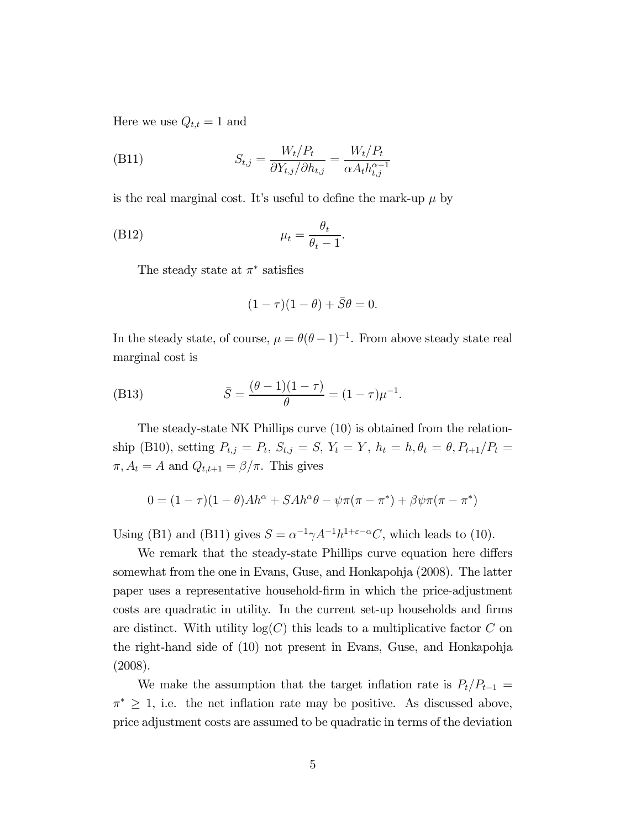Here we use  $Q_{t,t} = 1$  and

$$
\text{(B11)} \qquad \qquad S_{t,j} = \frac{W_t/P_t}{\partial Y_{t,j}/\partial h_{t,j}} = \frac{W_t/P_t}{\alpha A_t h_{t,j}^{\alpha - 1}}
$$

is the real marginal cost. It's useful to define the mark-up  $\mu$  by

$$
\mu_t = \frac{\theta_t}{\theta_t - 1}.
$$

The steady state at  $\pi^*$  satisfies

$$
(1 - \tau)(1 - \theta) + \overline{S}\theta = 0.
$$

In the steady state, of course,  $\mu = \theta(\theta - 1)^{-1}$ . From above steady state real marginal cost is

(B13) 
$$
\bar{S} = \frac{(\theta - 1)(1 - \tau)}{\theta} = (1 - \tau)\mu^{-1}.
$$

The steady-state NK Phillips curve (10) is obtained from the relationship (B10), setting  $P_{t,j} = P_t$ ,  $S_{t,j} = S$ ,  $Y_t = Y$ ,  $h_t = h$ ,  $\theta_t = \theta$ ,  $P_{t+1}/P_t =$  $\pi, A_t = A$  and  $Q_{t,t+1} = \beta/\pi$ . This gives

$$
0 = (1 - \tau)(1 - \theta)Ah^{\alpha} + SAh^{\alpha}\theta - \psi\pi(\pi - \pi^{*}) + \beta\psi\pi(\pi - \pi^{*})
$$

Using (B1) and (B11) gives  $S = \alpha^{-1} \gamma A^{-1} h^{1+\epsilon-\alpha} C$ , which leads to (10).

We remark that the steady-state Phillips curve equation here differs somewhat from the one in Evans, Guse, and Honkapohja (2008). The latter paper uses a representative household-firm in which the price-adjustment costs are quadratic in utility. In the current set-up households and firms are distinct. With utility  $log(C)$  this leads to a multiplicative factor C on the right-hand side of (10) not present in Evans, Guse, and Honkapohja (2008).

We make the assumption that the target inflation rate is  $P_t/P_{t-1} =$  $\pi^* \geq 1$ , i.e. the net inflation rate may be positive. As discussed above, price adjustment costs are assumed to be quadratic in terms of the deviation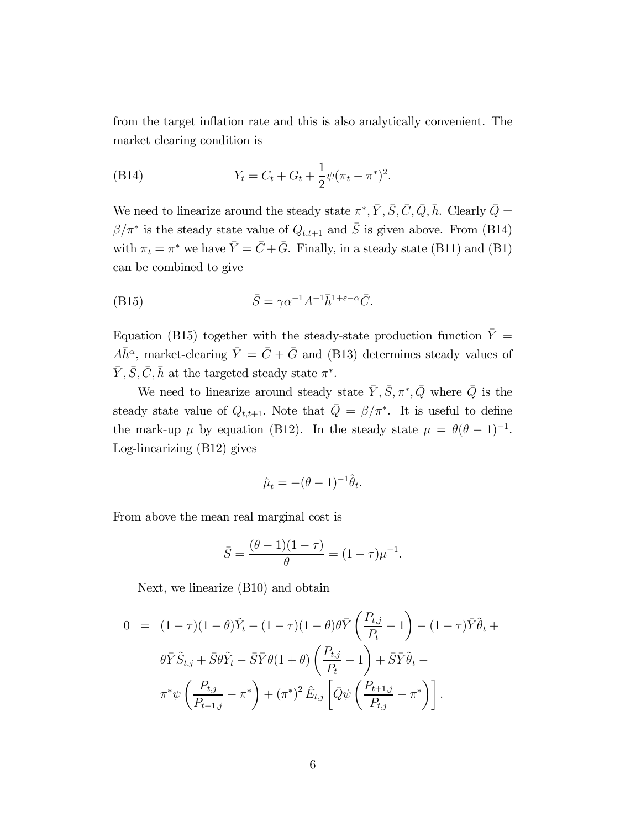from the target inflation rate and this is also analytically convenient. The market clearing condition is

(B14) 
$$
Y_t = C_t + G_t + \frac{1}{2}\psi(\pi_t - \pi^*)^2.
$$

We need to linearize around the steady state  $\pi^*, \bar{Y}, \bar{S}, \bar{C}, \bar{Q}, \bar{h}$ . Clearly  $\bar{Q}$  =  $\beta/\pi^*$  is the steady state value of  $Q_{t,t+1}$  and  $\overline{S}$  is given above. From (B14) with  $\pi_t = \pi^*$  we have  $\bar{Y} = \bar{C} + \bar{G}$ . Finally, in a steady state (B11) and (B1) can be combined to give

(B15) 
$$
\bar{S} = \gamma \alpha^{-1} A^{-1} \bar{h}^{1+\varepsilon-\alpha} \bar{C}.
$$

Equation (B15) together with the steady-state production function  $\bar{Y} =$  $A\overline{h}^{\alpha}$ , market-clearing  $\overline{Y} = \overline{C} + \overline{G}$  and (B13) determines steady values of  $\bar{Y}, \bar{S}, \bar{C}, \bar{h}$  at the targeted steady state  $\pi^*$ .

We need to linearize around steady state  $\bar{Y}, \bar{S}, \pi^*, \bar{Q}$  where  $\bar{Q}$  is the steady state value of  $Q_{t,t+1}$ . Note that  $\overline{Q} = \beta/\pi^*$ . It is useful to define the mark-up  $\mu$  by equation (B12). In the steady state  $\mu = \theta(\theta - 1)^{-1}$ . Log-linearizing (B12) gives

$$
\hat{\mu}_t = -(\theta - 1)^{-1} \hat{\theta}_t.
$$

From above the mean real marginal cost is

$$
\bar{S} = \frac{(\theta - 1)(1 - \tau)}{\theta} = (1 - \tau)\mu^{-1}.
$$

Next, we linearize (B10) and obtain

$$
0 = (1 - \tau)(1 - \theta)\tilde{Y}_t - (1 - \tau)(1 - \theta)\theta\overline{Y}\left(\frac{P_{t,j}}{P_t} - 1\right) - (1 - \tau)\overline{Y}\tilde{\theta}_t + \theta\overline{Y}\tilde{S}_{t,j} + \overline{S}\theta\tilde{Y}_t - \overline{S}\overline{Y}\theta(1 + \theta)\left(\frac{P_{t,j}}{P_t} - 1\right) + \overline{S}\overline{Y}\tilde{\theta}_t - \pi^*\psi\left(\frac{P_{t,j}}{P_{t-1,j}} - \pi^*\right) + (\pi^*)^2\hat{E}_{t,j}\left[\overline{Q}\psi\left(\frac{P_{t+1,j}}{P_{t,j}} - \pi^*\right)\right].
$$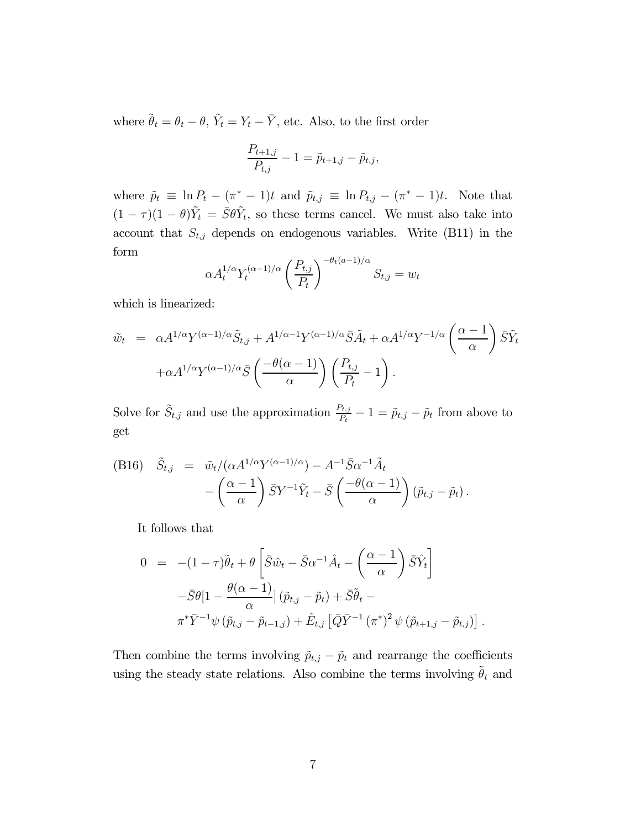where  $\tilde{\theta}_t = \theta_t - \theta, \, \tilde{Y}_t = Y_t - \bar{Y},$  etc. Also, to the first order

$$
\frac{P_{t+1,j}}{P_{t,j}} - 1 = \tilde{p}_{t+1,j} - \tilde{p}_{t,j},
$$

where  $\tilde{p}_t \equiv \ln P_t - (\pi^* - 1)t$  and  $\tilde{p}_{t,j} \equiv \ln P_{t,j} - (\pi^* - 1)t$ . Note that  $(1 - \tau)(1 - \theta)\tilde{Y}_t = \overline{S}\theta \tilde{Y}_t$ , so these terms cancel. We must also take into account that  $S_{t,j}$  depends on endogenous variables. Write (B11) in the form

$$
\alpha A_t^{1/\alpha} Y_t^{(\alpha-1)/\alpha} \left(\frac{P_{t,j}}{P_t}\right)^{-\theta_t(\alpha-1)/\alpha} S_{t,j} = w_t
$$

which is linearized:

$$
\tilde{w}_t = \alpha A^{1/\alpha} Y^{(\alpha-1)/\alpha} \tilde{S}_{t,j} + A^{1/\alpha-1} Y^{(\alpha-1)/\alpha} \bar{S} \tilde{A}_t + \alpha A^{1/\alpha} Y^{-1/\alpha} \left(\frac{\alpha-1}{\alpha}\right) \bar{S} \tilde{Y}_t \n+ \alpha A^{1/\alpha} Y^{(\alpha-1)/\alpha} \bar{S} \left(\frac{-\theta(\alpha-1)}{\alpha}\right) \left(\frac{P_{t,j}}{P_t} - 1\right).
$$

Solve for  $\tilde{S}_{t,j}$  and use the approximation  $\frac{P_{t,j}}{P_t} - 1 = \tilde{p}_{t,j} - \tilde{p}_t$  from above to get

(B16) 
$$
\tilde{S}_{t,j} = \tilde{w}_t/(\alpha A^{1/\alpha} Y^{(\alpha-1)/\alpha}) - A^{-1} \bar{S} \alpha^{-1} \tilde{A}_t - \left(\frac{\alpha-1}{\alpha}\right) \bar{S} Y^{-1} \tilde{Y}_t - \bar{S} \left(\frac{-\theta(\alpha-1)}{\alpha}\right) (\tilde{p}_{t,j} - \tilde{p}_t).
$$

It follows that

$$
0 = -(1 - \tau)\tilde{\theta}_t + \theta \left[ \bar{S}\hat{w}_t - \bar{S}\alpha^{-1}\hat{A}_t - \left(\frac{\alpha - 1}{\alpha}\right)\bar{S}\hat{Y}_t \right]
$$
  

$$
-\bar{S}\theta[1 - \frac{\theta(\alpha - 1)}{\alpha}](\tilde{p}_{t,j} - \tilde{p}_t) + \bar{S}\tilde{\theta}_t -
$$
  

$$
\pi^*\bar{Y}^{-1}\psi(\tilde{p}_{t,j} - \tilde{p}_{t-1,j}) + \hat{E}_{t,j}[\bar{Q}\bar{Y}^{-1}(\pi^*)^2\psi(\tilde{p}_{t+1,j} - \tilde{p}_{t,j})]
$$

 $\ddot{\phantom{0}}$ 

Then combine the terms involving  $\tilde{p}_{t,j} - \tilde{p}_t$  and rearrange the coefficients using the steady state relations. Also combine the terms involving  $\tilde{\theta}_t$  and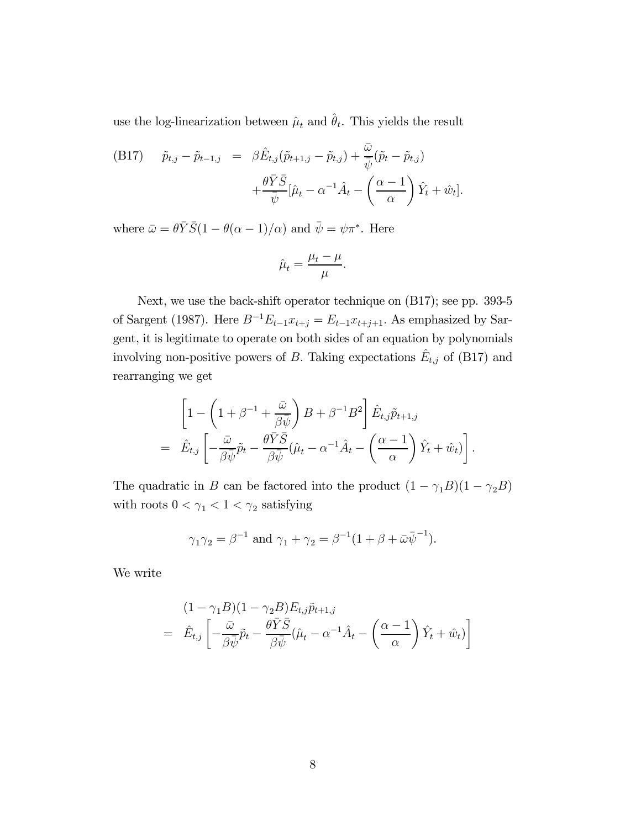use the log-linearization between  $\hat{\mu}_t$  and  $\hat{\theta}_t$ . This yields the result

(B17) 
$$
\tilde{p}_{t,j} - \tilde{p}_{t-1,j} = \beta \hat{E}_{t,j} (\tilde{p}_{t+1,j} - \tilde{p}_{t,j}) + \frac{\bar{\omega}}{\bar{\psi}} (\tilde{p}_t - \tilde{p}_{t,j}) + \frac{\theta \bar{Y} \bar{S}}{\bar{\psi}} [\hat{\mu}_t - \alpha^{-1} \hat{A}_t - \left(\frac{\alpha - 1}{\alpha}\right) \hat{Y}_t + \hat{w}_t].
$$

where  $\bar{\omega} = \theta \bar{Y} \bar{S} (1 - \theta(\alpha - 1)/\alpha)$  and  $\bar{\psi} = \psi \pi^*$ . Here

$$
\hat{\mu}_t = \frac{\mu_t - \mu}{\mu}.
$$

Next, we use the back-shift operator technique on (B17); see pp. 393-5 of Sargent (1987). Here  $B^{-1}E_{t-1}x_{t+j} = E_{t-1}x_{t+j+1}$ . As emphasized by Sargent, it is legitimate to operate on both sides of an equation by polynomials involving non-positive powers of B. Taking expectations  $E_{t,j}$  of (B17) and rearranging we get

$$
\begin{split}\n& \left[1 - \left(1 + \beta^{-1} + \frac{\bar{\omega}}{\beta \bar{\psi}}\right)B + \beta^{-1}B^2\right] \hat{E}_{t,j}\tilde{p}_{t+1,j} \\
& = \hat{E}_{t,j}\left[-\frac{\bar{\omega}}{\beta \bar{\psi}}\tilde{p}_t - \frac{\theta \bar{Y}\bar{S}}{\beta \bar{\psi}}(\hat{\mu}_t - \alpha^{-1}\hat{A}_t - \left(\frac{\alpha - 1}{\alpha}\right)\hat{Y}_t + \hat{w}_t)\right].\n\end{split}
$$

The quadratic in *B* can be factored into the product  $(1 - \gamma_1 B)(1 - \gamma_2 B)$ with roots  $0<\gamma_1<1<\gamma_2$  satisfying

$$
\gamma_1 \gamma_2 = \beta^{-1}
$$
 and  $\gamma_1 + \gamma_2 = \beta^{-1} (1 + \beta + \bar{\omega} \bar{\psi}^{-1}).$ 

We write

$$
(1 - \gamma_1 B)(1 - \gamma_2 B) E_{t,j} \tilde{p}_{t+1,j}
$$
  
=  $\hat{E}_{t,j} \left[ -\frac{\bar{\omega}}{\beta \bar{\psi}} \tilde{p}_t - \frac{\theta \bar{Y} \bar{S}}{\beta \bar{\psi}} (\hat{\mu}_t - \alpha^{-1} \hat{A}_t - \left(\frac{\alpha - 1}{\alpha}\right) \hat{Y}_t + \hat{w}_t) \right]$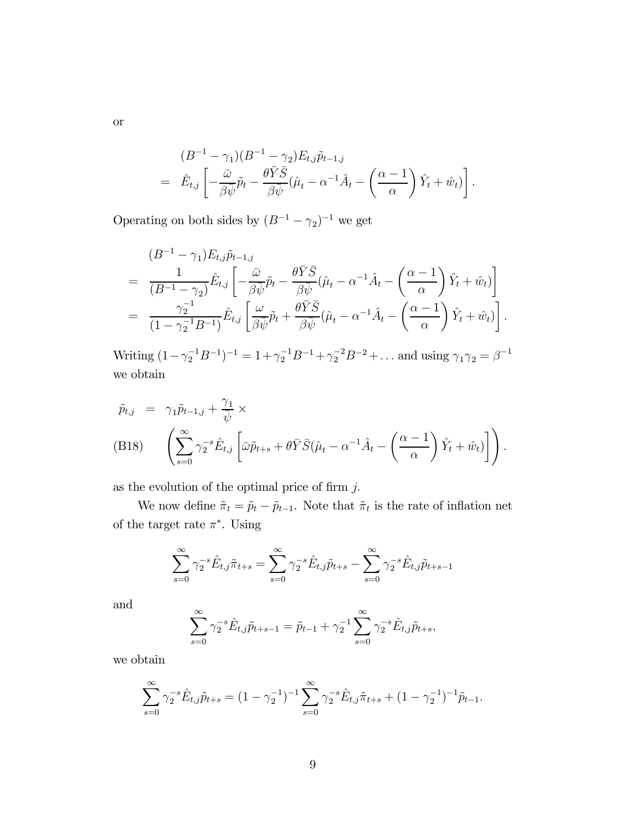$$
(B^{-1} - \gamma_1)(B^{-1} - \gamma_2)E_{t,j}\tilde{p}_{t-1,j}
$$
  
=  $\hat{E}_{t,j}\left[-\frac{\bar{\omega}}{\beta\bar{\psi}}\tilde{p}_t - \frac{\theta\bar{Y}\bar{S}}{\beta\bar{\psi}}(\hat{\mu}_t - \alpha^{-1}\hat{A}_t - \left(\frac{\alpha - 1}{\alpha}\right)\hat{Y}_t + \hat{w}_t)\right].$ 

Operating on both sides by  $(B^{-1}-\gamma_2)^{-1}$  we get

$$
(B^{-1} - \gamma_1) E_{t,j} \tilde{p}_{t-1,j}
$$
\n
$$
= \frac{1}{(B^{-1} - \gamma_2)} \hat{E}_{t,j} \left[ -\frac{\bar{\omega}}{\beta \bar{\psi}} \tilde{p}_t - \frac{\theta \bar{Y} \bar{S}}{\beta \bar{\psi}} (\hat{\mu}_t - \alpha^{-1} \hat{A}_t - \left(\frac{\alpha - 1}{\alpha}\right) \hat{Y}_t + \hat{w}_t) \right]
$$
\n
$$
= \frac{\gamma_2^{-1}}{(1 - \gamma_2^{-1} B^{-1})} \hat{E}_{t,j} \left[ \frac{\omega}{\beta \bar{\psi}} \tilde{p}_t + \frac{\theta \bar{Y} \bar{S}}{\beta \bar{\psi}} (\hat{\mu}_t - \alpha^{-1} \hat{A}_t - \left(\frac{\alpha - 1}{\alpha}\right) \hat{Y}_t + \hat{w}_t) \right].
$$

Writing  $(1 - \gamma_2^{-1}B^{-1})^{-1} = 1 + \gamma_2^{-1}B^{-1} + \gamma_2^{-2}B^{-2} + \dots$  and using  $\gamma_1 \gamma_2 = \beta^{-1}$ we obtain

$$
\tilde{p}_{t,j} = \gamma_1 \tilde{p}_{t-1,j} + \frac{\gamma_1}{\bar{\psi}} \times \n\text{(B18)} \quad \left( \sum_{s=0}^{\infty} \gamma_2^{-s} \hat{E}_{t,j} \left[ \bar{\omega} \tilde{p}_{t+s} + \theta \bar{Y} \bar{S} (\hat{\mu}_t - \alpha^{-1} \hat{A}_t - \left( \frac{\alpha - 1}{\alpha} \right) \hat{Y}_t + \hat{w}_t) \right] \right).
$$

as the evolution of the optimal price of firm  $j$ .

We now define  $\tilde{\pi}_t = \tilde{p}_t - \tilde{p}_{t-1}$ . Note that  $\tilde{\pi}_t$  is the rate of inflation net of the target rate  $\pi^*$ . Using

$$
\sum_{s=0}^{\infty} \gamma_2^{-s} \hat{E}_{t,j} \tilde{\pi}_{t+s} = \sum_{s=0}^{\infty} \gamma_2^{-s} \hat{E}_{t,j} \tilde{p}_{t+s} - \sum_{s=0}^{\infty} \gamma_2^{-s} \hat{E}_{t,j} \tilde{p}_{t+s-1}
$$

and

$$
\sum_{s=0}^{\infty} \gamma_2^{-s} \hat{E}_{t,j} \tilde{p}_{t+s-1} = \tilde{p}_{t-1} + \gamma_2^{-1} \sum_{s=0}^{\infty} \gamma_2^{-s} \hat{E}_{t,j} \tilde{p}_{t+s},
$$

we obtain

$$
\sum_{s=0}^{\infty} \gamma_2^{-s} \hat{E}_{t,j} \tilde{p}_{t+s} = (1 - \gamma_2^{-1})^{-1} \sum_{s=0}^{\infty} \gamma_2^{-s} \hat{E}_{t,j} \tilde{\pi}_{t+s} + (1 - \gamma_2^{-1})^{-1} \tilde{p}_{t-1}.
$$

or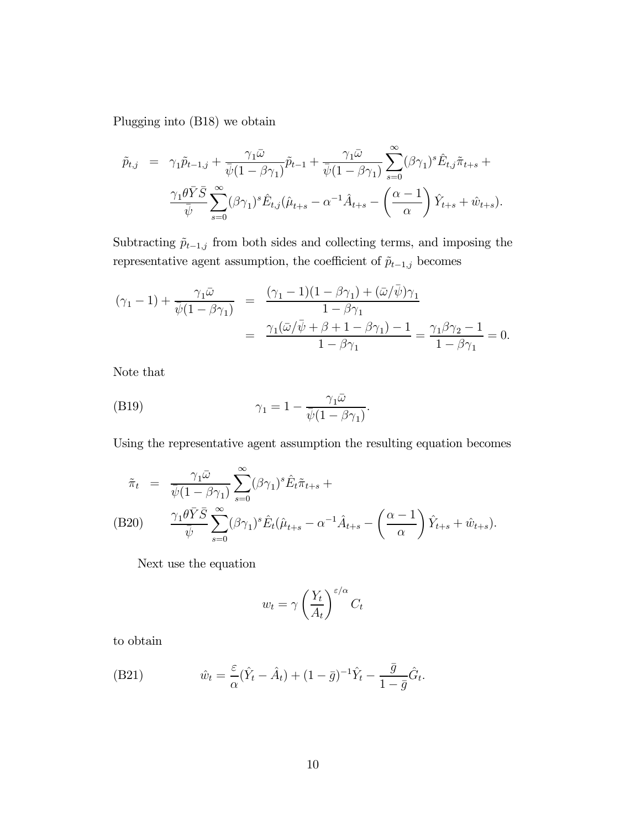Plugging into (B18) we obtain

$$
\tilde{p}_{t,j} = \gamma_1 \tilde{p}_{t-1,j} + \frac{\gamma_1 \bar{\omega}}{\bar{\psi}(1 - \beta \gamma_1)} \tilde{p}_{t-1} + \frac{\gamma_1 \bar{\omega}}{\bar{\psi}(1 - \beta \gamma_1)} \sum_{s=0}^{\infty} (\beta \gamma_1)^s \hat{E}_{t,j} \tilde{\pi}_{t+s} + \frac{\gamma_1 \theta \bar{Y} \bar{S}}{\bar{\psi}} \sum_{s=0}^{\infty} (\beta \gamma_1)^s \hat{E}_{t,j} (\hat{\mu}_{t+s} - \alpha^{-1} \hat{A}_{t+s} - \left(\frac{\alpha - 1}{\alpha}\right) \hat{Y}_{t+s} + \hat{w}_{t+s}).
$$

Subtracting  $\tilde{p}_{t-1,j}$  from both sides and collecting terms, and imposing the representative agent assumption, the coefficient of  $\tilde{p}_{t-1,j}$  becomes

$$
(\gamma_1 - 1) + \frac{\gamma_1 \bar{\omega}}{\bar{\psi}(1 - \beta \gamma_1)} = \frac{(\gamma_1 - 1)(1 - \beta \gamma_1) + (\bar{\omega}/\bar{\psi})\gamma_1}{1 - \beta \gamma_1}
$$
  
= 
$$
\frac{\gamma_1(\bar{\omega}/\bar{\psi} + \beta + 1 - \beta \gamma_1) - 1}{1 - \beta \gamma_1} = \frac{\gamma_1 \beta \gamma_2 - 1}{1 - \beta \gamma_1} = 0.
$$

Note that

(B19) 
$$
\gamma_1 = 1 - \frac{\gamma_1 \bar{\omega}}{\bar{\psi}(1 - \beta \gamma_1)}.
$$

Using the representative agent assumption the resulting equation becomes

$$
\tilde{\pi}_t = \frac{\gamma_1 \bar{\omega}}{\bar{\psi}(1 - \beta \gamma_1)} \sum_{s=0}^{\infty} (\beta \gamma_1)^s \hat{E}_t \tilde{\pi}_{t+s} +
$$
\n(B20) 
$$
\frac{\gamma_1 \theta \bar{Y} \bar{S}}{\bar{\psi}} \sum_{s=0}^{\infty} (\beta \gamma_1)^s \hat{E}_t (\hat{\mu}_{t+s} - \alpha^{-1} \hat{A}_{t+s} - \left(\frac{\alpha - 1}{\alpha}\right) \hat{Y}_{t+s} + \hat{w}_{t+s}).
$$

Next use the equation

$$
w_t = \gamma \left(\frac{Y_t}{A_t}\right)^{\varepsilon/\alpha} C_t
$$

to obtain

(B21) 
$$
\hat{w}_t = \frac{\varepsilon}{\alpha} (\hat{Y}_t - \hat{A}_t) + (1 - \bar{g})^{-1} \hat{Y}_t - \frac{\bar{g}}{1 - \bar{g}} \hat{G}_t.
$$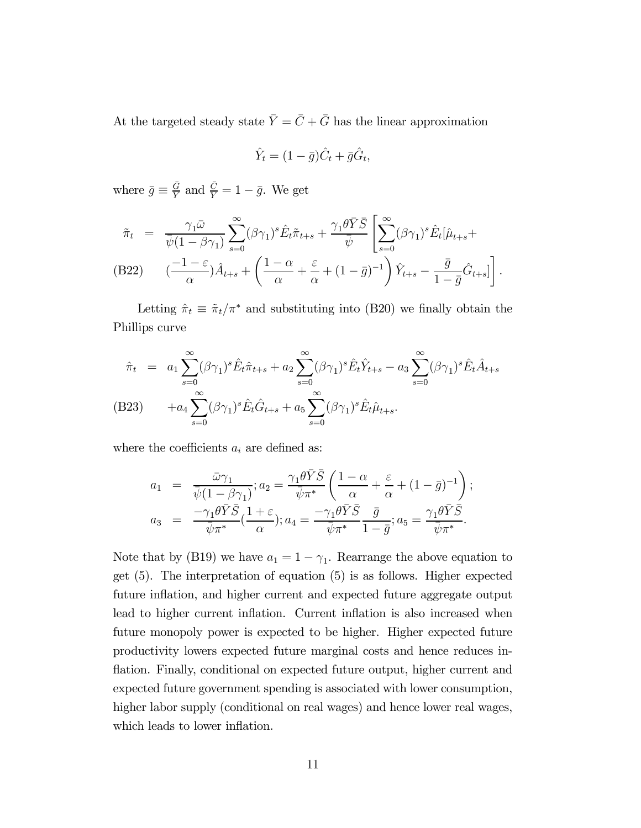At the targeted steady state  $\bar{Y} = \bar{C} + \bar{G}$  has the linear approximation

$$
\hat{Y}_t = (1 - \bar{g})\hat{C}_t + \bar{g}\hat{G}_t,
$$

where  $\bar{g} \equiv \frac{\bar{G}}{\bar{Y}}$  and  $\frac{\bar{C}}{\bar{Y}} = 1 - \bar{g}$ . We get

$$
\tilde{\pi}_t = \frac{\gamma_1 \bar{\omega}}{\bar{\psi}(1 - \beta \gamma_1)} \sum_{s=0}^{\infty} (\beta \gamma_1)^s \hat{E}_t \tilde{\pi}_{t+s} + \frac{\gamma_1 \theta \bar{Y} \bar{S}}{\bar{\psi}} \left[ \sum_{s=0}^{\infty} (\beta \gamma_1)^s \hat{E}_t [\hat{\mu}_{t+s} + (\beta 22) - (\frac{-1 - \varepsilon}{\alpha}) \hat{A}_{t+s} + (\frac{1 - \alpha}{\alpha} + \frac{\varepsilon}{\alpha} + (1 - \bar{g})^{-1}) \hat{Y}_{t+s} - \frac{\bar{g}}{1 - \bar{g}} \hat{G}_{t+s} \right].
$$

Letting  $\hat{\pi}_t \equiv \tilde{\pi}_t / \pi^*$  and substituting into (B20) we finally obtain the Phillips curve

$$
\hat{\pi}_t = a_1 \sum_{s=0}^{\infty} (\beta \gamma_1)^s \hat{E}_t \hat{\pi}_{t+s} + a_2 \sum_{s=0}^{\infty} (\beta \gamma_1)^s \hat{E}_t \hat{Y}_{t+s} - a_3 \sum_{s=0}^{\infty} (\beta \gamma_1)^s \hat{E}_t \hat{A}_{t+s}
$$
\n(B23) 
$$
+ a_4 \sum_{s=0}^{\infty} (\beta \gamma_1)^s \hat{E}_t \hat{G}_{t+s} + a_5 \sum_{s=0}^{\infty} (\beta \gamma_1)^s \hat{E}_t \hat{\mu}_{t+s}.
$$

where the coefficients  $a_i$  are defined as:

$$
a_1 = \frac{\bar{\omega}\gamma_1}{\bar{\psi}(1-\beta\gamma_1)}; a_2 = \frac{\gamma_1\theta\bar{Y}\bar{S}}{\bar{\psi}\pi^*} \left(\frac{1-\alpha}{\alpha} + \frac{\varepsilon}{\alpha} + (1-\bar{g})^{-1}\right);
$$
  

$$
a_3 = \frac{-\gamma_1\theta\bar{Y}\bar{S}}{\bar{\psi}\pi^*} \left(\frac{1+\varepsilon}{\alpha}\right); a_4 = \frac{-\gamma_1\theta\bar{Y}\bar{S}}{\bar{\psi}\pi^*} \frac{\bar{g}}{1-\bar{g}}; a_5 = \frac{\gamma_1\theta\bar{Y}\bar{S}}{\bar{\psi}\pi^*}.
$$

Note that by (B19) we have  $a_1 = 1 - \gamma_1$ . Rearrange the above equation to get (5). The interpretation of equation (5) is as follows. Higher expected future inflation, and higher current and expected future aggregate output lead to higher current inflation. Current inflation is also increased when future monopoly power is expected to be higher. Higher expected future productivity lowers expected future marginal costs and hence reduces inflation. Finally, conditional on expected future output, higher current and expected future government spending is associated with lower consumption, higher labor supply (conditional on real wages) and hence lower real wages, which leads to lower inflation.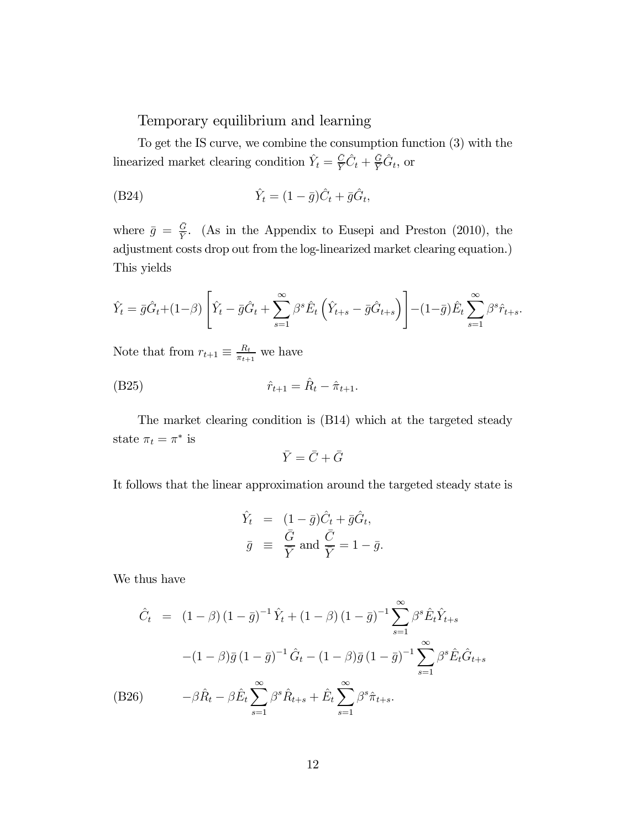Temporary equilibrium and learning

To get the IS curve, we combine the consumption function (3) with the linearized market clearing condition  $\hat{Y}_t = \frac{\bar{C}}{\bar{Y}} \hat{C}_t + \frac{\bar{G}}{\bar{Y}} \hat{G}_t$ , or

$$
\hat{Y}_t = (1 - \bar{g})\hat{C}_t + \bar{g}\hat{G}_t,
$$

where  $\bar{g} = \frac{\bar{G}}{Y}$ . (As in the Appendix to Eusepi and Preston (2010), the adjustment costs drop out from the log-linearized market clearing equation.) This yields

$$
\hat{Y}_t = \bar{g}\hat{G}_t + (1-\beta)\left[\hat{Y}_t - \bar{g}\hat{G}_t + \sum_{s=1}^{\infty} \beta^s \hat{E}_t \left(\hat{Y}_{t+s} - \bar{g}\hat{G}_{t+s}\right)\right] - (1-\bar{g})\hat{E}_t \sum_{s=1}^{\infty} \beta^s \hat{r}_{t+s}.
$$

Note that from  $r_{t+1} \equiv \frac{R_t}{\pi_{t+1}}$  we have

(B25) 
$$
\hat{r}_{t+1} = \hat{R}_t - \hat{\pi}_{t+1}.
$$

The market clearing condition is (B14) which at the targeted steady state  $\pi_t = \pi^*$  is

$$
\bar{Y} = \bar{C} + \bar{G}
$$

It follows that the linear approximation around the targeted steady state is

$$
\hat{Y}_t = (1 - \bar{g})\hat{C}_t + \bar{g}\hat{G}_t,
$$
\n
$$
\bar{g} \equiv \frac{\bar{G}}{\bar{Y}} \text{ and } \frac{\bar{C}}{\bar{Y}} = 1 - \bar{g}.
$$

We thus have

$$
\hat{C}_t = (1 - \beta)(1 - \bar{g})^{-1}\hat{Y}_t + (1 - \beta)(1 - \bar{g})^{-1}\sum_{s=1}^{\infty} \beta^s \hat{E}_t \hat{Y}_{t+s}
$$

$$
-(1 - \beta)\bar{g}(1 - \bar{g})^{-1}\hat{G}_t - (1 - \beta)\bar{g}(1 - \bar{g})^{-1}\sum_{s=1}^{\infty} \beta^s \hat{E}_t \hat{G}_{t+s}
$$
  
(B26) 
$$
-\beta \hat{R}_t - \beta \hat{E}_t \sum_{s=1}^{\infty} \beta^s \hat{R}_{t+s} + \hat{E}_t \sum_{s=1}^{\infty} \beta^s \hat{\pi}_{t+s}.
$$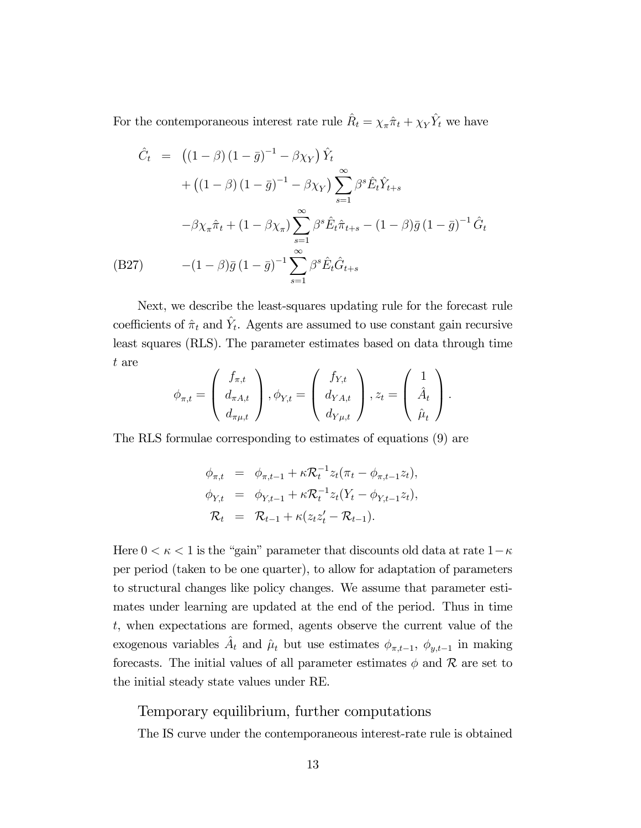For the contemporaneous interest rate rule  $\hat{R}_t = \chi_{\pi} \hat{\pi}_t + \chi_Y \hat{Y}_t$  we have

$$
\hat{C}_t = ((1 - \beta)(1 - \bar{g})^{-1} - \beta \chi_Y) \hat{Y}_t \n+ ((1 - \beta)(1 - \bar{g})^{-1} - \beta \chi_Y) \sum_{s=1}^{\infty} \beta^s \hat{E}_t \hat{Y}_{t+s} \n- \beta \chi_\pi \hat{\pi}_t + (1 - \beta \chi_\pi) \sum_{s=1}^{\infty} \beta^s \hat{E}_t \hat{\pi}_{t+s} - (1 - \beta)\bar{g}(1 - \bar{g})^{-1} \hat{G}_t \n(B27) \qquad -(1 - \beta)\bar{g}(1 - \bar{g})^{-1} \sum_{s=1}^{\infty} \beta^s \hat{E}_t \hat{G}_{t+s}
$$

Next, we describe the least-squares updating rule for the forecast rule coefficients of  $\hat{\pi}_t$  and  $\hat{Y}_t$ . Agents are assumed to use constant gain recursive least squares (RLS). The parameter estimates based on data through time t are  $\sim$ 

$$
\phi_{\pi,t} = \begin{pmatrix} f_{\pi,t} \\ d_{\pi A,t} \\ d_{\pi \mu,t} \end{pmatrix}, \phi_{Y,t} = \begin{pmatrix} f_{Y,t} \\ d_{YA,t} \\ d_{Y\mu,t} \end{pmatrix}, z_t = \begin{pmatrix} 1 \\ \hat{A}_t \\ \hat{\mu}_t \end{pmatrix}.
$$

The RLS formulae corresponding to estimates of equations (9) are

$$
\phi_{\pi,t} = \phi_{\pi,t-1} + \kappa \mathcal{R}_t^{-1} z_t (\pi_t - \phi_{\pi,t-1} z_t),
$$
  
\n
$$
\phi_{Y,t} = \phi_{Y,t-1} + \kappa \mathcal{R}_t^{-1} z_t (Y_t - \phi_{Y,t-1} z_t),
$$
  
\n
$$
\mathcal{R}_t = \mathcal{R}_{t-1} + \kappa (z_t z_t' - \mathcal{R}_{t-1}).
$$

Here  $0 < \kappa < 1$  is the "gain" parameter that discounts old data at rate  $1-\kappa$ per period (taken to be one quarter), to allow for adaptation of parameters to structural changes like policy changes. We assume that parameter estimates under learning are updated at the end of the period. Thus in time , when expectations are formed, agents observe the current value of the exogenous variables  $\hat{A}_t$  and  $\hat{\mu}_t$  but use estimates  $\phi_{\pi,t-1}, \phi_{y,t-1}$  in making forecasts. The initial values of all parameter estimates  $\phi$  and  $\mathcal R$  are set to the initial steady state values under RE.

#### Temporary equilibrium, further computations

The IS curve under the contemporaneous interest-rate rule is obtained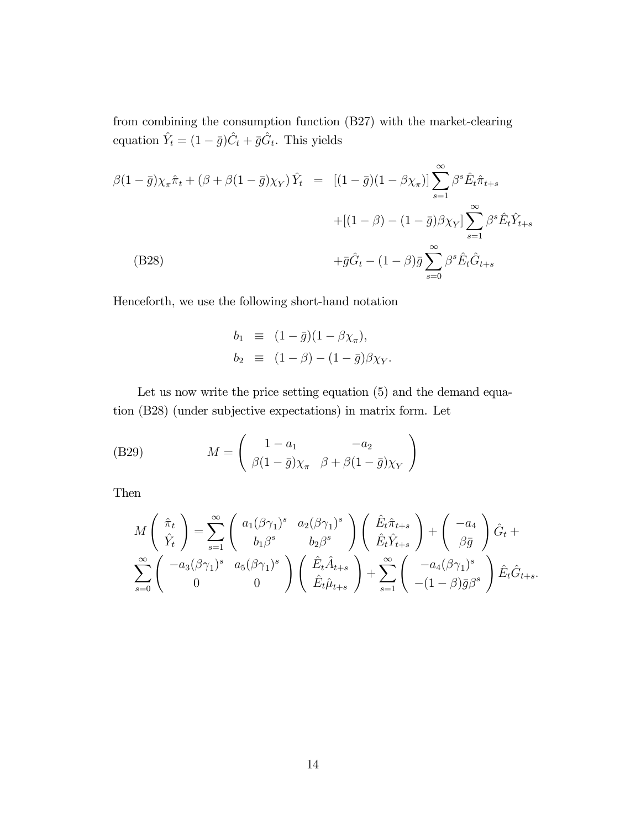from combining the consumption function (B27) with the market-clearing equation  $\hat{Y}_t = (1 - \bar{g})\hat{C}_t + \bar{g}\hat{G}_t$ . This yields

( B28)  
\n
$$
\beta(1 - \bar{g})\chi_{\pi}\hat{\pi}_t + (\beta + \beta(1 - \bar{g})\chi_Y)\hat{Y}_t = [(1 - \bar{g})(1 - \beta\chi_{\pi})] \sum_{s=1}^{\infty} \beta^s \hat{E}_t \hat{\pi}_{t+s} + [(1 - \beta) - (1 - \bar{g})\beta\chi_Y] \sum_{s=1}^{\infty} \beta^s \hat{E}_t \hat{Y}_{t+s} + \bar{g}\hat{G}_t - (1 - \beta)\bar{g} \sum_{s=0}^{\infty} \beta^s \hat{E}_t \hat{G}_{t+s}
$$

Henceforth, we use the following short-hand notation

$$
b_1 \equiv (1 - \bar{g})(1 - \beta \chi_{\pi}),
$$
  
\n
$$
b_2 \equiv (1 - \beta) - (1 - \bar{g})\beta \chi_Y.
$$

Let us now write the price setting equation  $(5)$  and the demand equation (B28) (under subjective expectations) in matrix form. Let

(B29) 
$$
M = \begin{pmatrix} 1 - a_1 & -a_2 \\ \beta(1 - \bar{g})\chi_{\pi} & \beta + \beta(1 - \bar{g})\chi_{Y} \end{pmatrix}
$$

Then

$$
M\begin{pmatrix} \hat{\pi}_t \\ \hat{Y}_t \end{pmatrix} = \sum_{s=1}^{\infty} \begin{pmatrix} a_1(\beta\gamma_1)^s & a_2(\beta\gamma_1)^s \\ b_1\beta^s & b_2\beta^s \end{pmatrix} \begin{pmatrix} \hat{E}_t\hat{\pi}_{t+s} \\ \hat{E}_t\hat{Y}_{t+s} \end{pmatrix} + \begin{pmatrix} -a_4 \\ \beta\bar{g} \end{pmatrix} \hat{G}_t + \sum_{s=0}^{\infty} \begin{pmatrix} -a_3(\beta\gamma_1)^s & a_5(\beta\gamma_1)^s \\ 0 & 0 \end{pmatrix} \begin{pmatrix} \hat{E}_t\hat{A}_{t+s} \\ \hat{E}_t\hat{\mu}_{t+s} \end{pmatrix} + \sum_{s=1}^{\infty} \begin{pmatrix} -a_4(\beta\gamma_1)^s \\ -(1-\beta)\bar{g}\beta^s \end{pmatrix} \hat{E}_t\hat{G}_{t+s}.
$$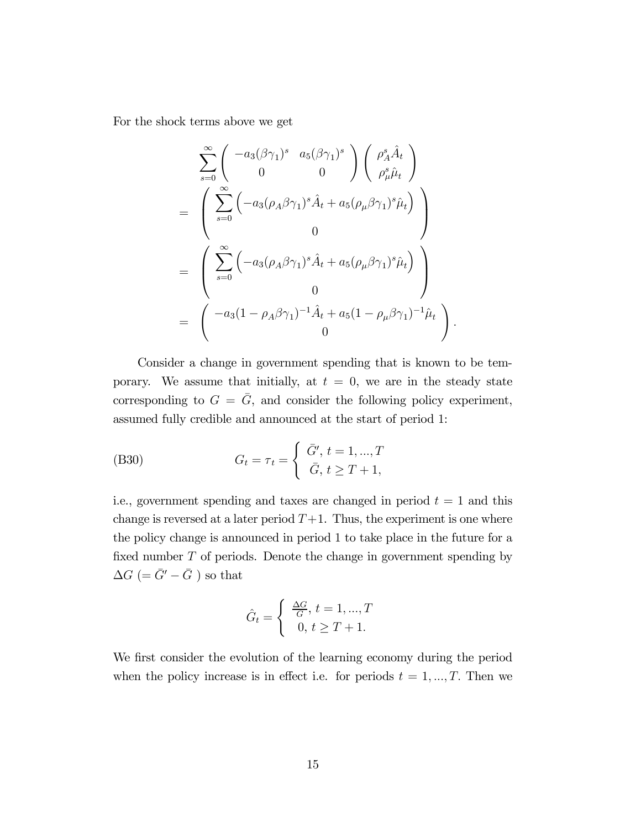For the shock terms above we get

$$
\sum_{s=0}^{\infty} \begin{pmatrix} -a_3(\beta\gamma_1)^s & a_5(\beta\gamma_1)^s \\ 0 & 0 \end{pmatrix} \begin{pmatrix} \rho_A^s \hat{A}_t \\ \rho_\mu^s \hat{\mu}_t \end{pmatrix}
$$
  
= 
$$
\begin{pmatrix} \sum_{s=0}^{\infty} \left( -a_3(\rho_A \beta\gamma_1)^s \hat{A}_t + a_5(\rho_\mu \beta\gamma_1)^s \hat{\mu}_t \right) \\ 0 \\ 0 \end{pmatrix}
$$
  
= 
$$
\begin{pmatrix} \sum_{s=0}^{\infty} \left( -a_3(\rho_A \beta\gamma_1)^s \hat{A}_t + a_5(\rho_\mu \beta\gamma_1)^s \hat{\mu}_t \right) \\ 0 \\ 0 \end{pmatrix}
$$
  
= 
$$
\begin{pmatrix} -a_3(1-\rho_A \beta\gamma_1)^{-1} \hat{A}_t + a_5(1-\rho_\mu \beta\gamma_1)^{-1} \hat{\mu}_t \\ 0 \end{pmatrix}.
$$

Consider a change in government spending that is known to be temporary. We assume that initially, at  $t = 0$ , we are in the steady state corresponding to  $G = \overline{G}$ , and consider the following policy experiment, assumed fully credible and announced at the start of period 1:

(B30) 
$$
G_t = \tau_t = \begin{cases} \bar{G}', t = 1, ..., T \\ \bar{G}, t \ge T + 1, \end{cases}
$$

i.e., government spending and taxes are changed in period  $t = 1$  and this change is reversed at a later period  $T+1$ . Thus, the experiment is one where the policy change is announced in period 1 to take place in the future for a fixed number  $T$  of periods. Denote the change in government spending by  $\Delta G$  (=  $\bar{G}'-\bar{G}$  ) so that

$$
\hat{G}_t = \begin{cases} \frac{\Delta G}{G}, t = 1, ..., T \\ 0, t \ge T + 1. \end{cases}
$$

We first consider the evolution of the learning economy during the period when the policy increase is in effect i.e. for periods  $t = 1, ..., T$ . Then we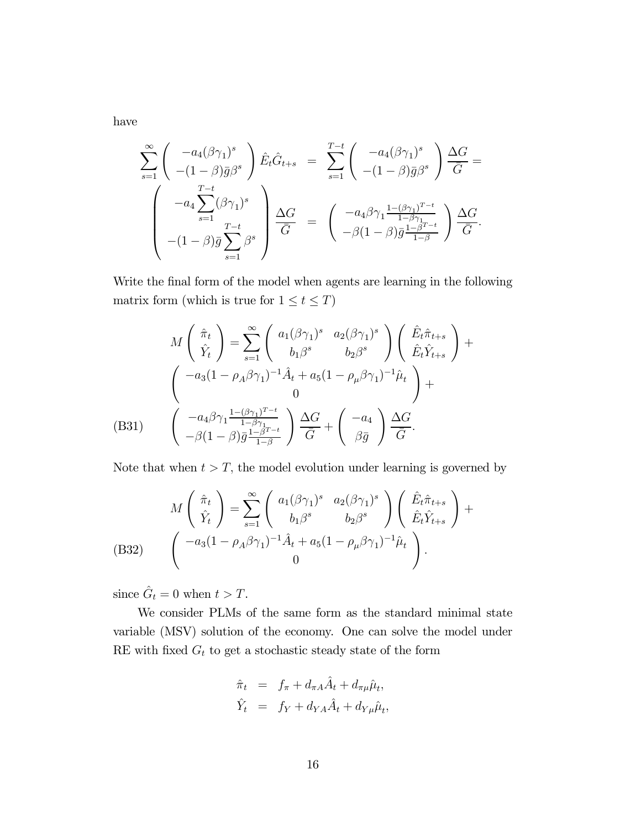have

$$
\sum_{s=1}^{\infty} \left( \begin{array}{c} -a_4(\beta \gamma_1)^s \\ -(1-\beta)\bar{g}\beta^s \end{array} \right) \hat{E}_t \hat{G}_{t+s} = \sum_{s=1}^{T-t} \left( \begin{array}{c} -a_4(\beta \gamma_1)^s \\ -(1-\beta)\bar{g}\beta^s \end{array} \right) \frac{\Delta G}{\bar{G}} =
$$

$$
\left( \begin{array}{c} -a_4 \sum_{s=1}^{T-t} (\beta \gamma_1)^s \\ -(1-\beta)\bar{g} \sum_{s=1}^{T-t} \beta^s \end{array} \right) \frac{\Delta G}{\bar{G}} = \left( \begin{array}{c} -a_4\beta \gamma_1 \frac{1-(\beta \gamma_1)^{T-t}}{1-\beta \gamma_1} \\ -\beta(1-\beta)\bar{g} \frac{1-\beta^{T-t}}{1-\beta} \end{array} \right) \frac{\Delta G}{\bar{G}}.
$$

Write the final form of the model when agents are learning in the following matrix form (which is true for  $1 \leq t \leq T$ )

$$
M\begin{pmatrix} \hat{\pi}_t \\ \hat{Y}_t \end{pmatrix} = \sum_{s=1}^{\infty} \begin{pmatrix} a_1(\beta\gamma_1)^s & a_2(\beta\gamma_1)^s \\ b_1\beta^s & b_2\beta^s \end{pmatrix} \begin{pmatrix} \hat{E}_t\hat{\pi}_{t+s} \\ \hat{E}_t\hat{Y}_{t+s} \end{pmatrix} + \begin{pmatrix} -a_3(1-\rho_A\beta\gamma_1)^{-1}\hat{A}_t + a_5(1-\rho_\mu\beta\gamma_1)^{-1}\hat{\mu}_t \\ 0 \end{pmatrix} + \begin{pmatrix} -a_4\beta\gamma_1\frac{1-(\beta\gamma_1)^{T-t}}{1-\beta\gamma_1} \\ -\beta(1-\beta)\bar{g}\frac{1-\beta^{T-t}}{1-\beta} \end{pmatrix} \frac{\Delta G}{\bar{G}} + \begin{pmatrix} -a_4 \\ \beta\bar{g} \end{pmatrix} \frac{\Delta G}{\bar{G}}.
$$

Note that when  $t > T$ , the model evolution under learning is governed by

$$
M\begin{pmatrix} \hat{\pi}_t \\ \hat{Y}_t \end{pmatrix} = \sum_{s=1}^{\infty} \begin{pmatrix} a_1(\beta\gamma_1)^s & a_2(\beta\gamma_1)^s \\ b_1\beta^s & b_2\beta^s \end{pmatrix} \begin{pmatrix} \hat{E}_t\hat{\pi}_{t+s} \\ \hat{E}_t\hat{Y}_{t+s} \end{pmatrix} +
$$
\n
$$
(B32) \qquad \begin{pmatrix} -a_3(1-\rho_A\beta\gamma_1)^{-1}\hat{A}_t + a_5(1-\rho_\mu\beta\gamma_1)^{-1}\hat{\mu}_t \\ 0 \end{pmatrix}.
$$

since  $\hat{G}_t = 0$  when  $t > T$ .

We consider PLMs of the same form as the standard minimal state variable (MSV) solution of the economy. One can solve the model under RE with fixed  ${\cal G}_t$  to get a stochastic steady state of the form

$$
\hat{\pi}_t = f_{\pi} + d_{\pi A} \hat{A}_t + d_{\pi \mu} \hat{\mu}_t,
$$
  

$$
\hat{Y}_t = f_Y + d_{YA} \hat{A}_t + d_{Y\mu} \hat{\mu}_t,
$$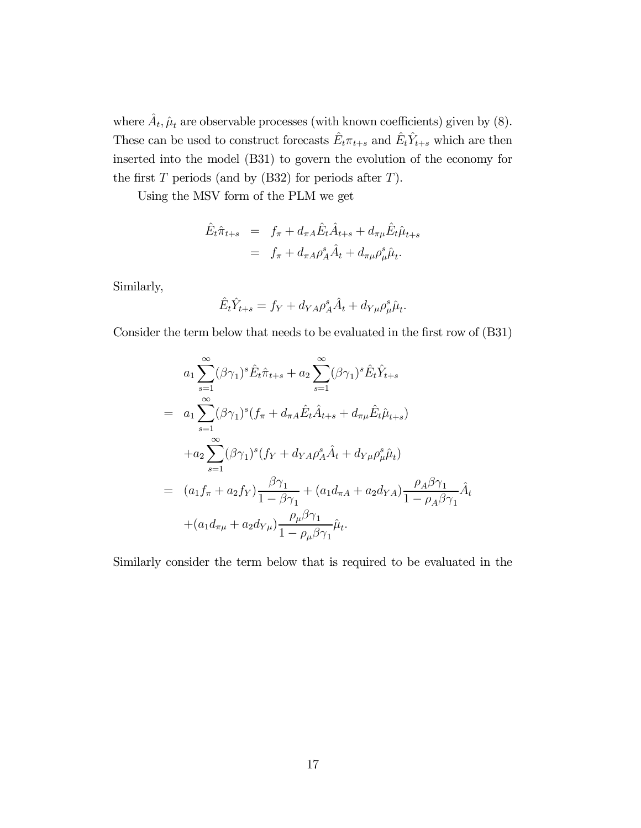where  $\hat{A}_t$ ,  $\hat{\mu}_t$  are observable processes (with known coefficients) given by (8). These can be used to construct forecasts  $\hat{E}_t \pi_{t+s}$  and  $\hat{E}_t \hat{Y}_{t+s}$  which are then inserted into the model (B31) to govern the evolution of the economy for the first  $T$  periods (and by (B32) for periods after  $T$ ).

Using the MSV form of the PLM we get

$$
\hat{E}_t \hat{\pi}_{t+s} = f_{\pi} + d_{\pi A} \hat{E}_t \hat{A}_{t+s} + d_{\pi \mu} \hat{E}_t \hat{\mu}_{t+s} \n= f_{\pi} + d_{\pi A} \rho_A^s \hat{A}_t + d_{\pi \mu} \rho_{\mu}^s \hat{\mu}_t.
$$

Similarly,

$$
\hat{E}_t \hat{Y}_{t+s} = f_Y + d_{YA} \rho_A^s \hat{A}_t + d_{Y\mu} \rho_\mu^s \hat{\mu}_t.
$$

Consider the term below that needs to be evaluated in the first row of (B31)

$$
a_1 \sum_{s=1}^{\infty} (\beta \gamma_1)^s \hat{E}_t \hat{\pi}_{t+s} + a_2 \sum_{s=1}^{\infty} (\beta \gamma_1)^s \hat{E}_t \hat{Y}_{t+s}
$$
  
\n
$$
= a_1 \sum_{s=1}^{\infty} (\beta \gamma_1)^s (f_{\pi} + d_{\pi A} \hat{E}_t \hat{A}_{t+s} + d_{\pi \mu} \hat{E}_t \hat{\mu}_{t+s})
$$
  
\n
$$
+ a_2 \sum_{s=1}^{\infty} (\beta \gamma_1)^s (f_Y + d_{YA} \rho_A^s \hat{A}_t + d_{Y\mu} \rho_{\mu}^s \hat{\mu}_t)
$$
  
\n
$$
= (a_1 f_{\pi} + a_2 f_Y) \frac{\beta \gamma_1}{1 - \beta \gamma_1} + (a_1 d_{\pi A} + a_2 d_{YA}) \frac{\rho_A \beta \gamma_1}{1 - \rho_A \beta \gamma_1} \hat{A}_t
$$
  
\n
$$
+ (a_1 d_{\pi \mu} + a_2 d_{Y\mu}) \frac{\rho_{\mu} \beta \gamma_1}{1 - \rho_{\mu} \beta \gamma_1} \hat{\mu}_t.
$$

Similarly consider the term below that is required to be evaluated in the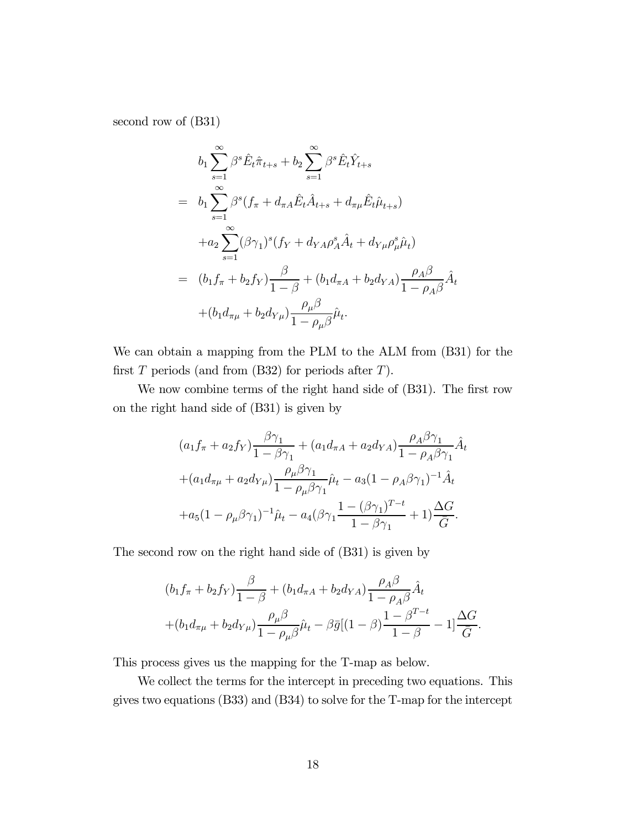second row of (B31)

$$
b_1 \sum_{s=1}^{\infty} \beta^s \hat{E}_t \hat{\pi}_{t+s} + b_2 \sum_{s=1}^{\infty} \beta^s \hat{E}_t \hat{Y}_{t+s}
$$
  
\n
$$
= b_1 \sum_{s=1}^{\infty} \beta^s (f_{\pi} + d_{\pi A} \hat{E}_t \hat{A}_{t+s} + d_{\pi \mu} \hat{E}_t \hat{\mu}_{t+s})
$$
  
\n
$$
+ a_2 \sum_{s=1}^{\infty} (\beta \gamma_1)^s (f_Y + d_{YA} \rho_A^s \hat{A}_t + d_{Y\mu} \rho_{\mu}^s \hat{\mu}_t)
$$
  
\n
$$
= (b_1 f_{\pi} + b_2 f_Y) \frac{\beta}{1-\beta} + (b_1 d_{\pi A} + b_2 d_{YA}) \frac{\rho_A \beta}{1-\rho_A \beta} \hat{A}_t
$$
  
\n
$$
+ (b_1 d_{\pi \mu} + b_2 d_{Y\mu}) \frac{\rho_{\mu} \beta}{1-\rho_{\mu} \beta} \hat{\mu}_t.
$$

We can obtain a mapping from the PLM to the ALM from (B31) for the first  $T$  periods (and from (B32) for periods after  $T$ ).

We now combine terms of the right hand side of (B31). The first row on the right hand side of (B31) is given by

$$
(a_1 f_\pi + a_2 f_Y) \frac{\beta \gamma_1}{1 - \beta \gamma_1} + (a_1 d_{\pi A} + a_2 d_{YA}) \frac{\rho_A \beta \gamma_1}{1 - \rho_A \beta \gamma_1} \hat{A}_t + (a_1 d_{\pi\mu} + a_2 d_{Y\mu}) \frac{\rho_\mu \beta \gamma_1}{1 - \rho_\mu \beta \gamma_1} \hat{\mu}_t - a_3 (1 - \rho_A \beta \gamma_1)^{-1} \hat{A}_t + a_5 (1 - \rho_\mu \beta \gamma_1)^{-1} \hat{\mu}_t - a_4 (\beta \gamma_1 \frac{1 - (\beta \gamma_1)^{T-t}}{1 - \beta \gamma_1} + 1) \frac{\Delta G}{\bar{G}}.
$$

The second row on the right hand side of (B31) is given by

$$
(b_1 f_\pi + b_2 f_Y) \frac{\beta}{1 - \beta} + (b_1 d_{\pi A} + b_2 d_{YA}) \frac{\rho_A \beta}{1 - \rho_A \beta} \hat{A}_t + (b_1 d_{\pi\mu} + b_2 d_{Y\mu}) \frac{\rho_\mu \beta}{1 - \rho_\mu \beta} \hat{\mu}_t - \beta \bar{g} [(1 - \beta) \frac{1 - \beta^{T-t}}{1 - \beta} - 1] \frac{\Delta G}{\bar{G}}.
$$

This process gives us the mapping for the T-map as below.

We collect the terms for the intercept in preceding two equations. This gives two equations (B33) and (B34) to solve for the T-map for the intercept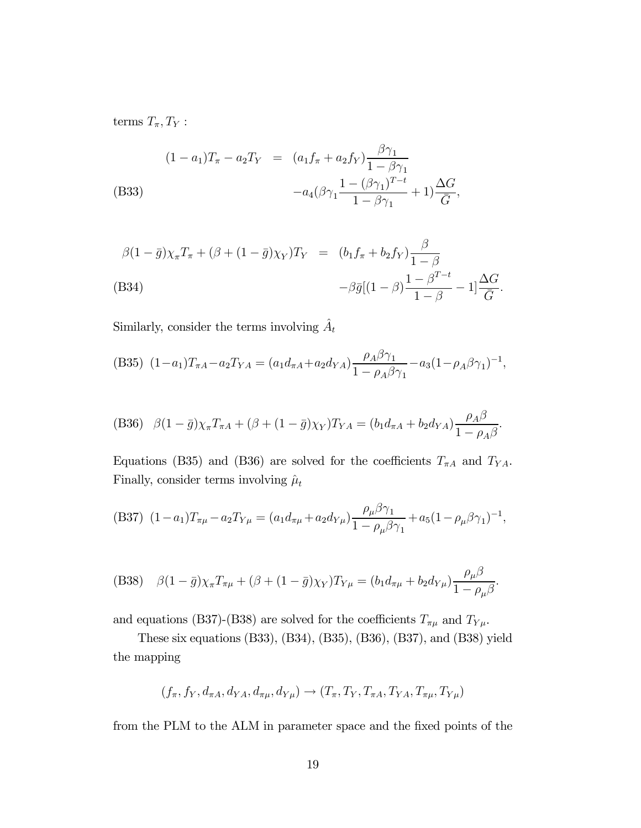terms  $T_{\pi}, T_{Y}$ :

(B33)  
\n
$$
(1 - a_1)T_{\pi} - a_2T_Y = (a_1f_{\pi} + a_2f_Y)\frac{\beta\gamma_1}{1 - \beta\gamma_1} -a_4(\beta\gamma_1\frac{1 - (\beta\gamma_1)^{T-t}}{1 - \beta\gamma_1} + 1)\frac{\Delta G}{\bar{G}},
$$

$$
\beta(1 - \bar{g})\chi_{\pi}T_{\pi} + (\beta + (1 - \bar{g})\chi_{Y})T_{Y} = (b_{1}f_{\pi} + b_{2}f_{Y})\frac{\beta}{1 - \beta} -\beta \bar{g}[(1 - \beta)\frac{1 - \beta^{T-t}}{1 - \beta} - 1]\frac{\Delta G}{\bar{G}}.
$$
\n(B34)

Similarly, consider the terms involving  $\hat{A}_t$ 

(B35) 
$$
(1-a_1)T_{\pi A} - a_2T_{YA} = (a_1d_{\pi A} + a_2d_{YA})\frac{\rho_A\beta\gamma_1}{1 - \rho_A\beta\gamma_1} - a_3(1-\rho_A\beta\gamma_1)^{-1},
$$

(B36) 
$$
\beta(1-\bar{g})\chi_{\pi}T_{\pi A} + (\beta + (1-\bar{g})\chi_{Y})T_{YA} = (b_{1}d_{\pi A} + b_{2}d_{YA})\frac{\rho_{A}\beta}{1-\rho_{A}\beta}.
$$

Equations (B35) and (B36) are solved for the coefficients  $T_{\pi A}$  and  $T_{YA}$ . Finally, consider terms involving  $\hat{\mu}_t$ 

(B37) 
$$
(1 - a_1)T_{\pi\mu} - a_2T_{Y\mu} = (a_1d_{\pi\mu} + a_2d_{Y\mu})\frac{\rho_\mu\beta\gamma_1}{1 - \rho_\mu\beta\gamma_1} + a_5(1 - \rho_\mu\beta\gamma_1)^{-1},
$$

(B38) 
$$
\beta(1-\bar{g})\chi_{\pi}T_{\pi\mu} + (\beta + (1-\bar{g})\chi_{Y})T_{Y\mu} = (b_{1}d_{\pi\mu} + b_{2}d_{Y\mu})\frac{\rho_{\mu}\beta}{1-\rho_{\mu}\beta}.
$$

and equations (B37)-(B38) are solved for the coefficients  $T_{\pi\mu}$  and  $T_{Y\mu}.$ 

These six equations (B33), (B34), (B35), (B36), (B37), and (B38) yield the mapping

$$
(f_{\pi}, f_Y, d_{\pi A}, d_{YA}, d_{\pi\mu}, d_{Y\mu}) \rightarrow (T_{\pi}, T_Y, T_{\pi A}, T_{YA}, T_{\pi\mu}, T_{Y\mu})
$$

from the PLM to the ALM in parameter space and the fixed points of the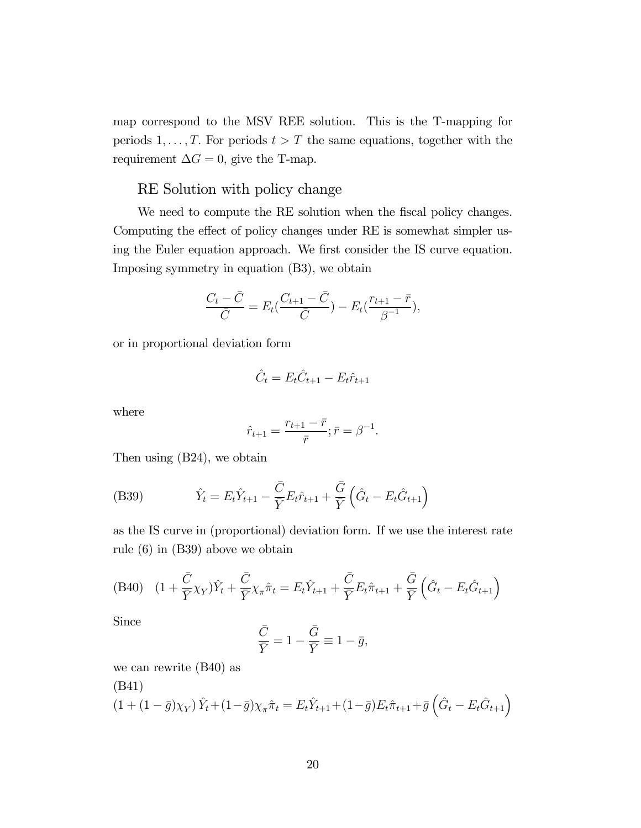map correspond to the MSV REE solution. This is the T-mapping for periods  $1, \ldots, T$ . For periods  $t > T$  the same equations, together with the requirement  $\Delta G = 0$ , give the T-map.

### RE Solution with policy change

We need to compute the RE solution when the fiscal policy changes. Computing the effect of policy changes under RE is somewhat simpler using the Euler equation approach. We first consider the IS curve equation. Imposing symmetry in equation (B3), we obtain

$$
\frac{C_t - \bar{C}}{\bar{C}} = E_t(\frac{C_{t+1} - \bar{C}}{\bar{C}}) - E_t(\frac{r_{t+1} - \bar{r}}{\beta^{-1}}),
$$

or in proportional deviation form

$$
\hat{C}_t = E_t \hat{C}_{t+1} - E_t \hat{r}_{t+1}
$$

where

$$
\hat{r}_{t+1} = \frac{r_{t+1} - \bar{r}}{\bar{r}}; \bar{r} = \beta^{-1}.
$$

Then using (B24), we obtain

(B39) 
$$
\hat{Y}_t = E_t \hat{Y}_{t+1} - \frac{\bar{C}}{\bar{Y}} E_t \hat{r}_{t+1} + \frac{\bar{G}}{\bar{Y}} \left( \hat{G}_t - E_t \hat{G}_{t+1} \right)
$$

as the IS curve in (proportional) deviation form. If we use the interest rate rule (6) in (B39) above we obtain

(B40) 
$$
(1 + \frac{\overline{C}}{\overline{Y}} \chi_Y) \hat{Y}_t + \frac{\overline{C}}{\overline{Y}} \chi_\pi \hat{\pi}_t = E_t \hat{Y}_{t+1} + \frac{\overline{C}}{\overline{Y}} E_t \hat{\pi}_{t+1} + \frac{\overline{G}}{\overline{Y}} \left( \hat{G}_t - E_t \hat{G}_{t+1} \right)
$$

Since

$$
\frac{\bar{C}}{\bar{Y}} = 1 - \frac{\bar{G}}{\bar{Y}} \equiv 1 - \bar{g},
$$

we can rewrite (B40) as

(B41)  
\n
$$
(1 + (1 - \bar{g})\chi_Y)\hat{Y}_t + (1 - \bar{g})\chi_{\pi}\hat{\pi}_t = E_t\hat{Y}_{t+1} + (1 - \bar{g})E_t\hat{\pi}_{t+1} + \bar{g}\left(\hat{G}_t - E_t\hat{G}_{t+1}\right)
$$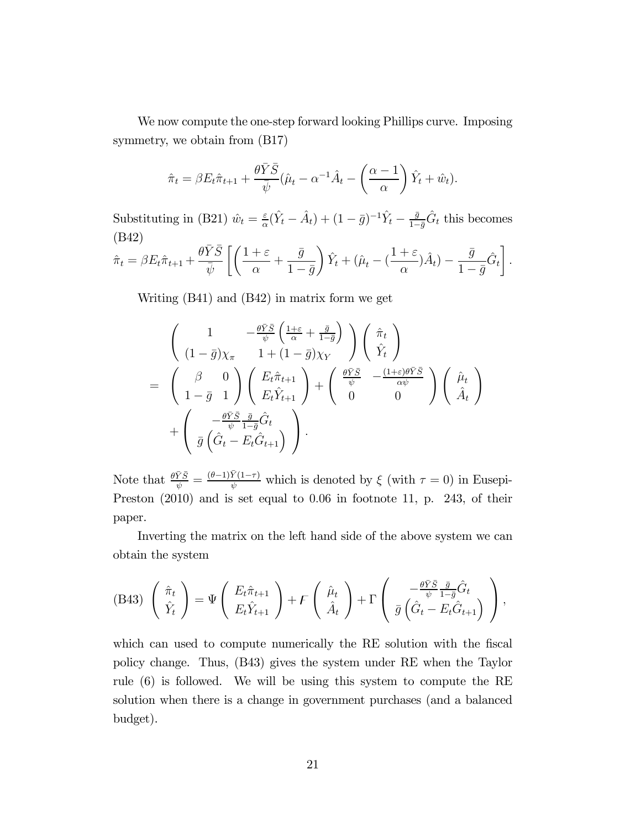We now compute the one-step forward looking Phillips curve. Imposing symmetry, we obtain from (B17)

$$
\hat{\pi}_t = \beta E_t \hat{\pi}_{t+1} + \frac{\theta \bar{Y} \bar{S}}{\bar{\psi}} (\hat{\mu}_t - \alpha^{-1} \hat{A}_t - \left(\frac{\alpha - 1}{\alpha}\right) \hat{Y}_t + \hat{w}_t).
$$

Substituting in (B21)  $\hat{w}_t = \frac{\varepsilon}{\alpha} (\hat{Y}_t - \hat{A}_t) + (1 - \bar{g})^{-1} \hat{Y}_t - \frac{\bar{g}}{1 - \bar{g}} \hat{G}_t$  this becomes (B42)

$$
\hat{\pi}_t = \beta E_t \hat{\pi}_{t+1} + \frac{\theta \bar{Y} \bar{S}}{\bar{\psi}} \left[ \left( \frac{1+\varepsilon}{\alpha} + \frac{\bar{g}}{1-\bar{g}} \right) \hat{Y}_t + (\hat{\mu}_t - (\frac{1+\varepsilon}{\alpha}) \hat{A}_t) - \frac{\bar{g}}{1-\bar{g}} \hat{G}_t \right].
$$

Writing (B41) and (B42) in matrix form we get

$$
\begin{pmatrix}\n1 & -\frac{\theta \bar{Y} \bar{S}}{\bar{\psi}} \left( \frac{1+\varepsilon}{\alpha} + \frac{\bar{g}}{1-\bar{g}} \right) \\
(1-\bar{g})\chi_{\pi} & 1+(1-\bar{g})\chi_{Y}\n\end{pmatrix}\n\begin{pmatrix}\n\hat{\pi}_{t} \\
\hat{Y}_{t}\n\end{pmatrix}\n= \n\begin{pmatrix}\n\beta & 0 \\
1-\bar{g} & 1\n\end{pmatrix}\n\begin{pmatrix}\nE_{t}\hat{\pi}_{t+1} \\
E_{t}\hat{Y}_{t+1}\n\end{pmatrix} + \n\begin{pmatrix}\n\frac{\theta \bar{Y}\bar{S}}{\psi} & -\frac{(1+\varepsilon)\theta \bar{Y}\bar{S}}{\alpha \bar{\psi}} \\
0 & 0\n\end{pmatrix}\n\begin{pmatrix}\n\hat{\mu}_{t} \\
\hat{A}_{t}\n\end{pmatrix}\n+ \n\begin{pmatrix}\n-\frac{\theta \bar{Y}\bar{S}}{\psi} & \bar{g} \\
\bar{g} \left( \hat{G}_{t} - E_{t}\hat{G}_{t+1} \right)\n\end{pmatrix}.
$$

Note that  $\frac{\theta \bar{Y}\bar{S}}{\psi} = \frac{(\theta-1)\bar{Y}(1-\tau)}{\psi}$  which is denoted by  $\xi$  (with  $\tau = 0$ ) in Eusepi-Preston  $(2010)$  and is set equal to 0.06 in footnote 11, p. 243, of their paper.

Inverting the matrix on the left hand side of the above system we can obtain the system

(B43) 
$$
\begin{pmatrix} \hat{\pi}_t \\ \hat{Y}_t \end{pmatrix} = \Psi \begin{pmatrix} E_t \hat{\pi}_{t+1} \\ E_t \hat{Y}_{t+1} \end{pmatrix} + \mathcal{F} \begin{pmatrix} \hat{\mu}_t \\ \hat{A}_t \end{pmatrix} + \Gamma \begin{pmatrix} -\frac{\theta \bar{Y} \bar{S}}{\psi} \frac{\bar{g}}{1 - \bar{g}} \hat{G}_t \\ \bar{g} \left( \hat{G}_t - E_t \hat{G}_{t+1} \right) \end{pmatrix},
$$

which can used to compute numerically the RE solution with the fiscal policy change. Thus, (B43) gives the system under RE when the Taylor rule (6) is followed. We will be using this system to compute the RE solution when there is a change in government purchases (and a balanced budget).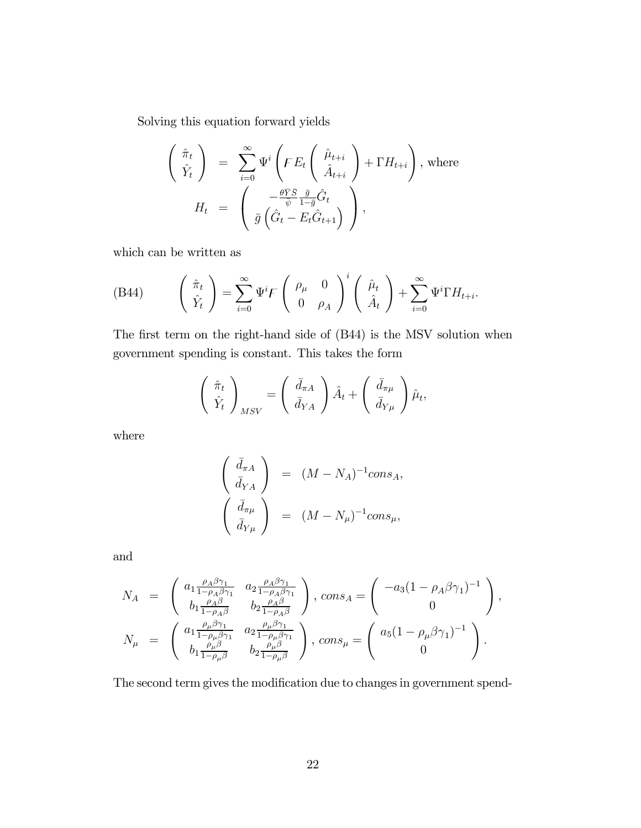Solving this equation forward yields

$$
\begin{pmatrix}\n\hat{\pi}_t \\
\hat{Y}_t\n\end{pmatrix} = \sum_{i=0}^{\infty} \Psi^i \left( F E_t \begin{pmatrix} \hat{\mu}_{t+i} \\
\hat{A}_{t+i} \end{pmatrix} + \Gamma H_{t+i} \right), \text{ where}
$$
\n
$$
H_t = \begin{pmatrix}\n-\frac{\theta \bar{Y} \bar{S}}{\psi} \frac{\bar{g}}{1 - \bar{g}} \hat{G}_t \\
\bar{g} \left( \hat{G}_t - E_t \hat{G}_{t+1} \right)\n\end{pmatrix},
$$

which can be written as

(B44) 
$$
\begin{pmatrix} \hat{\pi}_t \\ \hat{Y}_t \end{pmatrix} = \sum_{i=0}^{\infty} \Psi^i F \begin{pmatrix} \rho_{\mu} & 0 \\ 0 & \rho_A \end{pmatrix}^i \begin{pmatrix} \hat{\mu}_t \\ \hat{A}_t \end{pmatrix} + \sum_{i=0}^{\infty} \Psi^i \Gamma H_{t+i}.
$$

The first term on the right-hand side of (B44) is the MSV solution when government spending is constant. This takes the form

$$
\begin{pmatrix} \hat{\pi}_t \\ \hat{Y}_t \end{pmatrix}_{MSV} = \begin{pmatrix} \bar{d}_{\pi A} \\ \bar{d}_{YA} \end{pmatrix} \hat{A}_t + \begin{pmatrix} \bar{d}_{\pi\mu} \\ \bar{d}_{Y\mu} \end{pmatrix} \hat{\mu}_t,
$$

where

$$
\begin{pmatrix}\n\bar{d}_{\pi A} \\
\bar{d}_{YA}\n\end{pmatrix} = (M - N_A)^{-1} cons_A,
$$
\n
$$
\begin{pmatrix}\n\bar{d}_{\pi\mu} \\
\bar{d}_{Y\mu}\n\end{pmatrix} = (M - N_{\mu})^{-1} cons_{\mu},
$$

and

$$
\begin{array}{lll} N_A&=&\left(\begin{array}{cc} a_1\frac{\rho_A\beta\gamma_1}{1-\rho_A\beta\gamma_1} & a_2\frac{\rho_A\beta\gamma_1}{1-\rho_A\beta\gamma_1}\\ b_1\frac{\rho_A\beta}{1-\rho_A\beta} & b_2\frac{\rho_A\beta}{1-\rho_A\beta} \end{array}\right),\,cons_A=\left(\begin{array}{c} -a_3(1-\rho_A\beta\gamma_1)^{-1}\\ 0 \end{array}\right),\\ N_\mu&=&\left(\begin{array}{cc} a_1\frac{\rho_\mu\beta\gamma_1}{1-\rho_\mu\beta\gamma_1} & a_2\frac{\rho_\mu\beta\gamma_1}{1-\rho_\mu\beta\gamma_1}\\ b_1\frac{\rho_\mu\beta}{1-\rho_\mu\beta} & b_2\frac{\rho_\mu\beta}{1-\rho_\mu\beta} \end{array}\right),\,cons_\mu=\left(\begin{array}{c} a_5(1-\rho_\mu\beta\gamma_1)^{-1}\\ 0 \end{array}\right). \end{array}
$$

The second term gives the modification due to changes in government spend-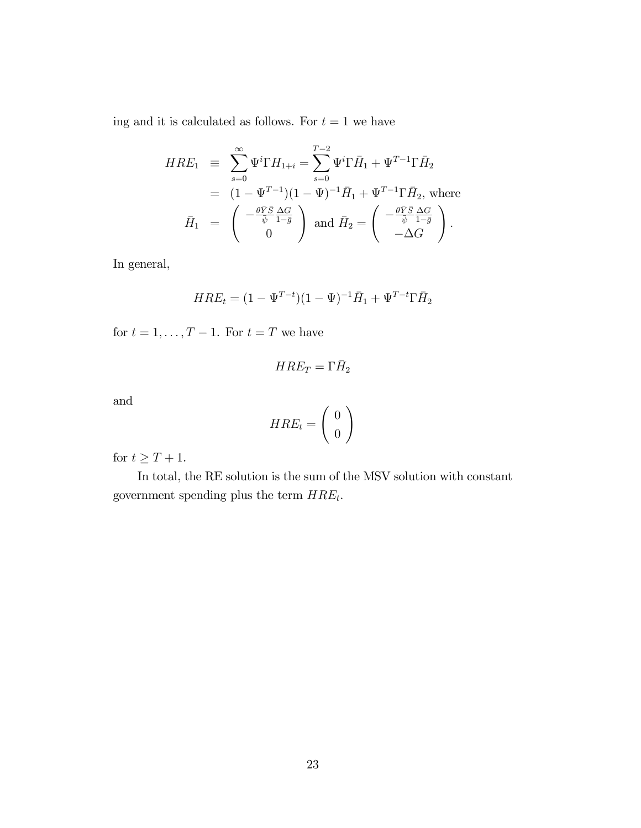ing and it is calculated as follows. For  $t = 1$  we have

$$
HRE_1 \equiv \sum_{s=0}^{\infty} \Psi^i \Gamma H_{1+i} = \sum_{s=0}^{T-2} \Psi^i \Gamma \bar{H}_1 + \Psi^{T-1} \Gamma \bar{H}_2
$$
  
\n
$$
= (1 - \Psi^{T-1})(1 - \Psi)^{-1} \bar{H}_1 + \Psi^{T-1} \Gamma \bar{H}_2, \text{ where}
$$
  
\n
$$
\bar{H}_1 = \begin{pmatrix} -\frac{\theta \bar{Y} \bar{S}}{\psi} \frac{\Delta G}{1 - \bar{g}} \\ 0 \end{pmatrix} \text{ and } \bar{H}_2 = \begin{pmatrix} -\frac{\theta \bar{Y} \bar{S}}{\psi} \frac{\Delta G}{1 - \bar{g}} \\ -\Delta G \end{pmatrix}.
$$

In general,

$$
HRE_t = (1 - \Psi^{T-t})(1 - \Psi)^{-1}\bar{H}_1 + \Psi^{T-t}\Gamma\bar{H}_2
$$

for  $t = 1, \ldots, T - 1$ . For  $t = T$  we have

$$
HRE_T=\Gamma \bar H_2
$$

and

$$
HRE_t=\left(\begin{array}{c}0\\0\end{array}\right)
$$

for  $t\geq T+1.$ 

In total, the RE solution is the sum of the MSV solution with constant government spending plus the term  $HRE_t$ .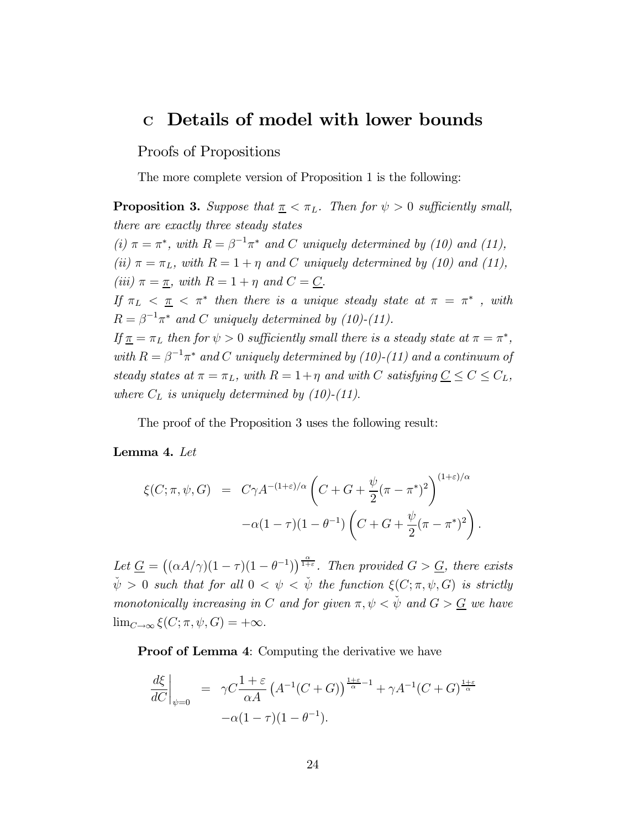### <sup>C</sup> Details of model with lower bounds

Proofs of Propositions

The more complete version of Proposition 1 is the following:

**Proposition 3.** Suppose that  $\pi < \pi_L$ . Then for  $\psi > 0$  sufficiently small, there are exactly three steady states (i)  $\pi = \pi^*$ , with  $R = \beta^{-1} \pi^*$  and C uniquely determined by (10) and (11), (ii)  $\pi = \pi_L$ , with  $R = 1 + \eta$  and C uniquely determined by (10) and (11), (iii)  $\pi = \pi$ , with  $R = 1 + \eta$  and  $C = C$ . If  $\pi_L < \pi < \pi^*$  then there is a unique steady state at  $\pi = \pi^*$ , with  $R = \beta^{-1}\pi^*$  and C uniquely determined by (10)-(11). If  $\pi = \pi_L$  then for  $\psi > 0$  sufficiently small there is a steady state at  $\pi = \pi^*$ , with  $R = \beta^{-1}\pi^*$  and C uniquely determined by (10)-(11) and a continuum of steady states at  $\pi = \pi_L$ , with  $R = 1 + \eta$  and with C satisfying  $\underline{C} \leq C \leq C_L$ , where  $C_L$  is uniquely determined by (10)-(11).

The proof of the Proposition 3 uses the following result:

Lemma 4. Let

$$
\xi(C; \pi, \psi, G) = C\gamma A^{-(1+\varepsilon)/\alpha} \left( C + G + \frac{\psi}{2} (\pi - \pi^*)^2 \right)^{(1+\varepsilon)/\alpha}
$$

$$
-\alpha (1-\tau)(1-\theta^{-1}) \left( C + G + \frac{\psi}{2} (\pi - \pi^*)^2 \right).
$$

Let  $\underline{G} = ((\alpha A/\gamma)(1-\tau)(1-\theta^{-1}))^{\frac{\alpha}{1+\epsilon}}$ . Then provided  $G > \underline{G}$ , there exists  $\check{\psi} > 0$  such that for all  $0 < \psi < \check{\psi}$  the function  $\xi(C; \pi, \psi, G)$  is strictly monotonically increasing in C and for given  $\pi, \psi < \psi$  and  $G > G$  we have  $\lim_{C\to\infty} \xi(C; \pi, \psi, G) = +\infty.$ 

**Proof of Lemma 4:** Computing the derivative we have

$$
\left. \frac{d\xi}{dC} \right|_{\psi=0} = \gamma C \frac{1+\varepsilon}{\alpha A} \left( A^{-1}(C+G) \right)^{\frac{1+\varepsilon}{\alpha}-1} + \gamma A^{-1}(C+G)^{\frac{1+\varepsilon}{\alpha}}
$$

$$
-\alpha (1-\tau)(1-\theta^{-1}).
$$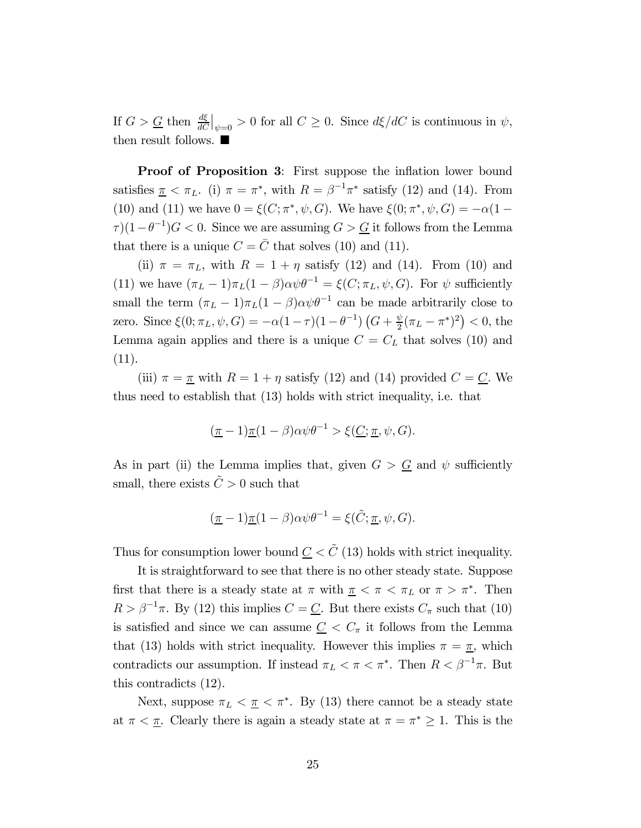If  $G > \underline{G}$  then  $\frac{d\xi}{dC}\Big|_{\psi=0} > 0$  for all  $C \geq 0$ . Since  $d\xi/dC$  is continuous in  $\psi$ , then result follows.  $\blacksquare$ 

Proof of Proposition 3: First suppose the inflation lower bound satisfies  $\pi < \pi_L$ . (i)  $\pi = \pi^*$ , with  $R = \beta^{-1}\pi^*$  satisfy (12) and (14). From (10) and (11) we have  $0 = \xi(C; \pi^*, \psi, G)$ . We have  $\xi(0; \pi^*, \psi, G) = -\alpha(1 \tau$ )(1− $\theta^{-1}$ ) $G < 0$ . Since we are assuming  $G > \underline{G}$  it follows from the Lemma that there is a unique  $C = \overline{C}$  that solves (10) and (11).

(ii)  $\pi = \pi_L$ , with  $R = 1 + \eta$  satisfy (12) and (14). From (10) and (11) we have  $(\pi_L - 1)\pi_L(1 - \beta)\alpha \psi \theta^{-1} = \xi(C; \pi_L, \psi, G)$ . For  $\psi$  sufficiently small the term  $(\pi_L - 1)\pi_L(1 - \beta)\alpha \psi \theta^{-1}$  can be made arbitrarily close to zero. Since  $\xi(0; \pi_L, \psi, G) = -\alpha(1-\tau)(1-\theta^{-1}) \left( G + \frac{\psi}{2} (\pi_L - \pi^*)^2 \right) < 0$ , the Lemma again applies and there is a unique  $C = C_L$  that solves (10) and (11).

(iii)  $\pi = \underline{\pi}$  with  $R = 1 + \eta$  satisfy (12) and (14) provided  $C = \underline{C}$ . We thus need to establish that (13) holds with strict inequality, i.e. that

$$
(\underline{\pi} - 1)\underline{\pi}(1 - \beta)\alpha\psi\theta^{-1} > \xi(\underline{C}; \underline{\pi}, \psi, G).
$$

As in part (ii) the Lemma implies that, given  $G > G$  and  $\psi$  sufficiently small, there exists  $\tilde{C} > 0$  such that

$$
(\underline{\pi} - 1)\underline{\pi}(1 - \beta)\alpha\psi\theta^{-1} = \xi(\tilde{C}; \underline{\pi}, \psi, G).
$$

Thus for consumption lower bound  $C < \tilde{C}$  (13) holds with strict inequality.

It is straightforward to see that there is no other steady state. Suppose first that there is a steady state at  $\pi$  with  $\pi < \pi < \pi_L$  or  $\pi > \pi^*$ . Then  $R > \beta^{-1}\pi$ . By (12) this implies  $C = \underline{C}$ . But there exists  $C_{\pi}$  such that (10) is satisfied and since we can assume  $C < C_{\pi}$  it follows from the Lemma that (13) holds with strict inequality. However this implies  $\pi = \pi$ , which contradicts our assumption. If instead  $\pi_L < \pi < \pi^*$ . Then  $R < \beta^{-1}\pi$ . But this contradicts (12).

Next, suppose  $\pi_L < \pi < \pi^*$ . By (13) there cannot be a steady state at  $\pi < \underline{\pi}$ . Clearly there is again a steady state at  $\pi = \pi^* \geq 1$ . This is the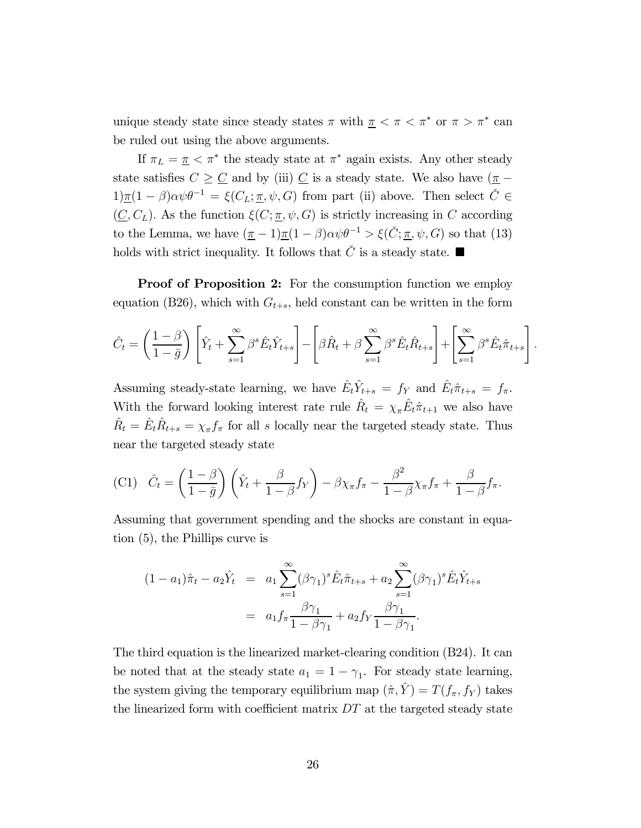unique steady state since steady states  $\pi$  with  $\pi < \pi < \pi^*$  or  $\pi > \pi^*$  can be ruled out using the above arguments.

If  $\pi_L = \underline{\pi} \, < \pi^*$  the steady state at  $\pi^*$  again exists. Any other steady state satisfies  $C \geq \underline{C}$  and by (iii)  $\underline{C}$  is a steady state. We also have  $(\underline{\pi} 1)\pi(1 - \beta)\alpha\psi\theta^{-1} = \xi(C_L; \pi, \psi, G)$  from part (ii) above. Then select  $\check{C} \in$  $(C, C<sub>L</sub>)$ . As the function  $\xi(C; \underline{\pi}, \psi, G)$  is strictly increasing in C according to the Lemma, we have  $(\underline{\pi}-1)\underline{\pi}(1-\beta)\alpha\psi\theta^{-1} > \xi(\check{C};\underline{\pi},\psi,G)$  so that (13) holds with strict inequality. It follows that  $\check{C}$  is a steady state.

**Proof of Proposition 2:** For the consumption function we employ equation (B26), which with  $G_{t+s}$ , held constant can be written in the form

$$
\hat{C}_t = \left(\frac{1-\beta}{1-\bar{g}}\right) \left[ \hat{Y}_t + \sum_{s=1}^{\infty} \beta^s \hat{E}_t \hat{Y}_{t+s} \right] - \left[ \beta \hat{R}_t + \beta \sum_{s=1}^{\infty} \beta^s \hat{E}_t \hat{R}_{t+s} \right] + \left[ \sum_{s=1}^{\infty} \beta^s \hat{E}_t \hat{\pi}_{t+s} \right]
$$

 $\ddot{\phantom{0}}$ 

Assuming steady-state learning, we have  $\hat{E}_t \hat{Y}_{t+s} = f_Y$  and  $\hat{E}_t \hat{\pi}_{t+s} = f_{\pi}$ . With the forward looking interest rate rule  $\hat{R}_t = \chi_{\pi} \hat{E}_t \hat{\pi}_{t+1}$  we also have  $\hat{R}_t = \hat{E}_t \hat{R}_{t+s} = \chi_{\pi} f_{\pi}$  for all  $s$  locally near the targeted steady state. Thus near the targeted steady state

$$
\text{(C1)}\quad \hat{C}_t = \left(\frac{1-\beta}{1-\bar{g}}\right) \left(\hat{Y}_t + \frac{\beta}{1-\beta} f_Y\right) - \beta \chi_\pi f_\pi - \frac{\beta^2}{1-\beta} \chi_\pi f_\pi + \frac{\beta}{1-\beta} f_\pi.
$$

Assuming that government spending and the shocks are constant in equation (5), the Phillips curve is

$$
(1 - a_1)\hat{\pi}_t - a_2 \hat{Y}_t = a_1 \sum_{s=1}^{\infty} (\beta \gamma_1)^s \hat{E}_t \hat{\pi}_{t+s} + a_2 \sum_{s=1}^{\infty} (\beta \gamma_1)^s \hat{E}_t \hat{Y}_{t+s}
$$
  
=  $a_1 f_\pi \frac{\beta \gamma_1}{1 - \beta \gamma_1} + a_2 f_Y \frac{\beta \gamma_1}{1 - \beta \gamma_1}.$ 

The third equation is the linearized market-clearing condition (B24). It can be noted that at the steady state  $a_1 = 1 - \gamma_1$ . For steady state learning, the system giving the temporary equilibrium map  $(\hat{\pi}, \hat{Y}) = T(f_{\pi}, f_{Y})$  takes the linearized form with coefficient matrix  $DT$  at the targeted steady state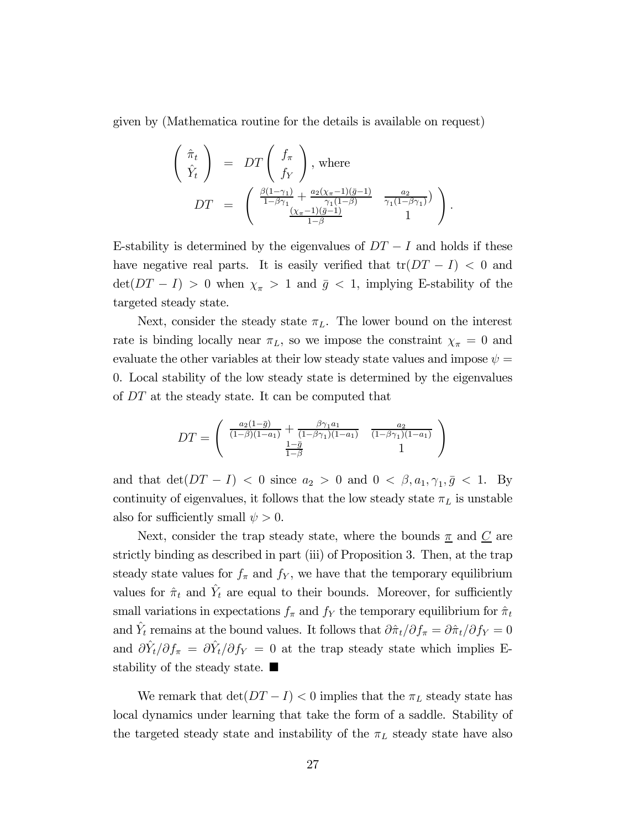given by (Mathematica routine for the details is available on request)

$$
\begin{pmatrix}\n\hat{\pi}_t \\
\hat{Y}_t\n\end{pmatrix} = DT \begin{pmatrix} f_{\pi} \\
f_{Y}\n\end{pmatrix}, \text{ where}
$$
\n
$$
DT = \begin{pmatrix}\n\frac{\beta(1-\gamma_1)}{1-\beta\gamma_1} + \frac{a_2(\chi_{\pi}-1)(\bar{g}-1)}{\gamma_1(1-\beta)} & \frac{a_2}{\gamma_1(1-\beta\gamma_1)} \\
\frac{(\chi_{\pi}-1)(\bar{g}-1)}{1-\beta} & 1\n\end{pmatrix}.
$$

E-stability is determined by the eigenvalues of  $DT-I$  and holds if these have negative real parts. It is easily verified that  $tr(DT - I) < 0$  and  $\det(DT - I) > 0$  when  $\chi_{\pi} > 1$  and  $\bar{g} < 1$ , implying E-stability of the targeted steady state.

Next, consider the steady state  $\pi_L$ . The lower bound on the interest rate is binding locally near  $\pi_L$ , so we impose the constraint  $\chi_{\pi} = 0$  and evaluate the other variables at their low steady state values and impose  $\psi =$ 0. Local stability of the low steady state is determined by the eigenvalues of  $DT$  at the steady state. It can be computed that

$$
DT = \begin{pmatrix} \frac{a_2(1-\bar{g})}{(1-\beta)(1-a_1)} + \frac{\beta \gamma_1 a_1}{(1-\beta \gamma_1)(1-a_1)} & \frac{a_2}{(1-\beta \gamma_1)(1-a_1)} \\ \frac{1-\bar{g}}{1-\beta} & 1 \end{pmatrix}
$$

and that  $\det(DT - I) < 0$  since  $a_2 > 0$  and  $0 < \beta, a_1, \gamma_1, \bar{g} < 1$ . By continuity of eigenvalues, it follows that the low steady state  $\pi_L$  is unstable also for sufficiently small  $\psi > 0$ .

Next, consider the trap steady state, where the bounds  $\underline{\pi}$  and  $\underline{C}$  are strictly binding as described in part (iii) of Proposition 3. Then, at the trap steady state values for  $f_{\pi}$  and  $f_Y$ , we have that the temporary equilibrium values for  $\hat{\pi}_t$  and  $\hat{Y}_t$  are equal to their bounds. Moreover, for sufficiently small variations in expectations  $f_{\pi}$  and  $f_{Y}$  the temporary equilibrium for  $\hat{\pi}_{t}$ and  $\hat{Y}_t$  remains at the bound values. It follows that  $\partial \hat{\pi}_t / \partial f_{\pi} = \partial \hat{\pi}_t / \partial f_Y = 0$ and  $\partial \hat{Y}_t / \partial f_\pi = \partial \hat{Y}_t / \partial f_Y = 0$  at the trap steady state which implies Estability of the steady state.  $\blacksquare$ 

We remark that  $\det(DT - I) < 0$  implies that the  $\pi_L$  steady state has local dynamics under learning that take the form of a saddle. Stability of the targeted steady state and instability of the  $\pi_L$  steady state have also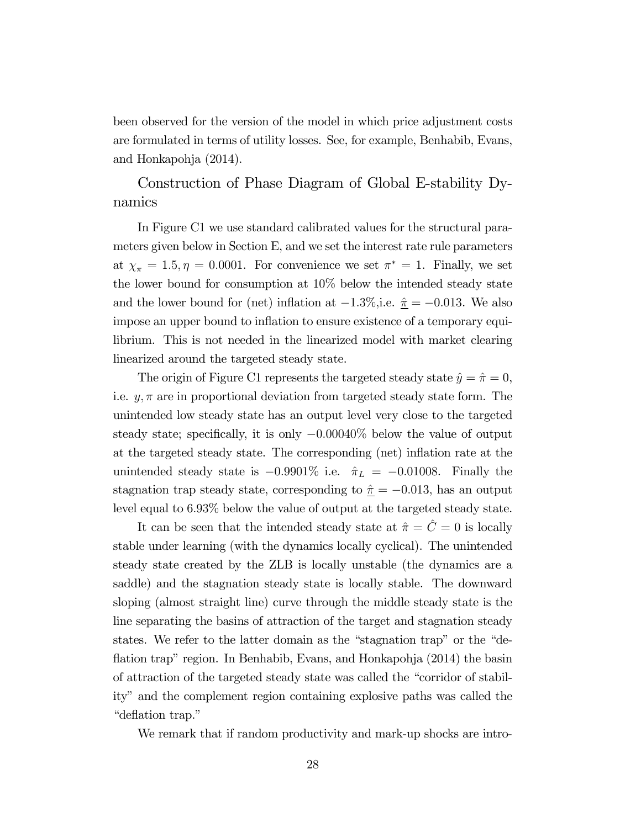been observed for the version of the model in which price adjustment costs are formulated in terms of utility losses. See, for example, Benhabib, Evans, and Honkapohja (2014).

Construction of Phase Diagram of Global E-stability Dynamics

In Figure C1 we use standard calibrated values for the structural parameters given below in Section E, and we set the interest rate rule parameters at  $\chi_{\pi} = 1.5, \eta = 0.0001$ . For convenience we set  $\pi^* = 1$ . Finally, we set the lower bound for consumption at 10% below the intended steady state and the lower bound for (net) inflation at  $-1.3\%$ , i.e.  $\hat{\tau} = -0.013$ . We also impose an upper bound to inflation to ensure existence of a temporary equilibrium. This is not needed in the linearized model with market clearing linearized around the targeted steady state.

The origin of Figure C1 represents the targeted steady state  $\hat{y} = \hat{\pi} = 0$ , i.e.  $y, \pi$  are in proportional deviation from targeted steady state form. The unintended low steady state has an output level very close to the targeted steady state; specifically, it is only  $-0.00040\%$  below the value of output at the targeted steady state. The corresponding (net) inflation rate at the unintended steady state is  $-0.9901\%$  i.e.  $\hat{\pi}_L = -0.01008$ . Finally the stagnation trap steady state, corresponding to  $\hat{\pi} = -0.013$ , has an output level equal to  $6.93\%$  below the value of output at the targeted steady state.

It can be seen that the intended steady state at  $\hat{\pi} = \hat{C} = 0$  is locally stable under learning (with the dynamics locally cyclical). The unintended steady state created by the ZLB is locally unstable (the dynamics are a saddle) and the stagnation steady state is locally stable. The downward sloping (almost straight line) curve through the middle steady state is the line separating the basins of attraction of the target and stagnation steady states. We refer to the latter domain as the "stagnation trap" or the "deflation trap" region. In Benhabib, Evans, and Honkapohja (2014) the basin of attraction of the targeted steady state was called the "corridor of stability" and the complement region containing explosive paths was called the "deflation trap."

We remark that if random productivity and mark-up shocks are intro-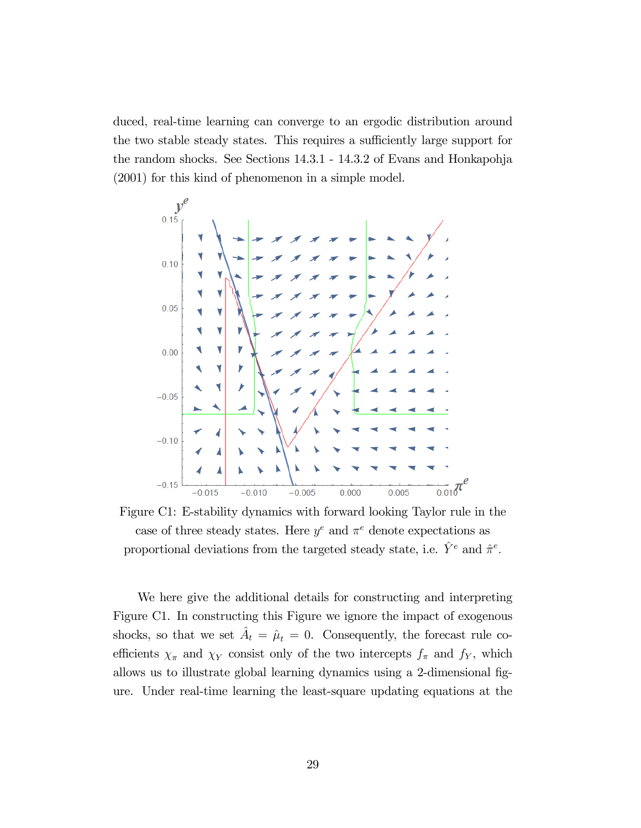duced, real-time learning can converge to an ergodic distribution around the two stable steady states. This requires a sufficiently large support for the random shocks. See Sections 14.3.1 - 14.3.2 of Evans and Honkapohja (2001) for this kind of phenomenon in a simple model.



Figure C1: E-stability dynamics with forward looking Taylor rule in the case of three steady states. Here  $y^e$  and  $\pi^e$  denote expectations as proportional deviations from the targeted steady state, i.e.  $\hat{Y}^e$  and  $\hat{\pi}^e$ .

We here give the additional details for constructing and interpreting Figure C1. In constructing this Figure we ignore the impact of exogenous shocks, so that we set  $\hat{A}_t = \hat{\mu}_t = 0$ . Consequently, the forecast rule coefficients  $\chi_{\pi}$  and  $\chi_{Y}$  consist only of the two intercepts  $f_{\pi}$  and  $f_{Y}$ , which allows us to illustrate global learning dynamics using a 2-dimensional figure. Under real-time learning the least-square updating equations at the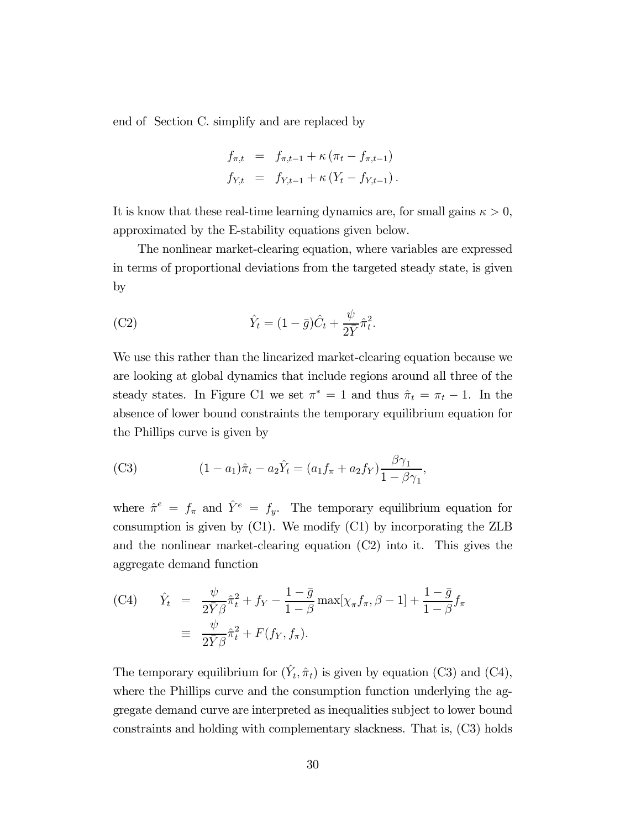end of Section C. simplify and are replaced by

$$
f_{\pi,t} = f_{\pi,t-1} + \kappa (\pi_t - f_{\pi,t-1})
$$
  
\n
$$
f_{Y,t} = f_{Y,t-1} + \kappa (Y_t - f_{Y,t-1}).
$$

It is know that these real-time learning dynamics are, for small gains  $\kappa > 0$ , approximated by the E-stability equations given below.

The nonlinear market-clearing equation, where variables are expressed in terms of proportional deviations from the targeted steady state, is given by

(C2) 
$$
\hat{Y}_t = (1 - \bar{g})\hat{C}_t + \frac{\psi}{2\bar{Y}}\hat{\pi}_t^2.
$$

We use this rather than the linearized market-clearing equation because we are looking at global dynamics that include regions around all three of the steady states. In Figure C1 we set  $\pi^* = 1$  and thus  $\hat{\pi}_t = \pi_t - 1$ . In the absence of lower bound constraints the temporary equilibrium equation for the Phillips curve is given by

(C3) 
$$
(1 - a_1)\hat{\pi}_t - a_2 \hat{Y}_t = (a_1 f_\pi + a_2 f_Y) \frac{\beta \gamma_1}{1 - \beta \gamma_1},
$$

where  $\hat{\pi}^e = f_{\pi}$  and  $\hat{Y}^e = f_y$ . The temporary equilibrium equation for consumption is given by (C1). We modify (C1) by incorporating the ZLB and the nonlinear market-clearing equation (C2) into it. This gives the aggregate demand function

(C4) 
$$
\hat{Y}_t = \frac{\psi}{2\bar{Y}\beta}\hat{\pi}_t^2 + f_Y - \frac{1-\bar{g}}{1-\beta}\max[\chi_{\pi}f_{\pi}, \beta - 1] + \frac{1-\bar{g}}{1-\beta}f_{\pi}
$$

$$
\equiv \frac{\psi}{2\bar{Y}\beta}\hat{\pi}_t^2 + F(f_Y, f_{\pi}).
$$

The temporary equilibrium for  $(\hat{Y}_t, \hat{\pi}_t)$  is given by equation (C3) and (C4), where the Phillips curve and the consumption function underlying the aggregate demand curve are interpreted as inequalities subject to lower bound constraints and holding with complementary slackness. That is, (C3) holds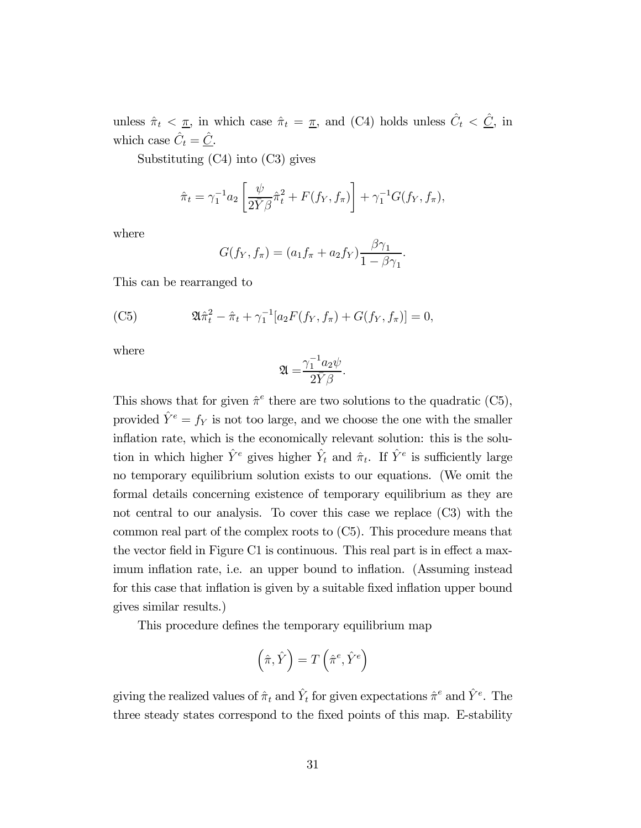unless  $\hat{\pi}_t < \underline{\pi}$ , in which case  $\hat{\pi}_t = \underline{\pi}$ , and (C4) holds unless  $\hat{C}_t < \underline{\hat{C}}$ , in which case  $\hat{C}_t = \hat{C}$ .

Substituting (C4) into (C3) gives

$$
\hat{\pi}_t = \gamma_1^{-1} a_2 \left[ \frac{\psi}{2\bar{Y}\beta} \hat{\pi}_t^2 + F(f_Y, f_\pi) \right] + \gamma_1^{-1} G(f_Y, f_\pi),
$$

where

$$
G(f_Y, f_\pi) = (a_1 f_\pi + a_2 f_Y) \frac{\beta \gamma_1}{1 - \beta \gamma_1}.
$$

This can be rearranged to

(C5) 
$$
\mathfrak{A}\hat{\pi}_t^2 - \hat{\pi}_t + \gamma_1^{-1}[a_2F(f_Y, f_\pi) + G(f_Y, f_\pi)] = 0,
$$

where

$$
\mathfrak{A=}\frac{\gamma_1^{-1}a_2\psi}{2\bar{Y}\beta}.
$$

This shows that for given  $\hat{\pi}^e$  there are two solutions to the quadratic (C5), provided  $\hat{Y}^e = f_Y$  is not too large, and we choose the one with the smaller inflation rate, which is the economically relevant solution: this is the solution in which higher  $\hat{Y}^e$  gives higher  $\hat{Y}_t$  and  $\hat{\pi}_t$ . If  $\hat{Y}^e$  is sufficiently large no temporary equilibrium solution exists to our equations. (We omit the formal details concerning existence of temporary equilibrium as they are not central to our analysis. To cover this case we replace (C3) with the common real part of the complex roots to (C5). This procedure means that the vector field in Figure C1 is continuous. This real part is in effect a maximum inflation rate, i.e. an upper bound to inflation. (Assuming instead for this case that inflation is given by a suitable fixed inflation upper bound gives similar results.)

This procedure defines the temporary equilibrium map

$$
\left(\hat{\pi},\hat{Y}\right)=T\left(\hat{\pi}^e,\hat{Y}^e\right)
$$

giving the realized values of  $\hat{\pi}_t$  and  $\hat{Y}_t$  for given expectations  $\hat{\pi}^e$  and  $\hat{Y}^e$ . The three steady states correspond to the fixed points of this map. E-stability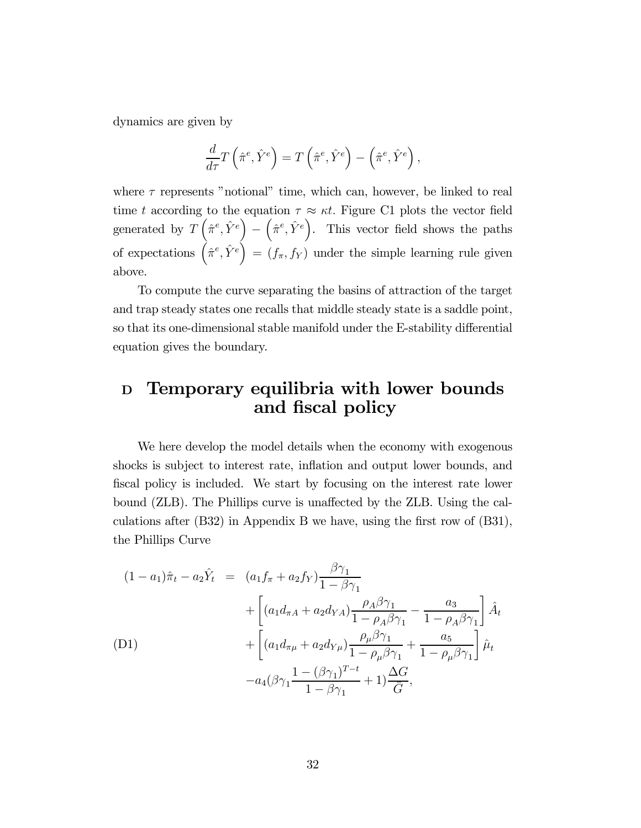dynamics are given by

$$
\frac{d}{d\tau}T\left(\hat{\pi}^e,\hat{Y}^e\right) = T\left(\hat{\pi}^e,\hat{Y}^e\right) - \left(\hat{\pi}^e,\hat{Y}^e\right),\,
$$

where  $\tau$  represents "notional" time, which can, however, be linked to real time t according to the equation  $\tau \approx \kappa t$ . Figure C1 plots the vector field generated by  $\overline{T}(\hat{\pi}^e, \hat{Y}^e)$ −  $(\hat{\pi}^e, \hat{Y}^e)$ . This vector field shows the paths of expectations  $(\hat{\pi}^e, \hat{Y}^e) = (f_{\pi}, f_{Y})$  under the simple learning rule given above.

To compute the curve separating the basins of attraction of the target and trap steady states one recalls that middle steady state is a saddle point, so that its one-dimensional stable manifold under the E-stability differential equation gives the boundary.

## <sup>D</sup> Temporary equilibria with lower bounds and fiscal policy

We here develop the model details when the economy with exogenous shocks is subject to interest rate, inflation and output lower bounds, and fiscal policy is included. We start by focusing on the interest rate lower bound (ZLB). The Phillips curve is unaffected by the ZLB. Using the calculations after (B32) in Appendix B we have, using the first row of (B31), the Phillips Curve

(1 - a<sub>1</sub>)
$$
\hat{\pi}_t
$$
 - a<sub>2</sub> $\hat{Y}_t$  =  $(a_1 f_\pi + a_2 f_Y) \frac{\beta \gamma_1}{1 - \beta \gamma_1}$   
+  $\left[ (a_1 d_{\pi A} + a_2 d_{YA}) \frac{\rho_A \beta \gamma_1}{1 - \rho_A \beta \gamma_1} - \frac{a_3}{1 - \rho_A \beta \gamma_1} \right] \hat{A}_t$   
(D1)  
+  $\left[ (a_1 d_{\pi\mu} + a_2 d_{Y\mu}) \frac{\rho_\mu \beta \gamma_1}{1 - \rho_\mu \beta \gamma_1} + \frac{a_5}{1 - \rho_\mu \beta \gamma_1} \right] \hat{\mu}_t$   
- a<sub>4</sub> $(\beta \gamma_1 \frac{1 - (\beta \gamma_1)^{T-t}}{1 - \beta \gamma_1} + 1) \frac{\Delta G}{\bar{G}},$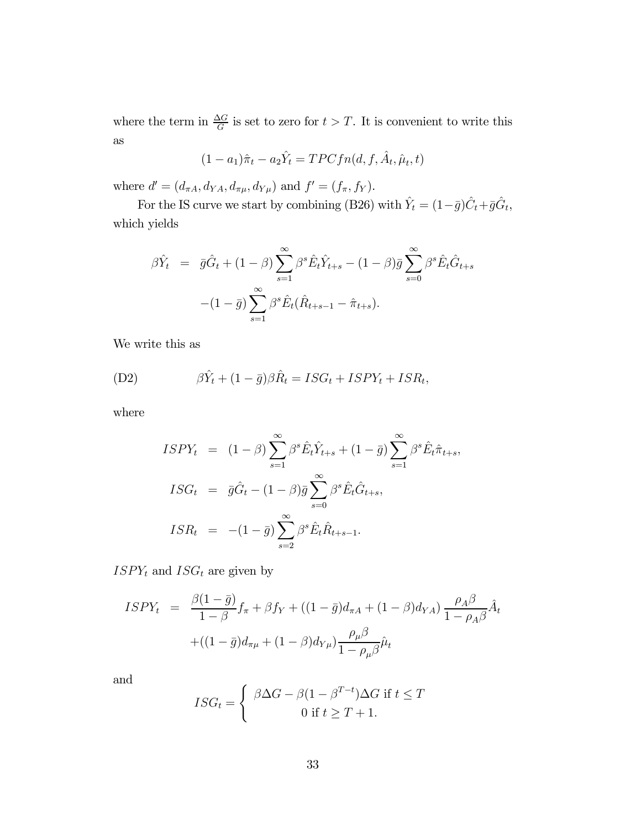where the term in  $\frac{\Delta G}{G}$  is set to zero for  $t > T$ . It is convenient to write this as

$$
(1 - a_1)\hat{\pi}_t - a_2 \hat{Y}_t = TPCfn(d, f, \hat{A}_t, \hat{\mu}_t, t)
$$

where  $d' = (d_{\pi A}, d_{YA}, d_{\pi \mu}, d_{Y\mu})$  and  $f' = (f_{\pi}, f_{Y}).$ 

For the IS curve we start by combining (B26) with  $\hat{Y}_t = (1-\bar{g})\hat{C}_t + \bar{g}\hat{G}_t$ , which yields

$$
\beta \hat{Y}_t = \bar{g}\hat{G}_t + (1 - \beta) \sum_{s=1}^{\infty} \beta^s \hat{E}_t \hat{Y}_{t+s} - (1 - \beta) \bar{g} \sum_{s=0}^{\infty} \beta^s \hat{E}_t \hat{G}_{t+s} \n- (1 - \bar{g}) \sum_{s=1}^{\infty} \beta^s \hat{E}_t (\hat{R}_{t+s-1} - \hat{\pi}_{t+s}).
$$

We write this as

(D2) 
$$
\beta \hat{Y}_t + (1 - \bar{g})\beta \hat{R}_t = ISG_t + ISPY_t + ISR_t,
$$

where

$$
ISPY_t = (1 - \beta) \sum_{s=1}^{\infty} \beta^s \hat{E}_t \hat{Y}_{t+s} + (1 - \bar{g}) \sum_{s=1}^{\infty} \beta^s \hat{E}_t \hat{\pi}_{t+s},
$$
  
\n
$$
ISG_t = \bar{g}\hat{G}_t - (1 - \beta)\bar{g} \sum_{s=0}^{\infty} \beta^s \hat{E}_t \hat{G}_{t+s},
$$
  
\n
$$
ISR_t = -(1 - \bar{g}) \sum_{s=2}^{\infty} \beta^s \hat{E}_t \hat{R}_{t+s-1}.
$$

 $ISPY_t$  and  $ISG_t$  are given by

$$
ISPY_{t} = \frac{\beta(1-\bar{g})}{1-\beta}f_{\pi} + \beta f_{Y} + ((1-\bar{g})d_{\pi A} + (1-\beta)d_{YA})\frac{\rho_{A}\beta}{1-\rho_{A}\beta}\hat{A}_{t}
$$

$$
+((1-\bar{g})d_{\pi\mu} + (1-\beta)d_{Y\mu})\frac{\rho_{\mu}\beta}{1-\rho_{\mu}\beta}\hat{\mu}_{t}
$$

and

$$
ISG_t = \begin{cases} \beta \Delta G - \beta (1 - \beta^{T-t}) \Delta G & \text{if } t \le T \\ 0 & \text{if } t \ge T + 1. \end{cases}
$$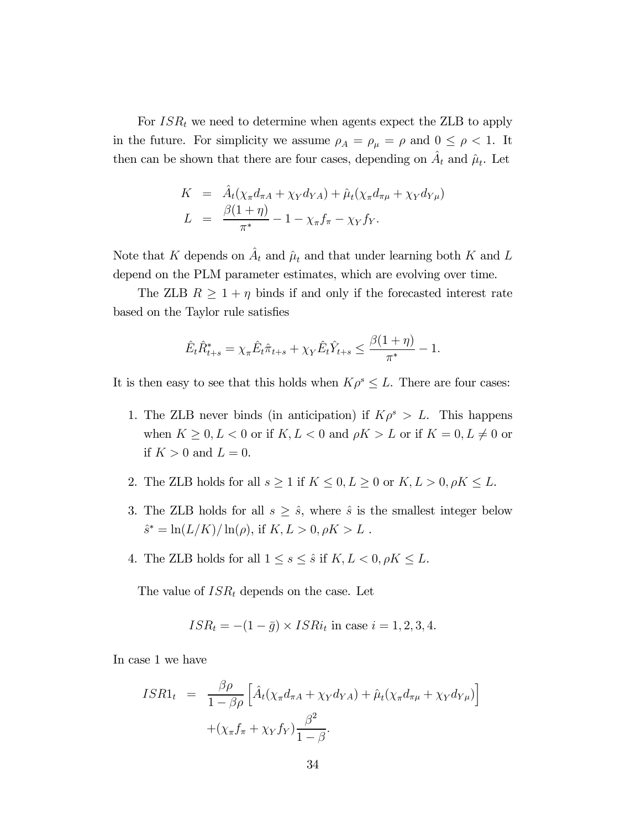For  $ISR_t$  we need to determine when agents expect the ZLB to apply in the future. For simplicity we assume  $\rho_A = \rho_\mu = \rho$  and  $0 \le \rho < 1$ . It then can be shown that there are four cases, depending on  $A_t$  and  $\hat{\mu}_t$ . Let

$$
K = \hat{A}_t(\chi_{\pi}d_{\pi A} + \chi_Y d_{YA}) + \hat{\mu}_t(\chi_{\pi}d_{\pi\mu} + \chi_Y d_{Y\mu})
$$
  

$$
L = \frac{\beta(1+\eta)}{\pi^*} - 1 - \chi_{\pi}f_{\pi} - \chi_Y f_Y.
$$

Note that K depends on  $\hat{A}_t$  and  $\hat{\mu}_t$  and that under learning both K and L depend on the PLM parameter estimates, which are evolving over time.

The ZLB  $R \geq 1 + \eta$  binds if and only if the forecasted interest rate based on the Taylor rule satisfies

$$
\hat{E}_t \hat{R}_{t+s}^* = \chi_\pi \hat{E}_t \hat{\pi}_{t+s} + \chi_Y \hat{E}_t \hat{Y}_{t+s} \le \frac{\beta(1+\eta)}{\pi^*} - 1.
$$

It is then easy to see that this holds when  $K\rho^s \leq L$ . There are four cases:

- 1. The ZLB never binds (in anticipation) if  $K\rho^s > L$ . This happens when  $K \geq 0, L < 0$  or if  $K, L < 0$  and  $\rho K > L$  or if  $K = 0, L \neq 0$  or if  $K > 0$  and  $L = 0$ .
- 2. The ZLB holds for all  $s \geq 1$  if  $K \leq 0, L \geq 0$  or  $K, L > 0, \rho K \leq L$ .
- 3. The ZLB holds for all  $s \geq \hat{s}$ , where  $\hat{s}$  is the smallest integer below  $\hat{s}^* = \ln(L/K)/\ln(\rho)$ , if  $K, L > 0, \rho K > L$ .
- 4. The ZLB holds for all  $1 \leq s \leq \hat{s}$  if  $K, L < 0, \rho K \leq L$ .

The value of  $ISR_t$  depends on the case. Let

$$
ISR_t = -(1 - \bar{g}) \times ISR_t \text{ in case } i = 1, 2, 3, 4.
$$

In case 1 we have

$$
ISR1_t = \frac{\beta \rho}{1 - \beta \rho} \left[ \hat{A}_t(\chi_{\pi} d_{\pi A} + \chi_Y d_{YA}) + \hat{\mu}_t(\chi_{\pi} d_{\pi \mu} + \chi_Y d_{Y\mu}) \right]
$$

$$
+ (\chi_{\pi} f_{\pi} + \chi_Y f_Y) \frac{\beta^2}{1 - \beta}.
$$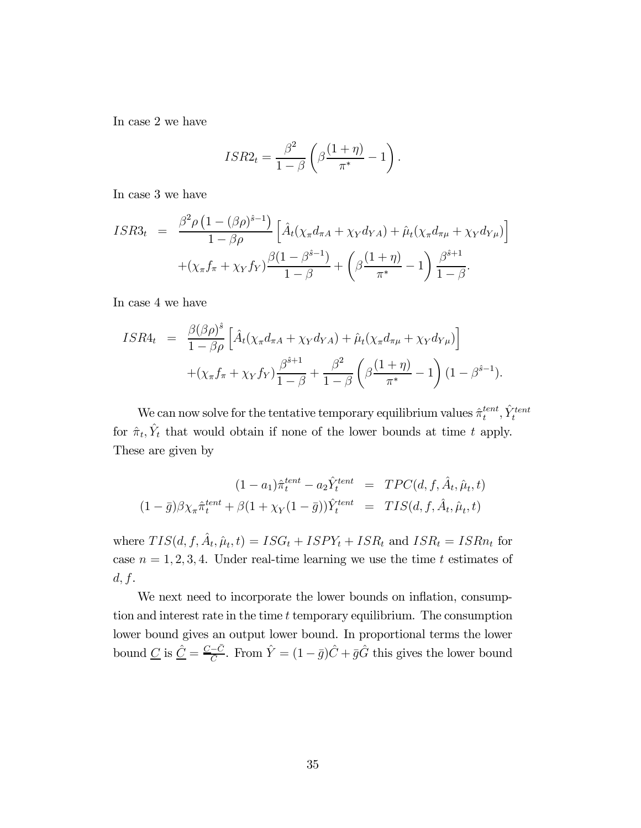In case 2 we have

$$
ISR2_t = \frac{\beta^2}{1-\beta} \left( \beta \frac{(1+\eta)}{\pi^*} - 1 \right).
$$

In case 3 we have

$$
ISR3_t = \frac{\beta^2 \rho \left(1 - (\beta \rho)^{\hat{s}-1}\right)}{1 - \beta \rho} \left[ \hat{A}_t(\chi_{\pi} d_{\pi A} + \chi_Y d_{YA}) + \hat{\mu}_t(\chi_{\pi} d_{\pi \mu} + \chi_Y d_{Y\mu}) \right] + (\chi_{\pi} f_{\pi} + \chi_Y f_Y) \frac{\beta (1 - \beta^{\hat{s}-1})}{1 - \beta} + \left( \beta \frac{(1 + \eta)}{\pi^*} - 1 \right) \frac{\beta^{\hat{s}+1}}{1 - \beta}.
$$

In case 4 we have

$$
ISR4_t = \frac{\beta(\beta \rho)^{\hat{s}}}{1 - \beta \rho} \left[ \hat{A}_t(\chi_{\pi} d_{\pi A} + \chi_Y d_{YA}) + \hat{\mu}_t(\chi_{\pi} d_{\pi \mu} + \chi_Y d_{Y\mu}) \right] + (\chi_{\pi} f_{\pi} + \chi_Y f_Y) \frac{\beta^{\hat{s}+1}}{1 - \beta} + \frac{\beta^2}{1 - \beta} \left( \beta \frac{(1 + \eta)}{\pi^*} - 1 \right) (1 - \beta^{\hat{s}-1}).
$$

We can now solve for the tentative temporary equilibrium values  $\hat{\pi}^{tent}_t, \hat{Y}^{tent}_t$ for  $\hat{\pi}_t$ ,  $\hat{Y}_t$  that would obtain if none of the lower bounds at time t apply. These are given by

$$
(1 - a_1)\hat{\pi}_t^{tent} - a_2 \hat{Y}_t^{tent} = TPC(d, f, \hat{A}_t, \hat{\mu}_t, t)
$$

$$
(1 - \bar{g})\beta \chi_{\pi} \hat{\pi}_t^{tent} + \beta (1 + \chi_Y(1 - \bar{g})) \hat{Y}_t^{tent} = TIS(d, f, \hat{A}_t, \hat{\mu}_t, t)
$$

where  $TIS(d, f, \hat{A}_t, \hat{\mu}_t, t) = ISSG_t + ISPY_t + ISR_t$  and  $ISR_t = ISRn_t$  for case  $n = 1, 2, 3, 4$ . Under real-time learning we use the time t estimates of  $d, f.$ 

We next need to incorporate the lower bounds on inflation, consumption and interest rate in the time  $t$  temporary equilibrium. The consumption lower bound gives an output lower bound. In proportional terms the lower bound  $\underline{C}$  is  $\underline{\hat{C}} = \frac{\underline{C} - \bar{C}}{\bar{C}}$ . From  $\hat{Y} = (1 - \bar{g})\hat{C} + \bar{g}\hat{G}$  this gives the lower bound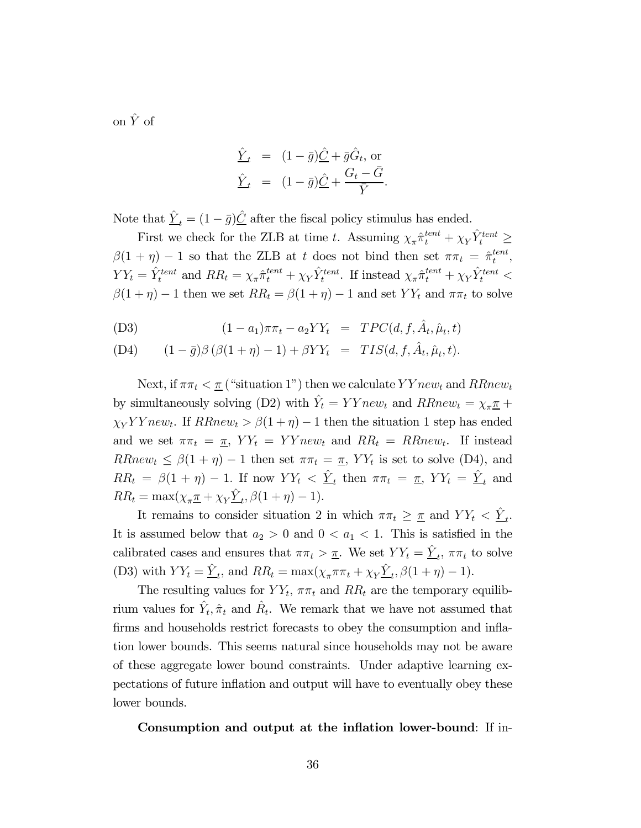on  $\hat{Y}$  of

$$
\frac{\hat{Y}}{\hat{Y}}_t = (1 - \bar{g})\hat{\underline{C}} + \bar{g}\hat{G}_t, \text{ or} \n\frac{\hat{Y}}{\hat{Y}}_t = (1 - \bar{g})\hat{\underline{C}} + \frac{G_t - \bar{G}}{\bar{Y}}.
$$

Note that  $\hat{Y}_t = (1 - \bar{g})\hat{C}$  after the fiscal policy stimulus has ended.

First we check for the ZLB at time t. Assuming  $\chi_{\pi} \hat{\pi}^{tent}_t + \chi_Y \hat{Y}^{tent}_t \geq$  $\beta(1 + \eta) - 1$  so that the ZLB at t does not bind then set  $\pi \pi_t = \hat{\pi}_t^{tent}$ ,  $YY_t = \hat{Y}_t^{tent}$  and  $RR_t = \chi_{\pi} \hat{\pi}_t^{tent} + \chi_Y \hat{Y}_t^{tent}$ . If instead  $\chi_{\pi} \hat{\pi}_t^{tent} + \chi_Y \hat{Y}_t^{tent} <$  $\beta(1 + \eta) - 1$  then we set  $RR_t = \beta(1 + \eta) - 1$  and set  $YY_t$  and  $\pi \pi_t$  to solve

(D3) 
$$
(1 - a_1)\pi\pi_t - a_2YY_t = TPC(d, f, \hat{A}_t, \hat{\mu}_t, t)
$$

(D4) 
$$
(1 - \bar{g})\beta (\beta (1 + \eta) - 1) + \beta Y Y_t = TIS(d, f, \hat{A}_t, \hat{\mu}_t, t).
$$

Next, if  $\pi \pi_t < \pi$  ("situation 1") then we calculate  $YYnew_t$  and  $RRnew_t$ by simultaneously solving (D2) with  $\hat{Y}_t = YYnew_t$  and  $RRnew_t = \chi_{\pi} \pi +$  $\chi_Y Y Y new_t$ . If  $RRnew_t > \beta(1 + \eta) - 1$  then the situation 1 step has ended and we set  $\pi \pi_t = \pi$ ,  $YY_t = YY new_t$  and  $RR_t = RRnew_t$ . If instead  $RRnew_t \leq \beta(1 + \eta) - 1$  then set  $\pi \pi_t = \pi$ ,  $YY_t$  is set to solve (D4), and  $RR_t = \beta(1 + \eta) - 1$ . If now  $YY_t < \hat{Y}_t$  then  $\pi \pi_t = \pi$ ,  $YY_t = \hat{Y}_t$  and  $RR_t = \max(\chi_{\pi} \underline{\pi} + \chi_Y \underline{\hat{Y}}_t, \beta(1 + \eta) - 1).$ 

It remains to consider situation 2 in which  $\pi \pi_t \geq \pi$  and  $YY_t < \hat{Y}_t$ . It is assumed below that  $a_2 > 0$  and  $0 < a_1 < 1$ . This is satisfied in the calibrated cases and ensures that  $\pi \pi_t > \underline{\pi}$ . We set  $YY_t = \underline{\hat{Y}}_t$ ,  $\pi \pi_t$  to solve (D3) with  $YY_t = \hat{\underline{Y}}_t$ , and  $RR_t = \max(\chi_{\pi} \pi \pi_t + \chi_Y \hat{\underline{Y}}_t, \beta(1 + \eta) - 1)$ .

The resulting values for  $YY_t$ ,  $\pi\pi_t$  and  $RR_t$  are the temporary equilibrium values for  $\hat{Y}_t$ ,  $\hat{\pi}_t$  and  $\hat{R}_t$ . We remark that we have not assumed that firms and households restrict forecasts to obey the consumption and inflation lower bounds. This seems natural since households may not be aware of these aggregate lower bound constraints. Under adaptive learning expectations of future inflation and output will have to eventually obey these lower bounds.

Consumption and output at the inflation lower-bound: If in-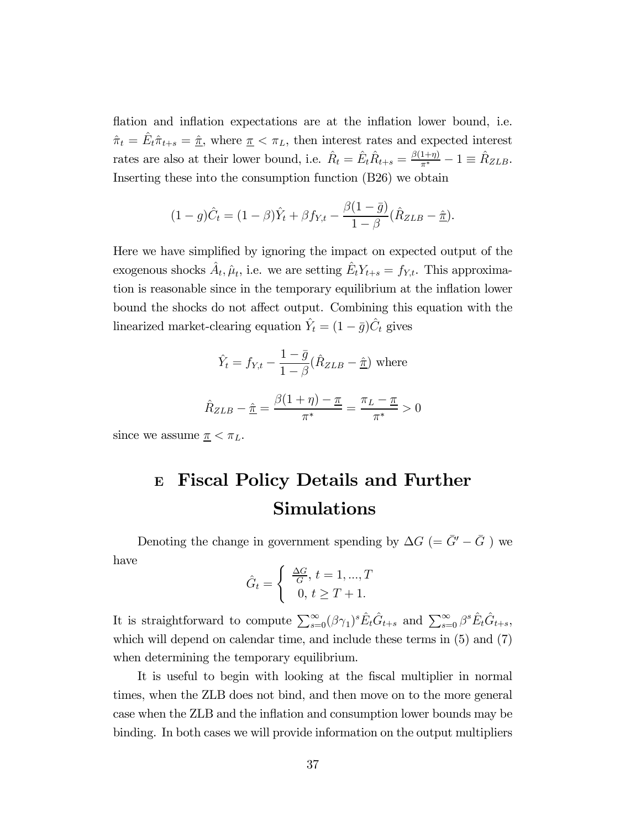flation and inflation expectations are at the inflation lower bound, i.e.  $\hat{\pi}_t = \hat{E}_t \hat{\pi}_{t+s} = \hat{\pi}$ , where  $\pi < \pi_L$ , then interest rates and expected interest rates are also at their lower bound, i.e.  $\hat{R}_t = \hat{E}_t \hat{R}_{t+s} = \frac{\beta(1+\eta)}{\pi^*} - 1 \equiv \hat{R}_{ZLB}$ . Inserting these into the consumption function (B26) we obtain

$$
(1 - g)\hat{C}_t = (1 - \beta)\hat{Y}_t + \beta f_{Y,t} - \frac{\beta(1 - \bar{g})}{1 - \beta}(\hat{R}_{ZLB} - \hat{\underline{\pi}}).
$$

Here we have simplified by ignoring the impact on expected output of the exogenous shocks  $\hat{A}_t$ ,  $\hat{\mu}_t$ , i.e. we are setting  $\hat{E}_t Y_{t+s} = f_{Y,t}$ . This approximation is reasonable since in the temporary equilibrium at the inflation lower bound the shocks do not affect output. Combining this equation with the linearized market-clearing equation  $\hat{Y}_t = (1 - \bar{g})\hat{C}_t$  gives

$$
\hat{Y}_t = f_{Y,t} - \frac{1 - \bar{g}}{1 - \beta} (\hat{R}_{ZLB} - \hat{\underline{\pi}}) \text{ where}
$$

$$
\hat{R}_{ZLB} - \hat{\underline{\pi}} = \frac{\beta(1 + \eta) - \underline{\pi}}{\pi^*} = \frac{\pi_L - \underline{\pi}}{\pi^*} > 0
$$

since we assume  $\pi < \pi_L$ .

# <sup>E</sup> Fiscal Policy Details and Further Simulations

Denoting the change in government spending by  $\Delta G$  (=  $\bar{G}'-\bar{G}$  ) we have

$$
\hat{G}_t = \begin{cases} \frac{\Delta G}{G}, t = 1, ..., T \\ 0, t \ge T + 1. \end{cases}
$$

It is straightforward to compute  $\sum_{s=0}^{\infty} (\beta \gamma_1)^s \hat{E}_t \hat{G}_{t+s}$  and  $\sum_{s=0}^{\infty} \beta^s \hat{E}_t \hat{G}_{t+s}$ , which will depend on calendar time, and include these terms in  $(5)$  and  $(7)$ when determining the temporary equilibrium.

It is useful to begin with looking at the fiscal multiplier in normal times, when the ZLB does not bind, and then move on to the more general case when the ZLB and the inflation and consumption lower bounds may be binding. In both cases we will provide information on the output multipliers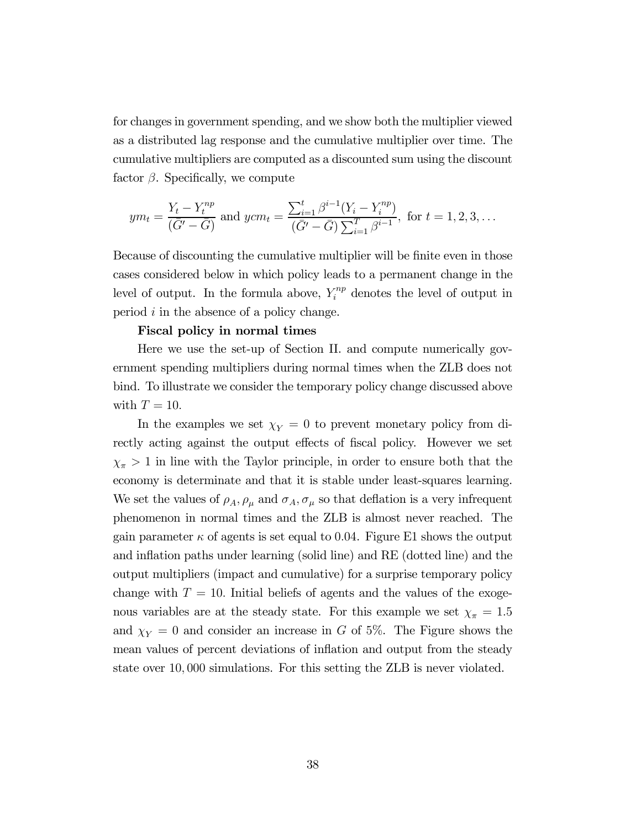for changes in government spending, and we show both the multiplier viewed as a distributed lag response and the cumulative multiplier over time. The cumulative multipliers are computed as a discounted sum using the discount factor  $\beta$ . Specifically, we compute

$$
ym_t = \frac{Y_t - Y_t^{np}}{(\bar{G}' - \bar{G})} \text{ and } ycm_t = \frac{\sum_{i=1}^t \beta^{i-1} (Y_i - Y_i^{np})}{(\bar{G}' - \bar{G}) \sum_{i=1}^T \beta^{i-1}}, \text{ for } t = 1, 2, 3, ...
$$

Because of discounting the cumulative multiplier will be finite even in those cases considered below in which policy leads to a permanent change in the level of output. In the formula above,  $Y_i^{np}$  denotes the level of output in period  $i$  in the absence of a policy change.

#### Fiscal policy in normal times

Here we use the set-up of Section II. and compute numerically government spending multipliers during normal times when the ZLB does not bind. To illustrate we consider the temporary policy change discussed above with  $T = 10$ .

In the examples we set  $\chi_Y = 0$  to prevent monetary policy from directly acting against the output effects of fiscal policy. However we set  $\chi_{\pi} > 1$  in line with the Taylor principle, in order to ensure both that the economy is determinate and that it is stable under least-squares learning. We set the values of  $\rho_A$ ,  $\rho_\mu$  and  $\sigma_A$ ,  $\sigma_\mu$  so that deflation is a very infrequent phenomenon in normal times and the ZLB is almost never reached. The gain parameter  $\kappa$  of agents is set equal to 0.04. Figure E1 shows the output and inflation paths under learning (solid line) and RE (dotted line) and the output multipliers (impact and cumulative) for a surprise temporary policy change with  $T = 10$ . Initial beliefs of agents and the values of the exogenous variables are at the steady state. For this example we set  $\chi_{\pi} = 1.5$ and  $\chi_Y = 0$  and consider an increase in G of 5%. The Figure shows the mean values of percent deviations of inflation and output from the steady state over 10 000 simulations. For this setting the ZLB is never violated.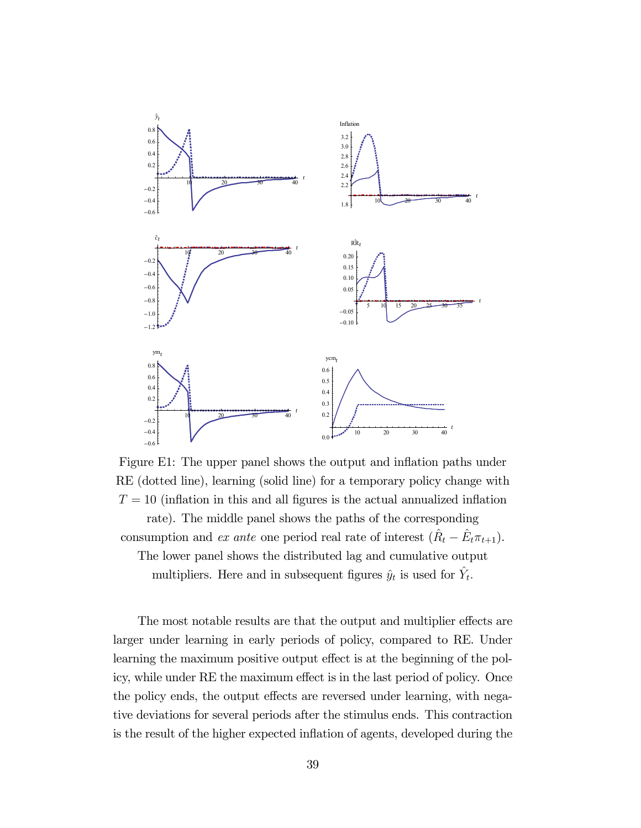

Figure E1: The upper panel shows the output and inflation paths under RE (dotted line), learning (solid line) for a temporary policy change with  $T = 10$  (inflation in this and all figures is the actual annualized inflation rate). The middle panel shows the paths of the corresponding consumption and *ex ante* one period real rate of interest  $(\hat{R}_t - \hat{E}_t \pi_{t+1})$ . The lower panel shows the distributed lag and cumulative output multipliers. Here and in subsequent figures  $\hat{y}_t$  is used for  $\hat{Y}_t$ .

The most notable results are that the output and multiplier effects are larger under learning in early periods of policy, compared to RE. Under learning the maximum positive output effect is at the beginning of the policy, while under RE the maximum effect is in the last period of policy. Once the policy ends, the output effects are reversed under learning, with negative deviations for several periods after the stimulus ends. This contraction is the result of the higher expected inflation of agents, developed during the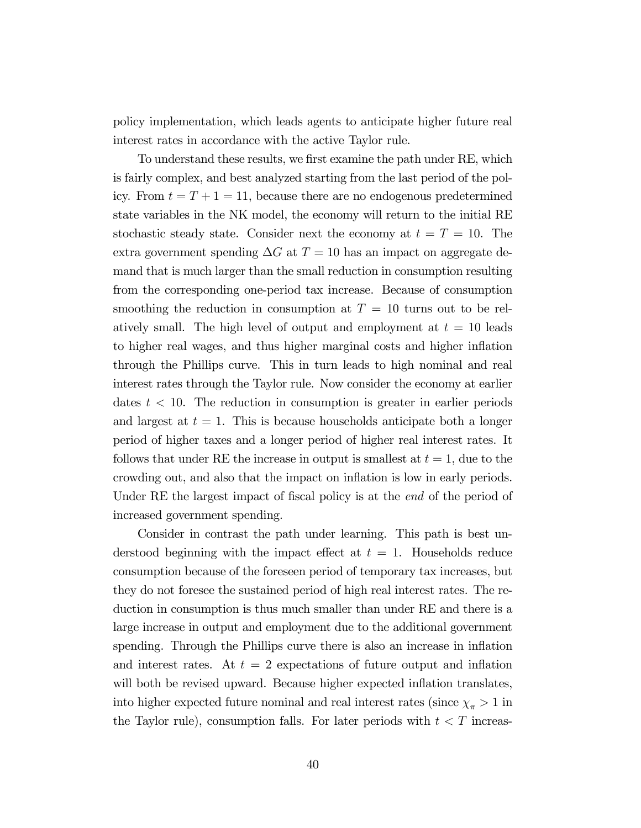policy implementation, which leads agents to anticipate higher future real interest rates in accordance with the active Taylor rule.

To understand these results, we first examine the path under RE, which is fairly complex, and best analyzed starting from the last period of the policy. From  $t = T + 1 = 11$ , because there are no endogenous predetermined state variables in the NK model, the economy will return to the initial RE stochastic steady state. Consider next the economy at  $t = T = 10$ . The extra government spending  $\Delta G$  at  $T = 10$  has an impact on aggregate demand that is much larger than the small reduction in consumption resulting from the corresponding one-period tax increase. Because of consumption smoothing the reduction in consumption at  $T = 10$  turns out to be relatively small. The high level of output and employment at  $t = 10$  leads to higher real wages, and thus higher marginal costs and higher inflation through the Phillips curve. This in turn leads to high nominal and real interest rates through the Taylor rule. Now consider the economy at earlier dates  $t < 10$ . The reduction in consumption is greater in earlier periods and largest at  $t = 1$ . This is because households anticipate both a longer period of higher taxes and a longer period of higher real interest rates. It follows that under RE the increase in output is smallest at  $t = 1$ , due to the crowding out, and also that the impact on inflation is low in early periods. Under RE the largest impact of fiscal policy is at the *end* of the period of increased government spending.

Consider in contrast the path under learning. This path is best understood beginning with the impact effect at  $t = 1$ . Households reduce consumption because of the foreseen period of temporary tax increases, but they do not foresee the sustained period of high real interest rates. The reduction in consumption is thus much smaller than under RE and there is a large increase in output and employment due to the additional government spending. Through the Phillips curve there is also an increase in inflation and interest rates. At  $t = 2$  expectations of future output and inflation will both be revised upward. Because higher expected inflation translates, into higher expected future nominal and real interest rates (since  $\chi_{\pi} > 1$  in the Taylor rule), consumption falls. For later periods with  $t < T$  increas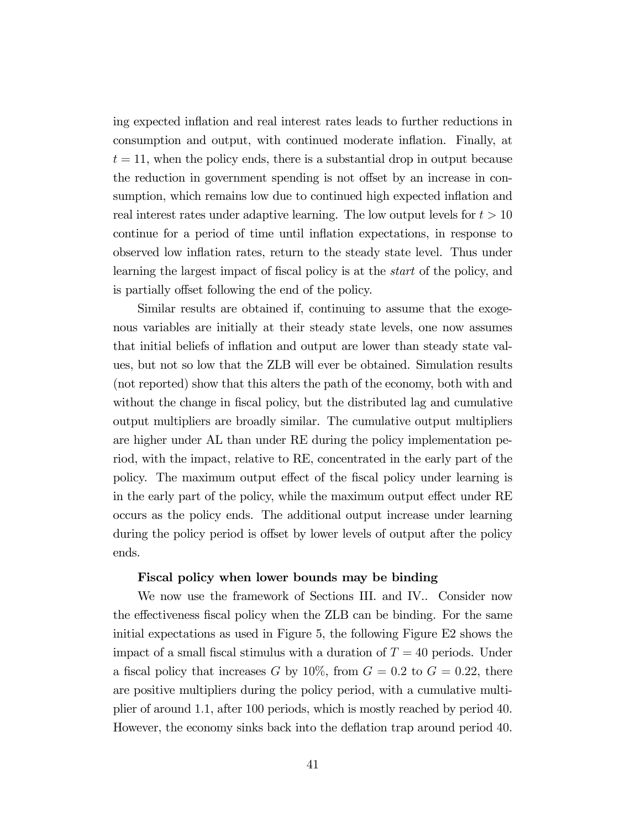ing expected inflation and real interest rates leads to further reductions in consumption and output, with continued moderate inflation. Finally, at  $t = 11$ , when the policy ends, there is a substantial drop in output because the reduction in government spending is not offset by an increase in consumption, which remains low due to continued high expected inflation and real interest rates under adaptive learning. The low output levels for  $t > 10$ continue for a period of time until inflation expectations, in response to observed low inflation rates, return to the steady state level. Thus under learning the largest impact of fiscal policy is at the start of the policy, and is partially offset following the end of the policy.

Similar results are obtained if, continuing to assume that the exogenous variables are initially at their steady state levels, one now assumes that initial beliefs of inflation and output are lower than steady state values, but not so low that the ZLB will ever be obtained. Simulation results (not reported) show that this alters the path of the economy, both with and without the change in fiscal policy, but the distributed lag and cumulative output multipliers are broadly similar. The cumulative output multipliers are higher under AL than under RE during the policy implementation period, with the impact, relative to RE, concentrated in the early part of the policy. The maximum output effect of the fiscal policy under learning is in the early part of the policy, while the maximum output effect under RE occurs as the policy ends. The additional output increase under learning during the policy period is offset by lower levels of output after the policy ends.

#### Fiscal policy when lower bounds may be binding

We now use the framework of Sections III. and IV.. Consider now the effectiveness fiscal policy when the ZLB can be binding. For the same initial expectations as used in Figure 5, the following Figure E2 shows the impact of a small fiscal stimulus with a duration of  $T = 40$  periods. Under a fiscal policy that increases G by 10%, from  $G = 0.2$  to  $G = 0.22$ , there are positive multipliers during the policy period, with a cumulative multiplier of around 11, after 100 periods, which is mostly reached by period 40. However, the economy sinks back into the deflation trap around period 40.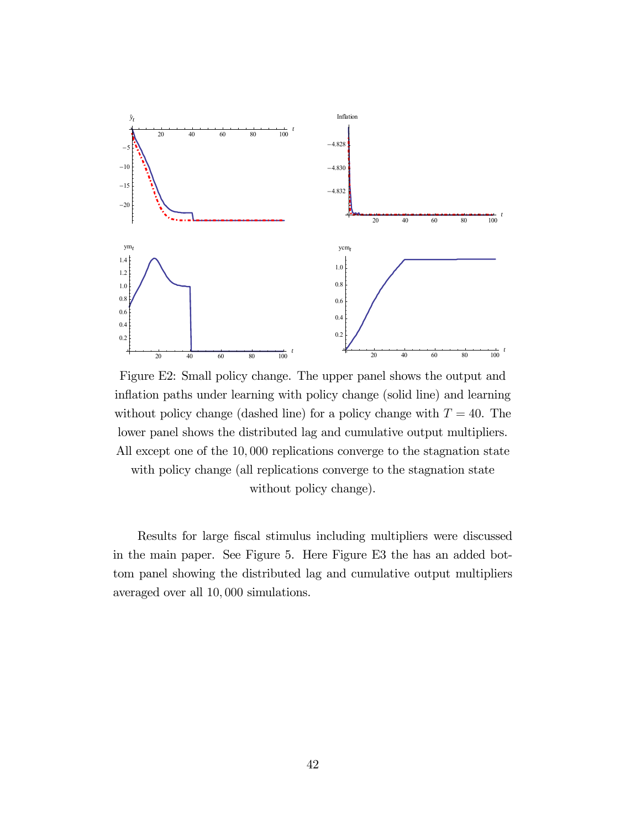

Figure E2: Small policy change. The upper panel shows the output and inflation paths under learning with policy change (solid line) and learning without policy change (dashed line) for a policy change with  $T = 40$ . The lower panel shows the distributed lag and cumulative output multipliers. All except one of the 10,000 replications converge to the stagnation state with policy change (all replications converge to the stagnation state

without policy change).

Results for large fiscal stimulus including multipliers were discussed in the main paper. See Figure 5. Here Figure E3 the has an added bottom panel showing the distributed lag and cumulative output multipliers averaged over all 10,000 simulations.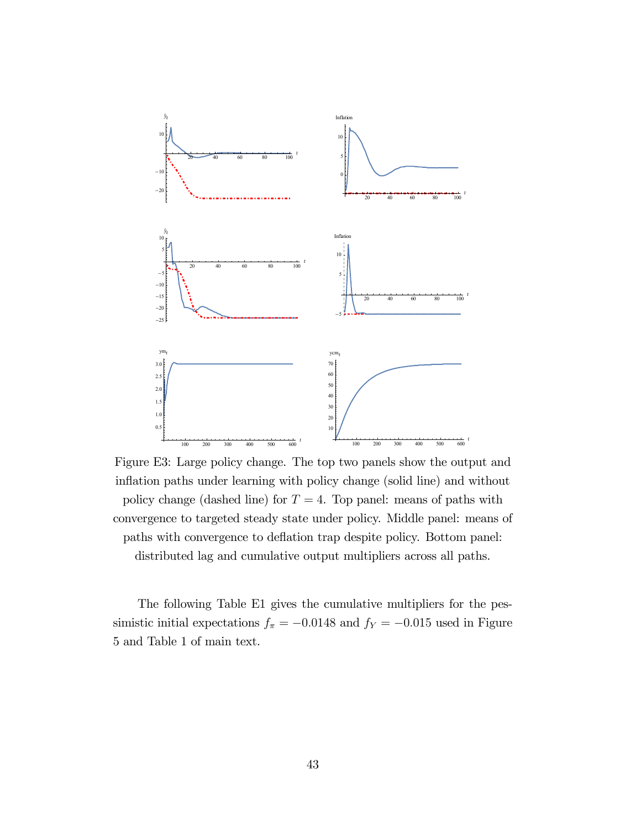

Figure E3: Large policy change. The top two panels show the output and inflation paths under learning with policy change (solid line) and without policy change (dashed line) for  $T = 4$ . Top panel: means of paths with convergence to targeted steady state under policy. Middle panel: means of paths with convergence to deflation trap despite policy. Bottom panel: distributed lag and cumulative output multipliers across all paths.

The following Table E1 gives the cumulative multipliers for the pessimistic initial expectations  $f_{\pi} = -0.0148$  and  $f_{Y} = -0.015$  used in Figure 5 and Table 1 of main text.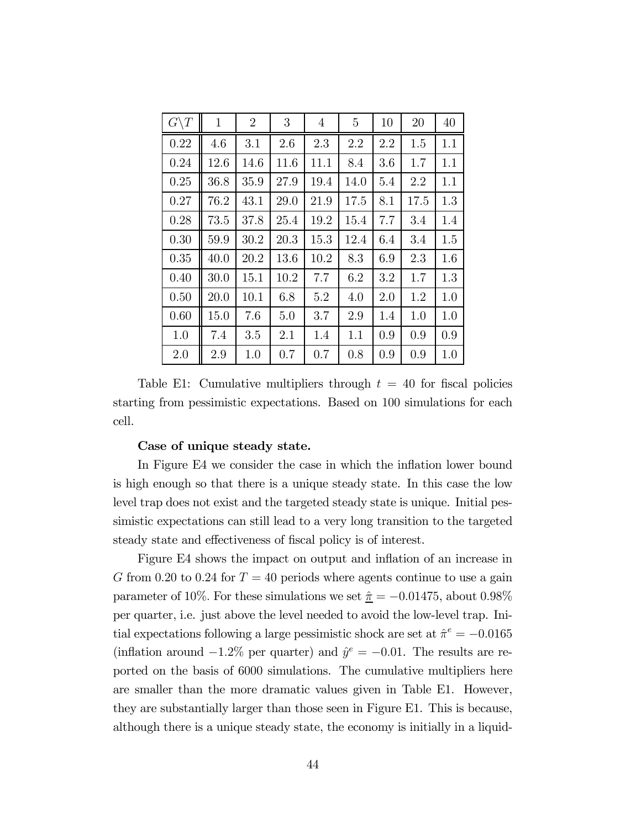| $G\backslash T$ | $\mathbf{1}$ | $\overline{2}$ | 3    | $\overline{4}$ | 5    | 10  | 20   | 40  |
|-----------------|--------------|----------------|------|----------------|------|-----|------|-----|
| 0.22            | 4.6          | 3.1            | 2.6  | 2.3            | 2.2  | 2.2 | 1.5  | 1.1 |
| 0.24            | 12.6         | 14.6           | 11.6 | 11.1           | 8.4  | 3.6 | 1.7  | 1.1 |
| 0.25            | 36.8         | 35.9           | 27.9 | 19.4           | 14.0 | 5.4 | 2.2  | 1.1 |
| 0.27            | 76.2         | 43.1           | 29.0 | 21.9           | 17.5 | 8.1 | 17.5 | 1.3 |
| 0.28            | 73.5         | 37.8           | 25.4 | 19.2           | 15.4 | 7.7 | 3.4  | 1.4 |
| 0.30            | 59.9         | 30.2           | 20.3 | 15.3           | 12.4 | 6.4 | 3.4  | 1.5 |
| 0.35            | 40.0         | 20.2           | 13.6 | 10.2           | 8.3  | 6.9 | 2.3  | 1.6 |
| 0.40            | 30.0         | 15.1           | 10.2 | 7.7            | 6.2  | 3.2 | 1.7  | 1.3 |
| 0.50            | 20.0         | 10.1           | 6.8  | 5.2            | 4.0  | 2.0 | 1.2  | 1.0 |
| 0.60            | 15.0         | 7.6            | 5.0  | 3.7            | 2.9  | 1.4 | 1.0  | 1.0 |
| 1.0             | 7.4          | 3.5            | 2.1  | 1.4            | 1.1  | 0.9 | 0.9  | 0.9 |
| 2.0             | 2.9          | 1.0            | 0.7  | 0.7            | 0.8  | 0.9 | 0.9  | 1.0 |

Table E1: Cumulative multipliers through  $t = 40$  for fiscal policies starting from pessimistic expectations. Based on 100 simulations for each cell.

#### Case of unique steady state.

In Figure E4 we consider the case in which the inflation lower bound is high enough so that there is a unique steady state. In this case the low level trap does not exist and the targeted steady state is unique. Initial pessimistic expectations can still lead to a very long transition to the targeted steady state and effectiveness of fiscal policy is of interest.

Figure E4 shows the impact on output and inflation of an increase in G from 0.20 to 0.24 for  $T = 40$  periods where agents continue to use a gain parameter of 10%. For these simulations we set  $\hat{\pi} = -0.01475$ , about 0.98% per quarter, i.e. just above the level needed to avoid the low-level trap. Initial expectations following a large pessimistic shock are set at  $\hat{\pi}^e = -0.0165$ (inflation around  $-1.2\%$  per quarter) and  $\hat{y}^e = -0.01$ . The results are reported on the basis of 6000 simulations. The cumulative multipliers here are smaller than the more dramatic values given in Table E1. However, they are substantially larger than those seen in Figure E1. This is because, although there is a unique steady state, the economy is initially in a liquid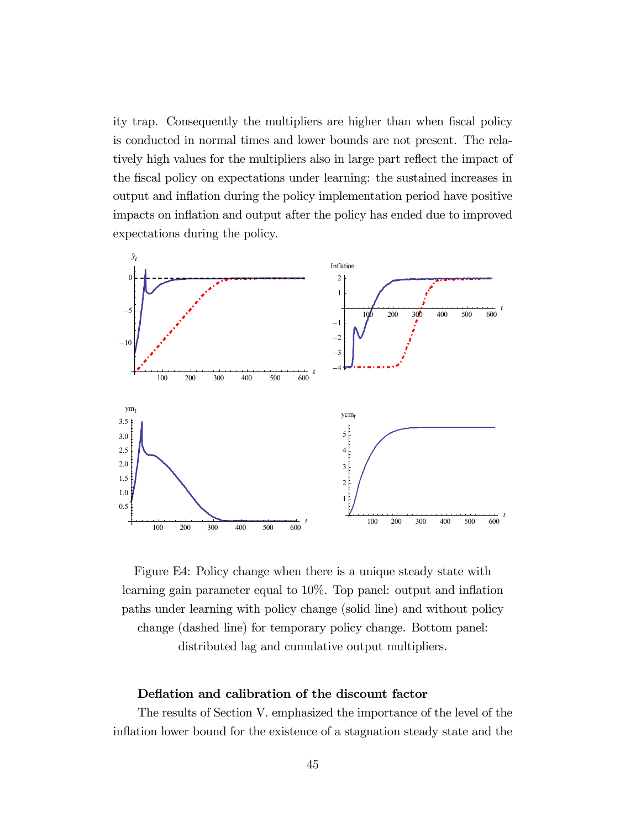ity trap. Consequently the multipliers are higher than when fiscal policy is conducted in normal times and lower bounds are not present. The relatively high values for the multipliers also in large part reflect the impact of the fiscal policy on expectations under learning: the sustained increases in output and inflation during the policy implementation period have positive impacts on inflation and output after the policy has ended due to improved expectations during the policy.



Figure E4: Policy change when there is a unique steady state with learning gain parameter equal to 10%. Top panel: output and inflation paths under learning with policy change (solid line) and without policy change (dashed line) for temporary policy change. Bottom panel: distributed lag and cumulative output multipliers.

#### Deflation and calibration of the discount factor

The results of Section V. emphasized the importance of the level of the inflation lower bound for the existence of a stagnation steady state and the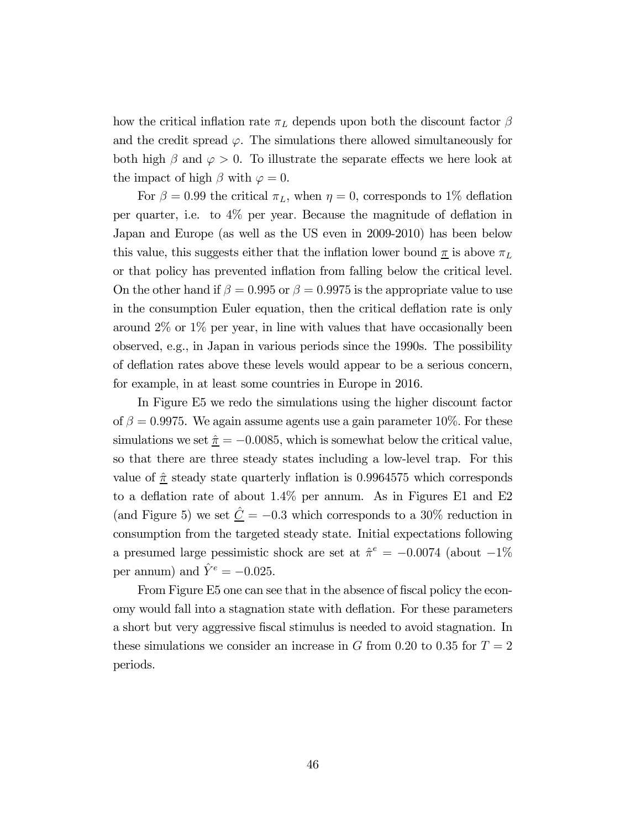how the critical inflation rate  $\pi_L$  depends upon both the discount factor  $\beta$ and the credit spread  $\varphi$ . The simulations there allowed simultaneously for both high  $\beta$  and  $\varphi > 0$ . To illustrate the separate effects we here look at the impact of high  $\beta$  with  $\varphi = 0$ .

For  $\beta = 0.99$  the critical  $\pi_L$ , when  $\eta = 0$ , corresponds to 1% deflation per quarter, i.e. to 4% per year Because the magnitude of deflation in Japan and Europe (as well as the US even in 2009-2010) has been below this value, this suggests either that the inflation lower bound  $\pi$  is above  $\pi_L$ or that policy has prevented inflation from falling below the critical level. On the other hand if  $\beta = 0.995$  or  $\beta = 0.9975$  is the appropriate value to use in the consumption Euler equation, then the critical deflation rate is only around 2% or 1% per year, in line with values that have occasionally been observed, e.g., in Japan in various periods since the 1990s. The possibility of deflation rates above these levels would appear to be a serious concern, for example, in at least some countries in Europe in 2016.

In Figure E5 we redo the simulations using the higher discount factor of  $\beta = 0.9975$ . We again assume agents use a gain parameter 10%. For these simulations we set  $\hat{\pi} = -0.0085$ , which is somewhat below the critical value, so that there are three steady states including a low-level trap. For this value of  $\hat{\pi}$  steady state quarterly inflation is 0.9964575 which corresponds to a deflation rate of about 14% per annum. As in Figures E1 and E2 (and Figure 5) we set  $\hat{\underline{C}} = -0.3$  which corresponds to a 30% reduction in consumption from the targeted steady state. Initial expectations following a presumed large pessimistic shock are set at  $\hat{\pi}^e = -0.0074$  (about  $-1\%$ ) per annum) and  $\hat{Y}^e = -0.025$ .

From Figure E5 one can see that in the absence of fiscal policy the economy would fall into a stagnation state with deflation. For these parameters a short but very aggressive fiscal stimulus is needed to avoid stagnation. In these simulations we consider an increase in  $G$  from 0.20 to 0.35 for  $T = 2$ periods.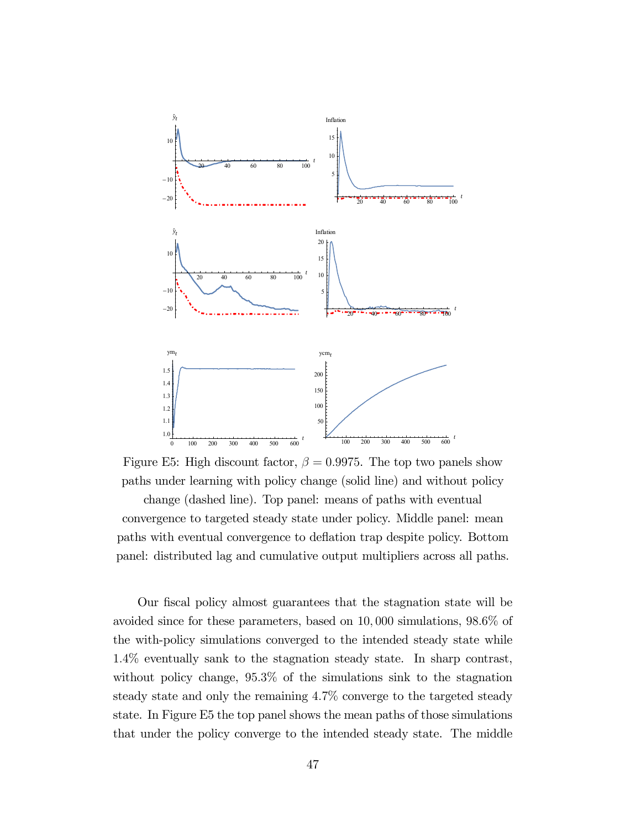

Figure E5: High discount factor,  $\beta = 0.9975$ . The top two panels show paths under learning with policy change (solid line) and without policy

change (dashed line). Top panel: means of paths with eventual convergence to targeted steady state under policy. Middle panel: mean paths with eventual convergence to deflation trap despite policy. Bottom panel: distributed lag and cumulative output multipliers across all paths.

Our fiscal policy almost guarantees that the stagnation state will be avoided since for these parameters, based on 10 000 simulations, 986% of the with-policy simulations converged to the intended steady state while 14% eventually sank to the stagnation steady state. In sharp contrast, without policy change, 953% of the simulations sink to the stagnation steady state and only the remaining 47% converge to the targeted steady state. In Figure E5 the top panel shows the mean paths of those simulations that under the policy converge to the intended steady state. The middle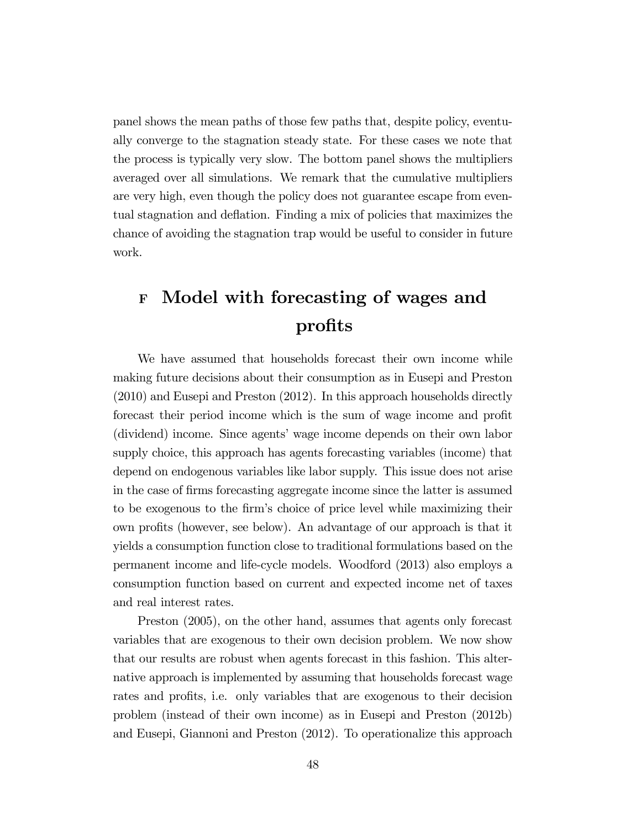panel shows the mean paths of those few paths that, despite policy, eventually converge to the stagnation steady state. For these cases we note that the process is typically very slow. The bottom panel shows the multipliers averaged over all simulations. We remark that the cumulative multipliers are very high, even though the policy does not guarantee escape from eventual stagnation and deflation. Finding a mix of policies that maximizes the chance of avoiding the stagnation trap would be useful to consider in future work.

# <sup>F</sup> Model with forecasting of wages and profits

We have assumed that households forecast their own income while making future decisions about their consumption as in Eusepi and Preston (2010) and Eusepi and Preston (2012). In this approach households directly forecast their period income which is the sum of wage income and profit (dividend) income. Since agents' wage income depends on their own labor supply choice, this approach has agents forecasting variables (income) that depend on endogenous variables like labor supply. This issue does not arise in the case of firms forecasting aggregate income since the latter is assumed to be exogenous to the firm's choice of price level while maximizing their own profits (however, see below). An advantage of our approach is that it yields a consumption function close to traditional formulations based on the permanent income and life-cycle models. Woodford (2013) also employs a consumption function based on current and expected income net of taxes and real interest rates.

Preston (2005), on the other hand, assumes that agents only forecast variables that are exogenous to their own decision problem. We now show that our results are robust when agents forecast in this fashion. This alternative approach is implemented by assuming that households forecast wage rates and profits, i.e. only variables that are exogenous to their decision problem (instead of their own income) as in Eusepi and Preston (2012b) and Eusepi, Giannoni and Preston (2012). To operationalize this approach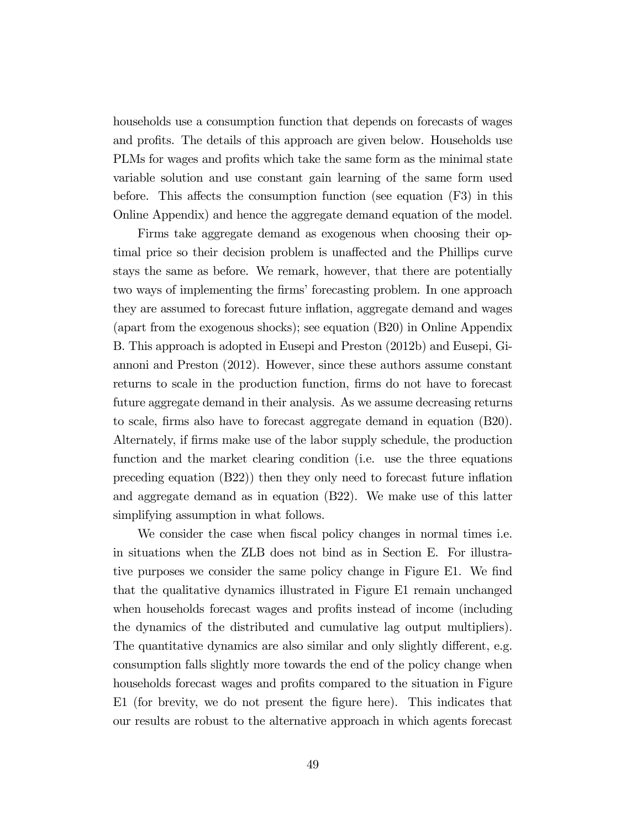households use a consumption function that depends on forecasts of wages and profits. The details of this approach are given below. Households use PLMs for wages and profits which take the same form as the minimal state variable solution and use constant gain learning of the same form used before. This affects the consumption function (see equation (F3) in this Online Appendix) and hence the aggregate demand equation of the model.

Firms take aggregate demand as exogenous when choosing their optimal price so their decision problem is unaffected and the Phillips curve stays the same as before. We remark, however, that there are potentially two ways of implementing the firms' forecasting problem. In one approach they are assumed to forecast future inflation, aggregate demand and wages (apart from the exogenous shocks); see equation (B20) in Online Appendix B. This approach is adopted in Eusepi and Preston (2012b) and Eusepi, Giannoni and Preston (2012). However, since these authors assume constant returns to scale in the production function, firms do not have to forecast future aggregate demand in their analysis. As we assume decreasing returns to scale, firms also have to forecast aggregate demand in equation (B20). Alternately, if firms make use of the labor supply schedule, the production function and the market clearing condition (i.e. use the three equations preceding equation (B22)) then they only need to forecast future inflation and aggregate demand as in equation (B22). We make use of this latter simplifying assumption in what follows.

We consider the case when fiscal policy changes in normal times i.e. in situations when the ZLB does not bind as in Section E. For illustrative purposes we consider the same policy change in Figure E1. We find that the qualitative dynamics illustrated in Figure E1 remain unchanged when households forecast wages and profits instead of income (including the dynamics of the distributed and cumulative lag output multipliers). The quantitative dynamics are also similar and only slightly different, e.g. consumption falls slightly more towards the end of the policy change when households forecast wages and profits compared to the situation in Figure E1 (for brevity, we do not present the figure here). This indicates that our results are robust to the alternative approach in which agents forecast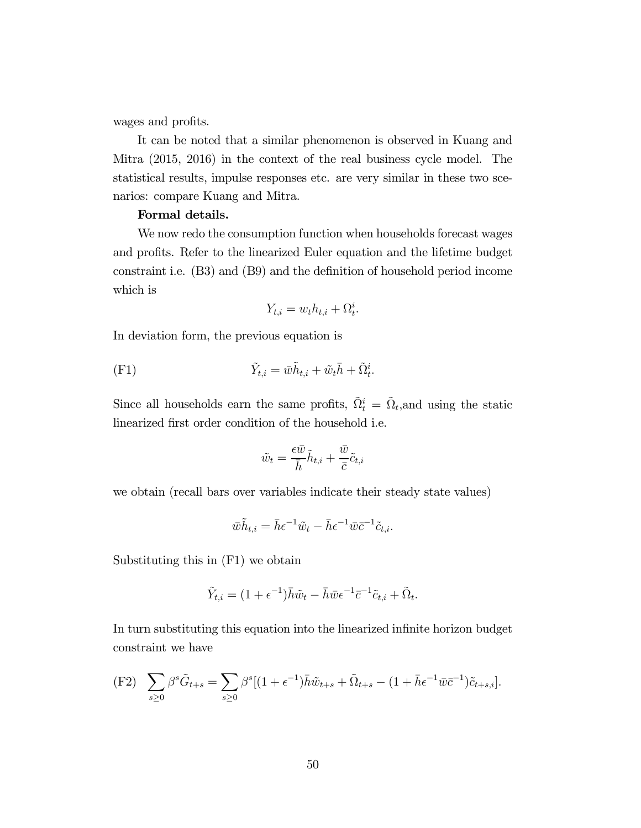wages and profits.

It can be noted that a similar phenomenon is observed in Kuang and Mitra (2015, 2016) in the context of the real business cycle model. The statistical results, impulse responses etc. are very similar in these two scenarios: compare Kuang and Mitra.

#### Formal details.

We now redo the consumption function when households forecast wages and profits. Refer to the linearized Euler equation and the lifetime budget constraint i.e. (B3) and (B9) and the definition of household period income which is

$$
Y_{t,i} = w_t h_{t,i} + \Omega_t^i.
$$

In deviation form, the previous equation is

(F1) 
$$
\tilde{Y}_{t,i} = \bar{w}\tilde{h}_{t,i} + \tilde{w}_t \bar{h} + \tilde{\Omega}_t^i.
$$

Since all households earn the same profits,  $\tilde{\Omega}_t^i = \tilde{\Omega}_t$ , and using the static linearized first order condition of the household i.e.

$$
\tilde{w}_t = \frac{\epsilon \bar{w}}{\bar{h}} \tilde{h}_{t,i} + \frac{\bar{w}}{\bar{c}} \tilde{c}_{t,i}
$$

we obtain (recall bars over variables indicate their steady state values)

$$
\bar{w}\tilde{h}_{t,i} = \bar{h}\epsilon^{-1}\tilde{w}_t - \bar{h}\epsilon^{-1}\bar{w}\bar{c}^{-1}\tilde{c}_{t,i}.
$$

Substituting this in (F1) we obtain

$$
\tilde{Y}_{t,i} = (1 + \epsilon^{-1})\bar{h}\tilde{w}_t - \bar{h}\bar{w}\epsilon^{-1}\bar{c}^{-1}\tilde{c}_{t,i} + \tilde{\Omega}_t.
$$

In turn substituting this equation into the linearized infinite horizon budget constraint we have

$$
\text{(F2)} \quad \sum_{s\geq 0} \beta^s \tilde{G}_{t+s} = \sum_{s\geq 0} \beta^s [(1+\epsilon^{-1})\bar{h}\tilde{w}_{t+s} + \tilde{\Omega}_{t+s} - (1+\bar{h}\epsilon^{-1}\bar{w}\bar{c}^{-1})\tilde{c}_{t+s,i}].
$$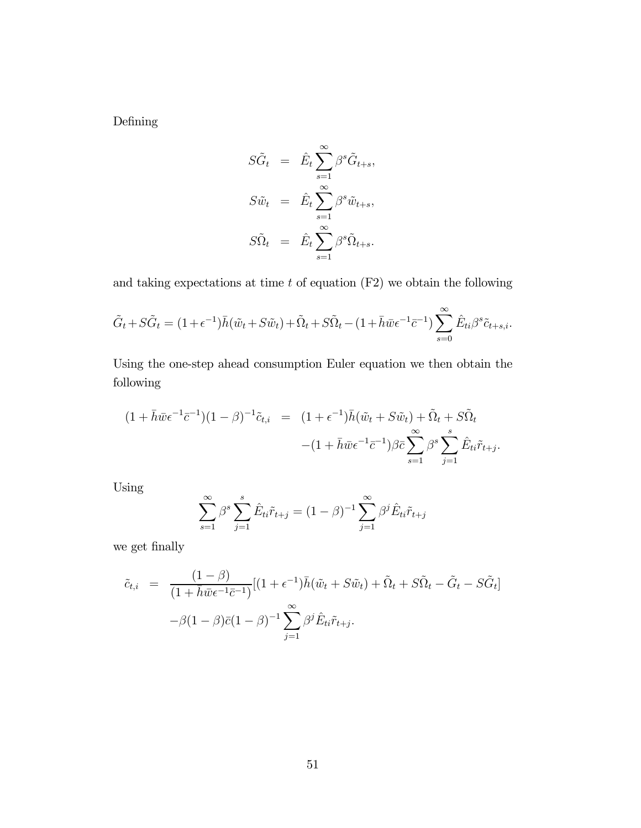Defining

$$
S\tilde{G}_t = \hat{E}_t \sum_{s=1}^{\infty} \beta^s \tilde{G}_{t+s},
$$
  
\n
$$
S\tilde{w}_t = \hat{E}_t \sum_{s=1}^{\infty} \beta^s \tilde{w}_{t+s},
$$
  
\n
$$
S\tilde{\Omega}_t = \hat{E}_t \sum_{s=1}^{\infty} \beta^s \tilde{\Omega}_{t+s}.
$$

and taking expectations at time  $t$  of equation (F2) we obtain the following

$$
\tilde{G}_t + S\tilde{G}_t = (1 + \epsilon^{-1})\bar{h}(\tilde{w}_t + S\tilde{w}_t) + \tilde{\Omega}_t + S\tilde{\Omega}_t - (1 + \bar{h}\bar{w}\epsilon^{-1}\bar{c}^{-1})\sum_{s=0}^{\infty} \hat{E}_{ti}\beta^s \tilde{c}_{t+s,i}.
$$

Using the one-step ahead consumption Euler equation we then obtain the following

$$
(1 + \bar{h}\bar{w}\epsilon^{-1}\bar{c}^{-1})(1 - \beta)^{-1}\tilde{c}_{t,i} = (1 + \epsilon^{-1})\bar{h}(\tilde{w}_t + S\tilde{w}_t) + \tilde{\Omega}_t + S\tilde{\Omega}_t
$$

$$
-(1 + \bar{h}\bar{w}\epsilon^{-1}\bar{c}^{-1})\beta\bar{c}\sum_{s=1}^{\infty}\beta^s\sum_{j=1}^s\hat{E}_{ti}\tilde{r}_{t+j}.
$$

Using

$$
\sum_{s=1}^{\infty} \beta^s \sum_{j=1}^{s} \hat{E}_{ti} \tilde{r}_{t+j} = (1 - \beta)^{-1} \sum_{j=1}^{\infty} \beta^j \hat{E}_{ti} \tilde{r}_{t+j}
$$

we get finally

$$
\tilde{c}_{t,i} = \frac{(1-\beta)}{(1+\bar{h}\bar{w}\epsilon^{-1}\bar{c}^{-1})}[(1+\epsilon^{-1})\bar{h}(\tilde{w}_t+S\tilde{w}_t)+\tilde{\Omega}_t+S\tilde{\Omega}_t-\tilde{G}_t-S\tilde{G}_t]
$$

$$
-\beta(1-\beta)\bar{c}(1-\beta)^{-1}\sum_{j=1}^{\infty}\beta^j\hat{E}_{ti}\tilde{r}_{t+j}.
$$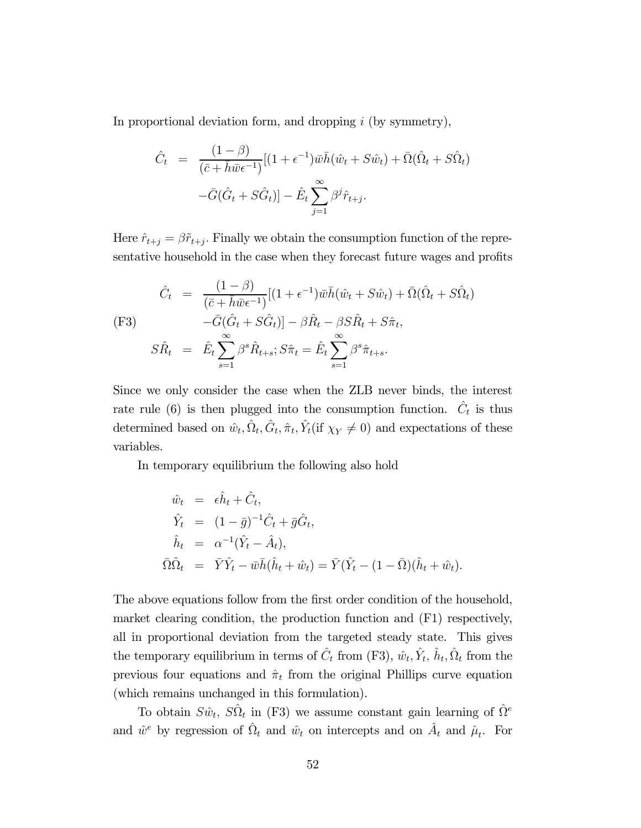In proportional deviation form, and dropping  $i$  (by symmetry),

$$
\hat{C}_t = \frac{(1-\beta)}{(\bar{c} + \bar{h}\bar{w}\epsilon^{-1})} [(1+\epsilon^{-1})\bar{w}\bar{h}(\hat{w}_t + S\hat{w}_t) + \bar{\Omega}(\hat{\Omega}_t + S\hat{\Omega}_t) - \bar{G}(\hat{G}_t + S\hat{G}_t)] - \hat{E}_t \sum_{j=1}^{\infty} \beta^j \hat{r}_{t+j}.
$$

Here  $\hat{r}_{t+j} = \beta \tilde{r}_{t+j}$ . Finally we obtain the consumption function of the representative household in the case when they forecast future wages and profits

$$
\hat{C}_t = \frac{(1-\beta)}{(\bar{c}+\bar{h}\bar{w}\epsilon^{-1})}[(1+\epsilon^{-1})\bar{w}\bar{h}(\hat{w}_t+S\hat{w}_t)+\bar{\Omega}(\hat{\Omega}_t+S\hat{\Omega}_t)]
$$
\n(F3)  
\n
$$
-\bar{G}(\hat{G}_t+S\hat{G}_t)] - \beta \hat{R}_t - \beta S \hat{R}_t+S\hat{\pi}_t,
$$
\n
$$
S\hat{R}_t = \hat{E}_t \sum_{s=1}^{\infty} \beta^s \hat{R}_{t+s}; S\hat{\pi}_t = \hat{E}_t \sum_{s=1}^{\infty} \beta^s \hat{\pi}_{t+s}.
$$

Since we only consider the case when the ZLB never binds, the interest rate rule (6) is then plugged into the consumption function.  $\hat{C}_t$  is thus determined based on  $\hat{w}_t, \hat{\Omega}_t, \hat{\sigma}_t, \hat{\pi}_t, \hat{Y}_t$  (if  $\chi_Y \neq 0$ ) and expectations of these variables.

In temporary equilibrium the following also hold

$$
\hat{w}_t = \epsilon \hat{h}_t + \hat{C}_t,
$$
  
\n
$$
\hat{Y}_t = (1 - \bar{g})^{-1} \hat{C}_t + \bar{g} \hat{G}_t,
$$
  
\n
$$
\hat{h}_t = \alpha^{-1} (\hat{Y}_t - \hat{A}_t),
$$
  
\n
$$
\bar{\Omega} \hat{\Omega}_t = \bar{Y} \hat{Y}_t - \bar{w} \bar{h} (\hat{h}_t + \hat{w}_t) = \bar{Y} (\hat{Y}_t - (1 - \bar{\Omega}) (\hat{h}_t + \hat{w}_t)).
$$

The above equations follow from the first order condition of the household, market clearing condition, the production function and (F1) respectively, all in proportional deviation from the targeted steady state. This gives the temporary equilibrium in terms of  $\hat{C}_t$  from (F3),  $\hat{w}_t$ ,  $\hat{Y}_t$ ,  $\hat{h}_t$ ,  $\hat{\Omega}_t$  from the previous four equations and  $\hat{\pi}_t$  from the original Phillips curve equation (which remains unchanged in this formulation).

To obtain  $S\hat{w}_t$ ,  $S\hat{\Omega}_t$  in (F3) we assume constant gain learning of  $\hat{\Omega}^e$ and  $\hat{w}^e$  by regression of  $\hat{\Omega}_t$  and  $\hat{w}_t$  on intercepts and on  $\hat{A}_t$  and  $\hat{\mu}_t$ . For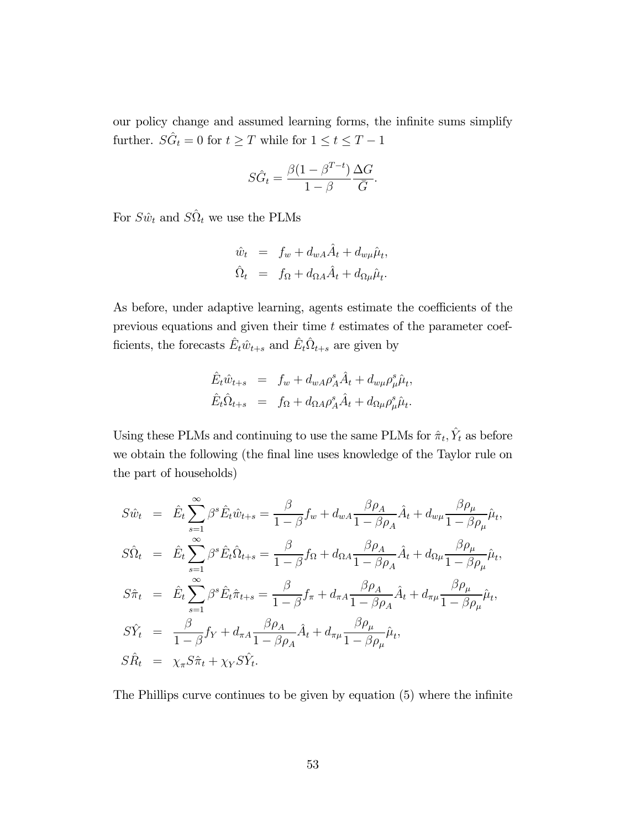our policy change and assumed learning forms, the infinite sums simplify further.  $S \hat{G}_t = 0$  for  $t \geq T$  while for  $1 \leq t \leq T-1$ 

$$
S\hat{G}_t = \frac{\beta(1 - \beta^{T-t})}{1 - \beta} \frac{\Delta G}{\bar{G}}.
$$

For  $S\hat{w}_t$  and  $S\hat{\Omega}_t$  we use the PLMs

$$
\begin{array}{rcl}\n\hat{w}_t &=& f_w + d_{wA}\hat{A}_t + d_{w\mu}\hat{\mu}_t, \\
\hat{\Omega}_t &=& f_{\Omega} + d_{\Omega A}\hat{A}_t + d_{\Omega \mu}\hat{\mu}_t.\n\end{array}
$$

As before, under adaptive learning, agents estimate the coefficients of the previous equations and given their time  $t$  estimates of the parameter coefficients, the forecasts  $\hat{E}_t \hat{w}_{t+s}$  and  $\hat{E}_t \hat{\Omega}_{t+s}$  are given by

$$
\hat{E}_t \hat{w}_{t+s} = f_w + d_{wA} \rho_A^s \hat{A}_t + d_{w\mu} \rho_\mu^s \hat{\mu}_t,
$$
  

$$
\hat{E}_t \hat{\Omega}_{t+s} = f_\Omega + d_{\Omega A} \rho_A^s \hat{A}_t + d_{\Omega \mu} \rho_\mu^s \hat{\mu}_t.
$$

Using these PLMs and continuing to use the same PLMs for  $\hat{\pi}_t$ ,  $\hat{Y}_t$  as before we obtain the following (the final line uses knowledge of the Taylor rule on the part of households)

$$
S\hat{w}_t = \hat{E}_t \sum_{s=1}^{\infty} \beta^s \hat{E}_t \hat{w}_{t+s} = \frac{\beta}{1-\beta} f_w + d_{wA} \frac{\beta \rho_A}{1-\beta \rho_A} \hat{A}_t + d_{w\mu} \frac{\beta \rho_{\mu}}{1-\beta \rho_{\mu}} \hat{\mu}_t,
$$
  
\n
$$
S\hat{\Omega}_t = \hat{E}_t \sum_{s=1}^{\infty} \beta^s \hat{E}_t \hat{\Omega}_{t+s} = \frac{\beta}{1-\beta} f_{\Omega} + d_{\Omega A} \frac{\beta \rho_A}{1-\beta \rho_A} \hat{A}_t + d_{\Omega \mu} \frac{\beta \rho_{\mu}}{1-\beta \rho_{\mu}} \hat{\mu}_t,
$$
  
\n
$$
S\hat{\pi}_t = \hat{E}_t \sum_{s=1}^{\infty} \beta^s \hat{E}_t \hat{\pi}_{t+s} = \frac{\beta}{1-\beta} f_{\pi} + d_{\pi A} \frac{\beta \rho_A}{1-\beta \rho_A} \hat{A}_t + d_{\pi \mu} \frac{\beta \rho_{\mu}}{1-\beta \rho_{\mu}} \hat{\mu}_t,
$$
  
\n
$$
S\hat{Y}_t = \frac{\beta}{1-\beta} f_Y + d_{\pi A} \frac{\beta \rho_A}{1-\beta \rho_A} \hat{A}_t + d_{\pi \mu} \frac{\beta \rho_{\mu}}{1-\beta \rho_{\mu}} \hat{\mu}_t,
$$
  
\n
$$
S\hat{R}_t = \chi_{\pi} S\hat{\pi}_t + \chi_Y S\hat{Y}_t.
$$

The Phillips curve continues to be given by equation (5) where the infinite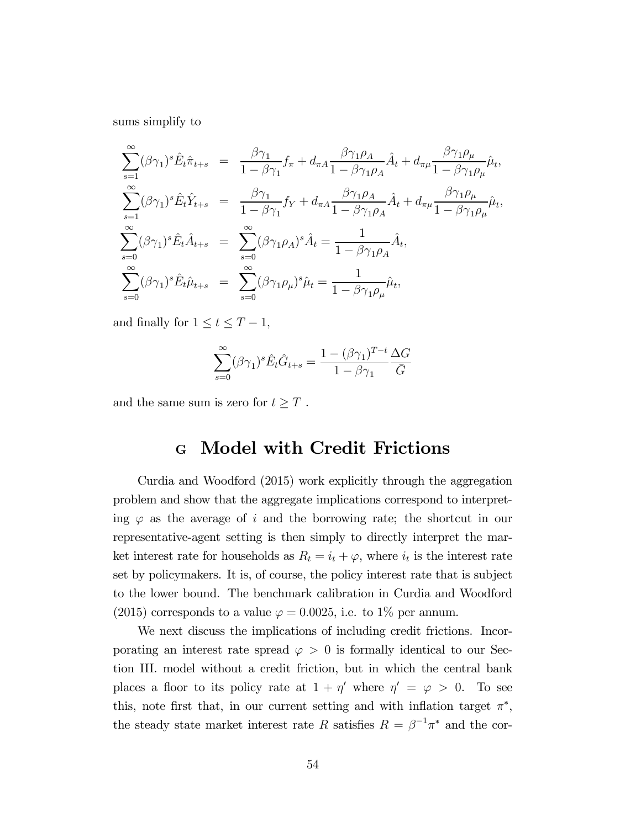sums simplify to

$$
\sum_{s=1}^{\infty} (\beta \gamma_1)^s \hat{E}_t \hat{\pi}_{t+s} = \frac{\beta \gamma_1}{1 - \beta \gamma_1} f_{\pi} + d_{\pi A} \frac{\beta \gamma_1 \rho_A}{1 - \beta \gamma_1 \rho_A} \hat{A}_t + d_{\pi \mu} \frac{\beta \gamma_1 \rho_{\mu}}{1 - \beta \gamma_1 \rho_{\mu}} \hat{\mu}_t,
$$
\n
$$
\sum_{s=1}^{\infty} (\beta \gamma_1)^s \hat{E}_t \hat{Y}_{t+s} = \frac{\beta \gamma_1}{1 - \beta \gamma_1} f_Y + d_{\pi A} \frac{\beta \gamma_1 \rho_A}{1 - \beta \gamma_1 \rho_A} \hat{A}_t + d_{\pi \mu} \frac{\beta \gamma_1 \rho_{\mu}}{1 - \beta \gamma_1 \rho_{\mu}} \hat{\mu}_t,
$$
\n
$$
\sum_{s=0}^{\infty} (\beta \gamma_1)^s \hat{E}_t \hat{A}_{t+s} = \sum_{s=0}^{\infty} (\beta \gamma_1 \rho_A)^s \hat{A}_t = \frac{1}{1 - \beta \gamma_1 \rho_A} \hat{A}_t,
$$
\n
$$
\sum_{s=0}^{\infty} (\beta \gamma_1)^s \hat{E}_t \hat{\mu}_{t+s} = \sum_{s=0}^{\infty} (\beta \gamma_1 \rho_{\mu})^s \hat{\mu}_t = \frac{1}{1 - \beta \gamma_1 \rho_{\mu}} \hat{\mu}_t,
$$

and finally for  $1 \le t \le T-1$ ,

$$
\sum_{s=0}^{\infty} (\beta \gamma_1)^s \hat{E}_t \hat{G}_{t+s} = \frac{1 - (\beta \gamma_1)^{T-t}}{1 - \beta \gamma_1} \frac{\Delta G}{\bar{G}}
$$

and the same sum is zero for  $t \geq T$ .

### <sup>G</sup> Model with Credit Frictions

Curdia and Woodford (2015) work explicitly through the aggregation problem and show that the aggregate implications correspond to interpreting  $\varphi$  as the average of i and the borrowing rate; the shortcut in our representative-agent setting is then simply to directly interpret the market interest rate for households as  $R_t = i_t + \varphi$ , where  $i_t$  is the interest rate set by policymakers. It is, of course, the policy interest rate that is subject to the lower bound. The benchmark calibration in Curdia and Woodford (2015) corresponds to a value  $\varphi = 0.0025$ , i.e. to 1\% per annum.

We next discuss the implications of including credit frictions. Incorporating an interest rate spread  $\varphi > 0$  is formally identical to our Section III. model without a credit friction, but in which the central bank places a floor to its policy rate at  $1 + \eta'$  where  $\eta' = \varphi > 0$ . To see this, note first that, in our current setting and with inflation target  $\pi^*$ , the steady state market interest rate R satisfies  $R = \beta^{-1}\pi^*$  and the cor-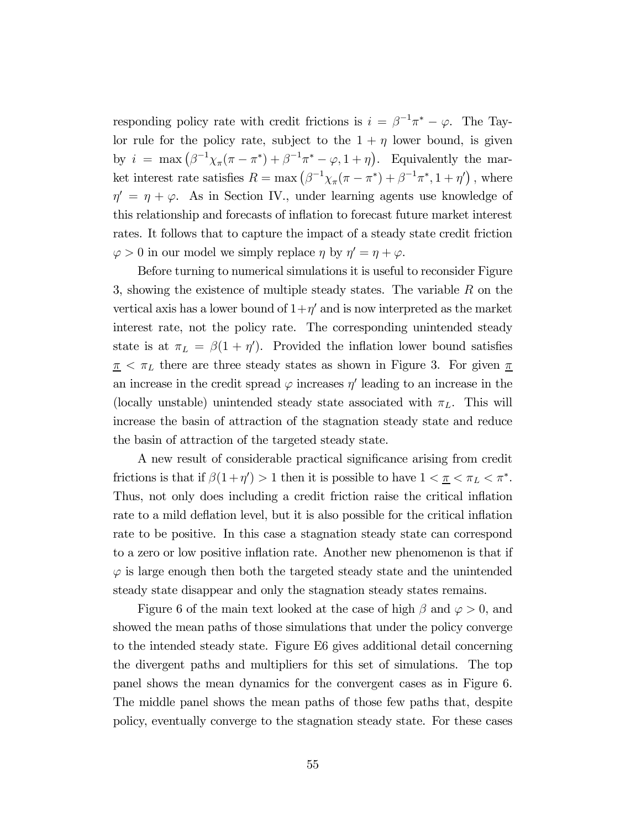responding policy rate with credit frictions is  $i = \beta^{-1}\pi^* - \varphi$ . The Taylor rule for the policy rate, subject to the  $1 + \eta$  lower bound, is given by  $i = \max(\beta^{-1}\chi_{\pi}(\pi - \pi^*) + \beta^{-1}\pi^* - \varphi, 1 + \eta)$ . Equivalently the market interest rate satisfies  $R = \max(\beta^{-1}\chi_{\pi}(\pi - \pi^*) + \beta^{-1}\pi^*, 1 + \eta')$ , where  $\eta' = \eta + \varphi$ . As in Section IV., under learning agents use knowledge of this relationship and forecasts of inflation to forecast future market interest rates. It follows that to capture the impact of a steady state credit friction  $\varphi > 0$  in our model we simply replace  $\eta$  by  $\eta' = \eta + \varphi$ .

Before turning to numerical simulations it is useful to reconsider Figure 3, showing the existence of multiple steady states. The variable  $R$  on the vertical axis has a lower bound of  $1+\eta'$  and is now interpreted as the market interest rate, not the policy rate. The corresponding unintended steady state is at  $\pi_L = \beta(1 + \eta')$ . Provided the inflation lower bound satisfies  $\pi < \pi_L$  there are three steady states as shown in Figure 3. For given  $\pi$ an increase in the credit spread  $\varphi$  increases  $\eta'$  leading to an increase in the (locally unstable) unintended steady state associated with  $\pi_L$ . This will increase the basin of attraction of the stagnation steady state and reduce the basin of attraction of the targeted steady state.

A new result of considerable practical significance arising from credit frictions is that if  $\beta(1 + \eta') > 1$  then it is possible to have  $1 < \underline{\pi} < \pi_L < \pi^*$ . Thus, not only does including a credit friction raise the critical inflation rate to a mild deflation level, but it is also possible for the critical inflation rate to be positive. In this case a stagnation steady state can correspond to a zero or low positive inflation rate. Another new phenomenon is that if  $\varphi$  is large enough then both the targeted steady state and the unintended steady state disappear and only the stagnation steady states remains.

Figure 6 of the main text looked at the case of high  $\beta$  and  $\varphi > 0$ , and showed the mean paths of those simulations that under the policy converge to the intended steady state. Figure E6 gives additional detail concerning the divergent paths and multipliers for this set of simulations. The top panel shows the mean dynamics for the convergent cases as in Figure 6. The middle panel shows the mean paths of those few paths that, despite policy, eventually converge to the stagnation steady state. For these cases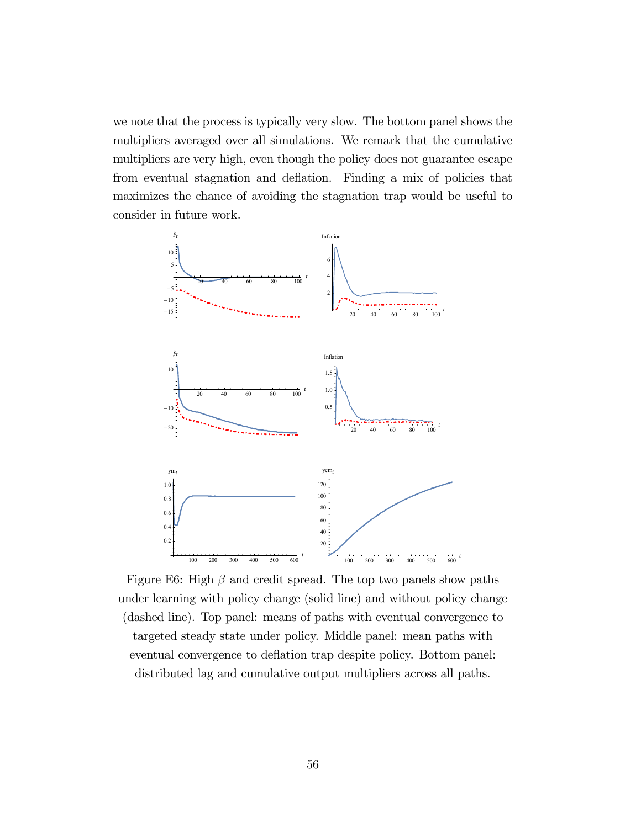we note that the process is typically very slow. The bottom panel shows the multipliers averaged over all simulations. We remark that the cumulative multipliers are very high, even though the policy does not guarantee escape from eventual stagnation and deflation. Finding a mix of policies that maximizes the chance of avoiding the stagnation trap would be useful to consider in future work.



Figure E6: High  $\beta$  and credit spread. The top two panels show paths under learning with policy change (solid line) and without policy change (dashed line). Top panel: means of paths with eventual convergence to targeted steady state under policy. Middle panel: mean paths with eventual convergence to deflation trap despite policy. Bottom panel: distributed lag and cumulative output multipliers across all paths.